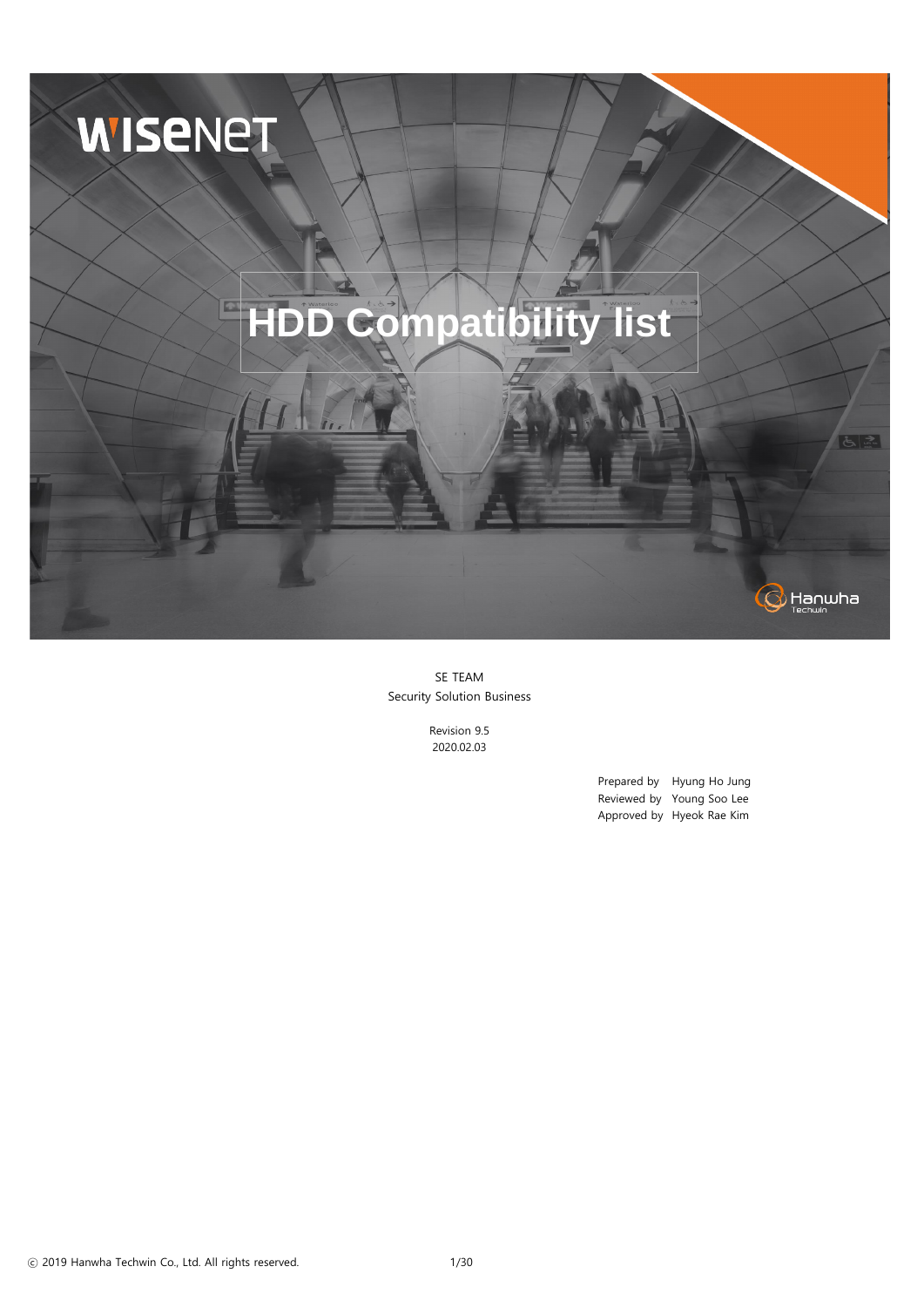Prepared by Hyung Ho Jung Reviewed by Young Soo Lee Approved by Hyeok Rae Kim

SE TEAM Security Solution Business

> Revision 9.5 2020.02.03



ⓒ 2019 Hanwha Techwin Co., Ltd. All rights reserved. 1/30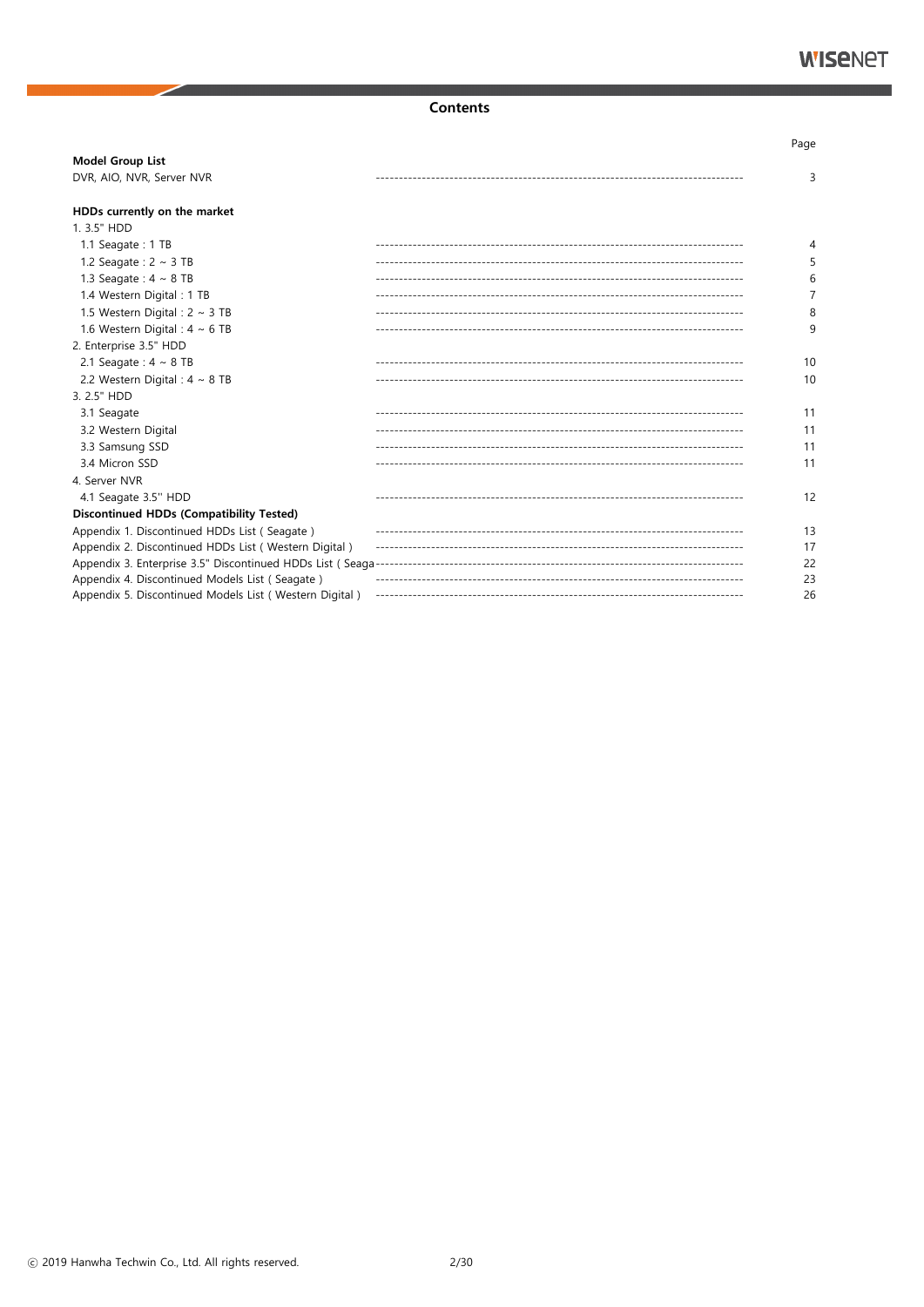#### **Contents**

|                                                        | Page |
|--------------------------------------------------------|------|
| <b>Model Group List</b>                                |      |
| DVR, AIO, NVR, Server NVR                              | 3    |
| HDDs currently on the market                           |      |
| 1.3.5" HDD                                             |      |
| 1.1 Seagate: 1 TB                                      | 4    |
| 1.2 Seagate : $2 \sim 3$ TB                            | 5    |
| 1.3 Seagate: $4 \sim 8$ TB                             | 6    |
| 1.4 Western Digital: 1 TB                              | 7    |
| 1.5 Western Digital : $2 \sim 3$ TB                    | 8    |
| 1.6 Western Digital : $4 \sim 6$ TB                    | 9    |
| 2. Enterprise 3.5" HDD                                 |      |
| 2.1 Seagate: $4 \sim 8$ TB                             | 10   |
| 2.2 Western Digital : $4 \sim 8$ TB                    | 10   |
| 3. 2.5" HDD                                            |      |
| 3.1 Seagate                                            | 11   |
| 3.2 Western Digital                                    | 11   |
| 3.3 Samsung SSD                                        | 11   |
| 3.4 Micron SSD                                         | 11   |
| 4. Server NVR                                          |      |
| 4.1 Seagate 3.5" HDD                                   | 12   |
| <b>Discontinued HDDs (Compatibility Tested)</b>        |      |
| Appendix 1. Discontinued HDDs List (Seagate)           | 13   |
| Appendix 2. Discontinued HDDs List (Western Digital)   | 17   |
|                                                        | 22   |
| Appendix 4. Discontinued Models List (Seagate)         | 23   |
| Appendix 5. Discontinued Models List (Western Digital) | 26   |

© 2019 Hanwha Techwin Co., Ltd. All rights reserved.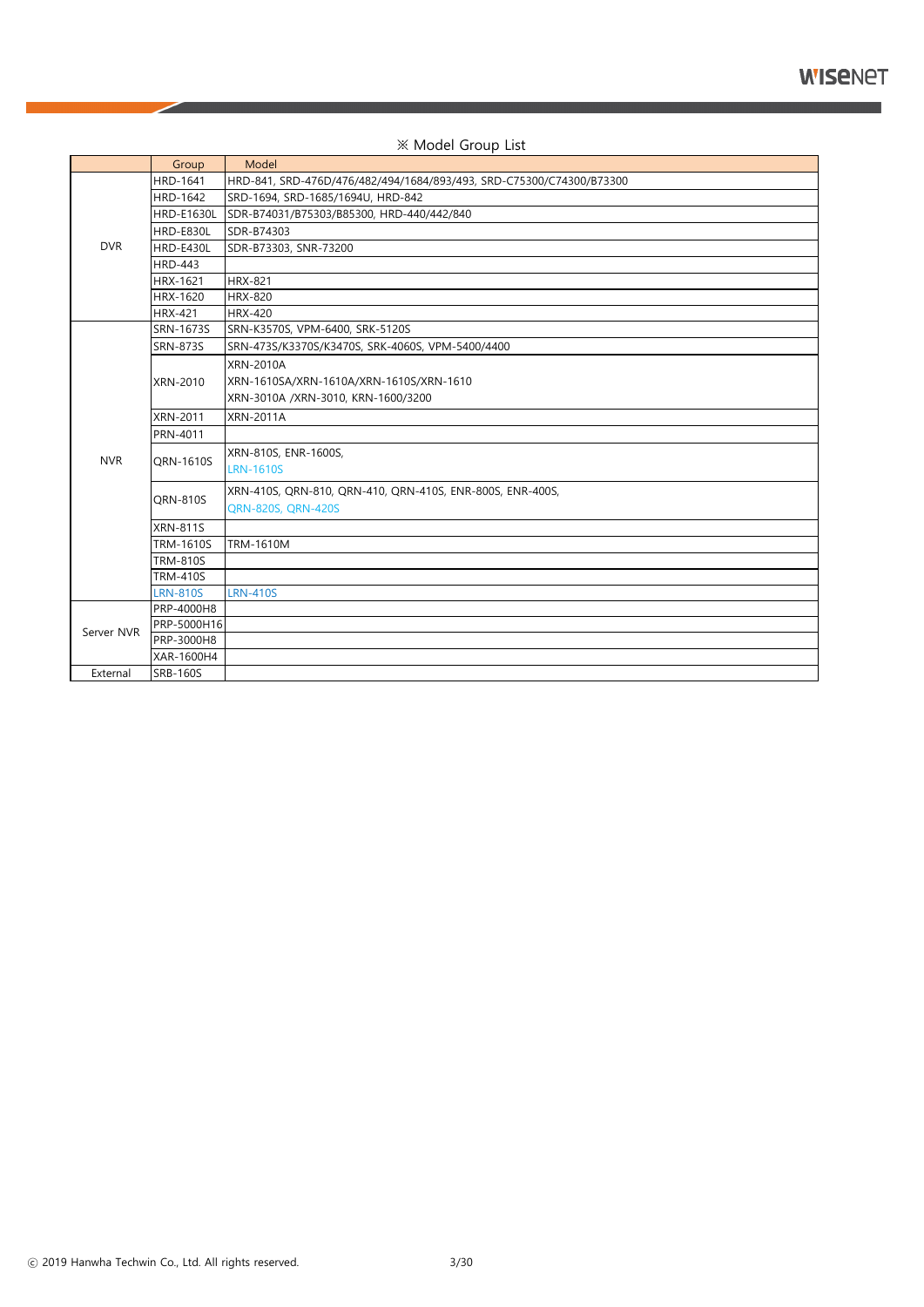|            | Group             | Model                                                                |
|------------|-------------------|----------------------------------------------------------------------|
|            | <b>HRD-1641</b>   | HRD-841, SRD-476D/476/482/494/1684/893/493, SRD-C75300/C74300/B73300 |
|            | <b>HRD-1642</b>   | SRD-1694, SRD-1685/1694U, HRD-842                                    |
|            | <b>HRD-E1630L</b> | SDR-B74031/B75303/B85300, HRD-440/442/840                            |
|            | HRD-E830L         | SDR-B74303                                                           |
| <b>DVR</b> | HRD-E430L         | SDR-B73303, SNR-73200                                                |
|            | <b>HRD-443</b>    |                                                                      |
|            | <b>HRX-1621</b>   | <b>HRX-821</b>                                                       |
|            | <b>HRX-1620</b>   | <b>HRX-820</b>                                                       |
|            | <b>HRX-421</b>    | <b>HRX-420</b>                                                       |
|            | SRN-1673S         | SRN-K3570S, VPM-6400, SRK-5120S                                      |
|            | <b>SRN-873S</b>   | SRN-473S/K3370S/K3470S, SRK-4060S, VPM-5400/4400                     |
|            |                   | <b>XRN-2010A</b>                                                     |
|            | XRN-2010          | XRN-1610SA/XRN-1610A/XRN-1610S/XRN-1610                              |
|            |                   | XRN-3010A /XRN-3010, KRN-1600/3200                                   |
|            | <b>XRN-2011</b>   | <b>XRN-2011A</b>                                                     |
|            | PRN-4011          |                                                                      |
|            |                   | XRN-810S, ENR-1600S,                                                 |
| <b>NVR</b> | QRN-1610S         | <b>LRN-1610S</b>                                                     |
|            |                   | XRN-410S, QRN-810, QRN-410, QRN-410S, ENR-800S, ENR-400S,            |
|            | <b>QRN-810S</b>   | QRN-820S, QRN-420S                                                   |
|            | <b>XRN-811S</b>   |                                                                      |
|            | <b>TRM-1610S</b>  | <b>TRM-1610M</b>                                                     |
|            | <b>TRM-810S</b>   |                                                                      |
|            | <b>TRM-410S</b>   |                                                                      |
|            | <b>LRN-810S</b>   | <b>LRN-410S</b>                                                      |
|            | PRP-4000H8        |                                                                      |
|            | PRP-5000H16       |                                                                      |
| Server NVR | PRP-3000H8        |                                                                      |
|            | XAR-1600H4        |                                                                      |
| External   | <b>SRB-160S</b>   |                                                                      |

#### ※ Model Group List

ⓒ 2019 Hanwha Techwin Co., Ltd. All rights reserved. 3/30

╱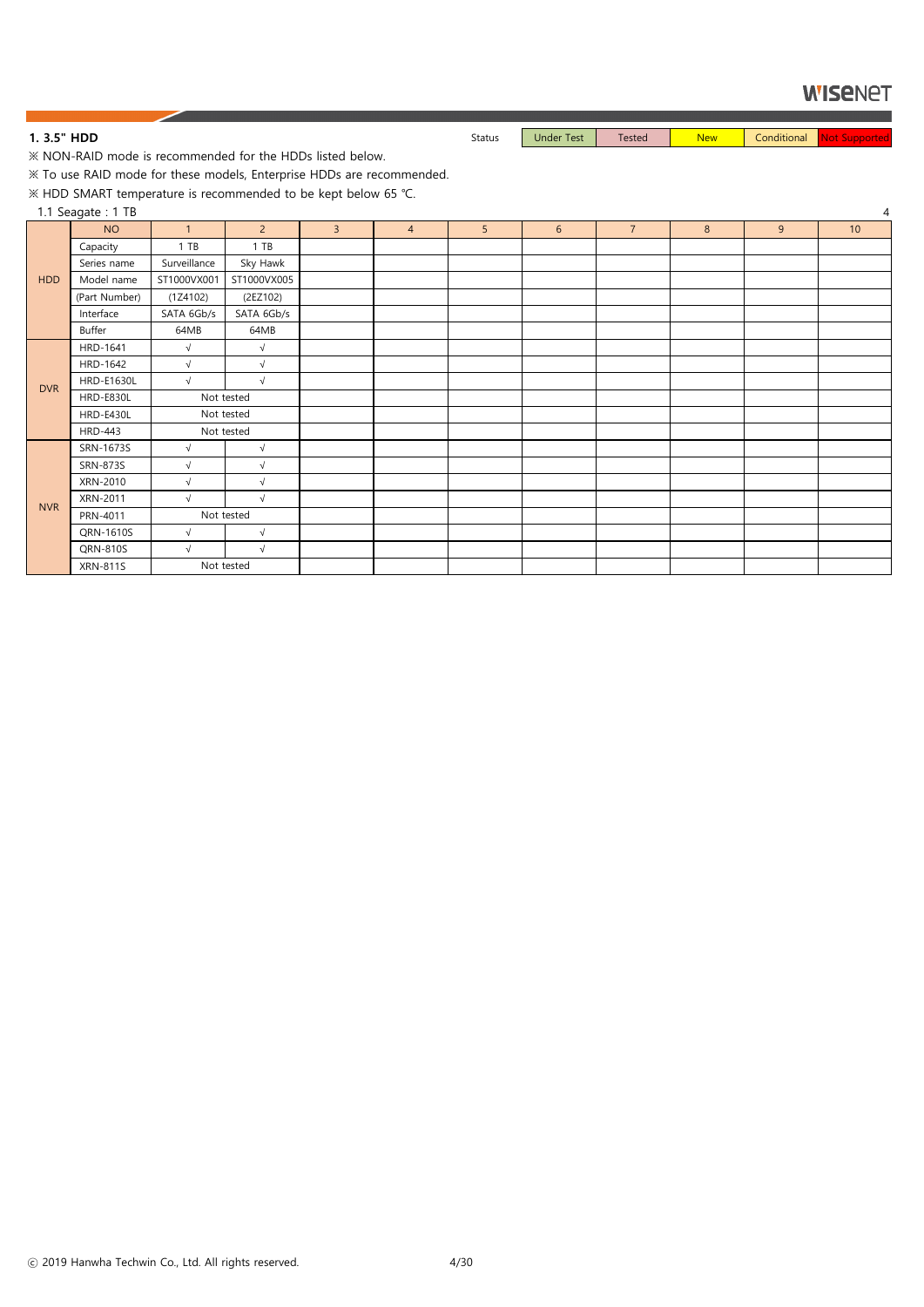1. 3.5" HDD **Status** Status Under Test Tested New Conditional Not Supported New Conditional New Conditional New Conditional New Conditional New Conditional New Conditional New Conditional New Conditional New Conditional Ne

※ NON-RAID mode is recommended for the HDDs listed below.

※ To use RAID mode for these models, Enterprise HDDs are recommended.

※ HDD SMART temperature is recommended to be kept below 65 ℃.

1.1 Seagate : 1 TB 4

|            | $\tilde{\phantom{a}}$<br><b>NO</b> | $\overline{1}$ | $\overline{2}$ | $\overline{3}$ | $\overline{4}$ | 5 | $6\phantom{.}6$ | $\overline{7}$ | $\boldsymbol{8}$ | $\overline{9}$ | 10 |
|------------|------------------------------------|----------------|----------------|----------------|----------------|---|-----------------|----------------|------------------|----------------|----|
|            | Capacity                           | 1 T B          | $1$ TB         |                |                |   |                 |                |                  |                |    |
|            | Series name                        | Surveillance   | Sky Hawk       |                |                |   |                 |                |                  |                |    |
| <b>HDD</b> | Model name                         | ST1000VX001    | ST1000VX005    |                |                |   |                 |                |                  |                |    |
|            | (Part Number)                      | (1Z4102)       | (2EZ102)       |                |                |   |                 |                |                  |                |    |
|            | Interface                          | SATA 6Gb/s     | SATA 6Gb/s     |                |                |   |                 |                |                  |                |    |
|            | Buffer                             | 64MB           | 64MB           |                |                |   |                 |                |                  |                |    |
|            | HRD-1641                           | $\sqrt{ }$     | $\sqrt{ }$     |                |                |   |                 |                |                  |                |    |
|            | HRD-1642                           | $\sqrt{ }$     | $\sqrt{ }$     |                |                |   |                 |                |                  |                |    |
| <b>DVR</b> | <b>HRD-E1630L</b>                  | $\sqrt{ }$     | $\sqrt{ }$     |                |                |   |                 |                |                  |                |    |
|            | HRD-E830L                          |                | Not tested     |                |                |   |                 |                |                  |                |    |
|            | HRD-E430L                          |                | Not tested     |                |                |   |                 |                |                  |                |    |
|            | <b>HRD-443</b>                     |                | Not tested     |                |                |   |                 |                |                  |                |    |
|            | SRN-1673S                          | $\sqrt{ }$     | $\sqrt{ }$     |                |                |   |                 |                |                  |                |    |
|            | SRN-873S                           | $\sqrt{}$      | $\sqrt{ }$     |                |                |   |                 |                |                  |                |    |
|            | XRN-2010                           | $\sqrt{}$      | $\sqrt{ }$     |                |                |   |                 |                |                  |                |    |
| <b>NVR</b> | XRN-2011                           | $\sqrt{}$      | $\sqrt{ }$     |                |                |   |                 |                |                  |                |    |
|            | PRN-4011                           |                | Not tested     |                |                |   |                 |                |                  |                |    |
|            | QRN-1610S                          | $\sqrt{ }$     | $\sqrt{ }$     |                |                |   |                 |                |                  |                |    |
|            | QRN-810S                           | $\sqrt{ }$     | $\sqrt{ }$     |                |                |   |                 |                |                  |                |    |
|            | <b>XRN-811S</b>                    | Not tested     |                |                |                |   |                 |                |                  |                |    |

ⓒ 2019 Hanwha Techwin Co., Ltd. All rights reserved. 4/30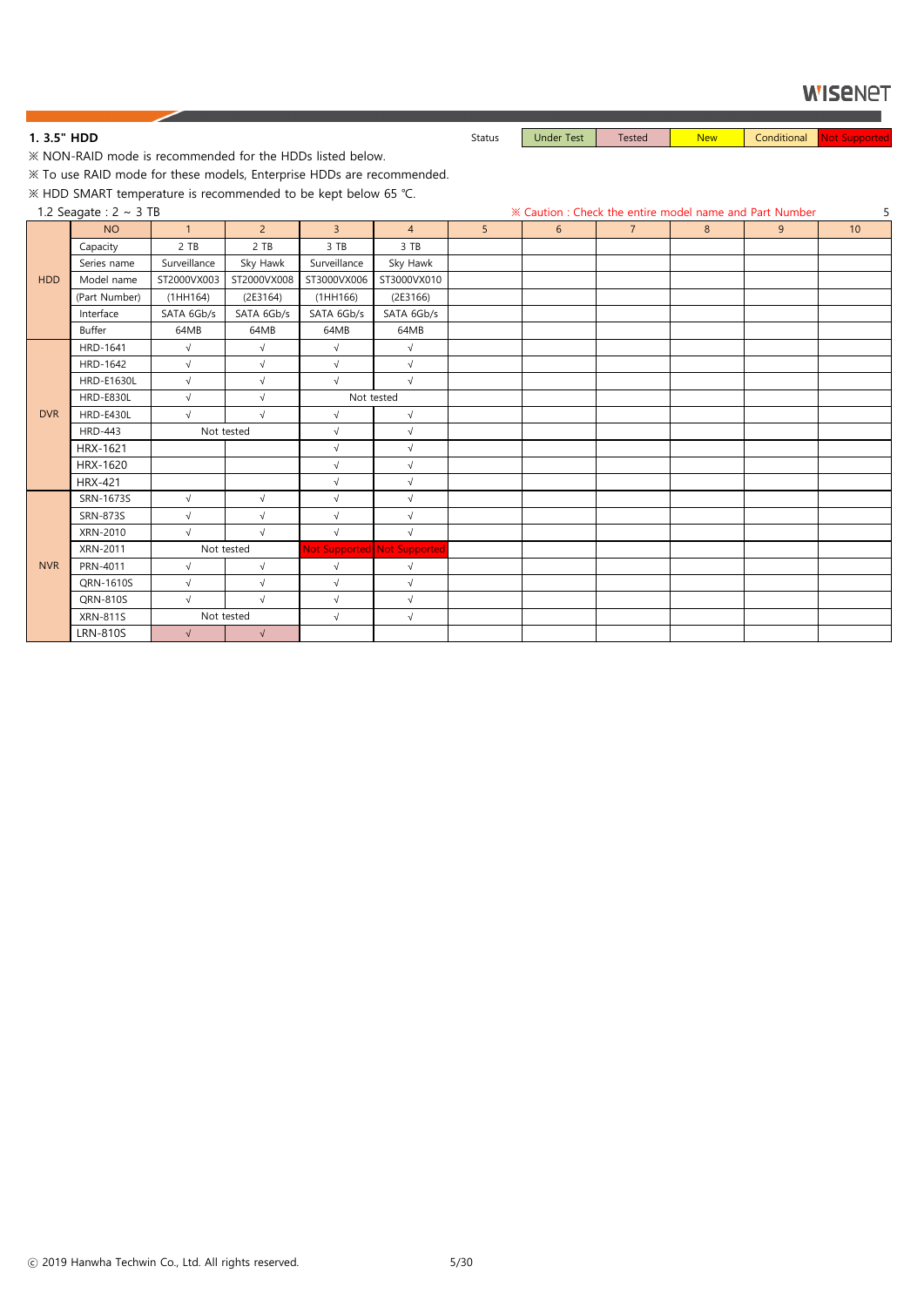1. 3.5" HDD **Status** Status Under Test Tested New Conditional Not Supported New Conditional New Conditional New Conditional New Conditional New Conditional New Conditional New Conditional New Conditional New Conditional Ne

※ NON-RAID mode is recommended for the HDDs listed below.

※ To use RAID mode for these models, Enterprise HDDs are recommended.

※ HDD SMART temperature is recommended to be kept below 65 ℃.

|            | 1.2 Seagate : $2 \sim 3$ TB |                |                |                |                             |                |   |                |   | <b>X Caution : Check the entire model name and Part Number</b> | 5  |
|------------|-----------------------------|----------------|----------------|----------------|-----------------------------|----------------|---|----------------|---|----------------------------------------------------------------|----|
|            | <b>NO</b>                   | $\overline{1}$ | 2 <sup>7</sup> | $\overline{3}$ | $\overline{4}$              | 5 <sup>5</sup> | 6 | $\overline{7}$ | 8 | 9                                                              | 10 |
|            | Capacity                    | 2 TB           | 2 TB           | 3 TB           | 3 TB                        |                |   |                |   |                                                                |    |
|            | Series name                 | Surveillance   | Sky Hawk       | Surveillance   | Sky Hawk                    |                |   |                |   |                                                                |    |
| <b>HDD</b> | Model name                  | ST2000VX003    | ST2000VX008    | ST3000VX006    | ST3000VX010                 |                |   |                |   |                                                                |    |
|            | (Part Number)               | (1HH164)       | (2E3164)       | (1HH166)       | (2E3166)                    |                |   |                |   |                                                                |    |
|            | Interface                   | SATA 6Gb/s     | SATA 6Gb/s     | SATA 6Gb/s     | SATA 6Gb/s                  |                |   |                |   |                                                                |    |
|            | Buffer                      | 64MB           | 64MB           | 64MB           | 64MB                        |                |   |                |   |                                                                |    |
|            | HRD-1641                    | $\sqrt{}$      | $\sqrt{}$      | $\sqrt{}$      | $\sqrt{ }$                  |                |   |                |   |                                                                |    |
|            | HRD-1642                    | $\sqrt{}$      | $\sqrt{2}$     | $\sqrt{}$      | $\sqrt{}$                   |                |   |                |   |                                                                |    |
|            | <b>HRD-E1630L</b>           | $\sqrt{ }$     | $\sqrt{ }$     | $\sqrt{ }$     | $\sqrt{ }$                  |                |   |                |   |                                                                |    |
|            | <b>HRD-E830L</b>            | $\sqrt{}$      | $\sqrt{ }$     |                | Not tested                  |                |   |                |   |                                                                |    |
| <b>DVR</b> | HRD-E430L                   | $\sqrt{}$      | $\sqrt{}$      | $\sqrt{ }$     | $\sqrt{ }$                  |                |   |                |   |                                                                |    |
|            | <b>HRD-443</b>              |                | Not tested     | $\sqrt{}$      | $\sqrt{ }$                  |                |   |                |   |                                                                |    |
|            | HRX-1621                    |                |                | $\sqrt{ }$     | $\sqrt{ }$                  |                |   |                |   |                                                                |    |
|            | HRX-1620                    |                |                | $\sqrt{}$      | $\sqrt{ }$                  |                |   |                |   |                                                                |    |
|            | <b>HRX-421</b>              |                |                | $\sqrt{ }$     | $\sqrt{ }$                  |                |   |                |   |                                                                |    |
|            | SRN-1673S                   | $\sqrt{}$      | $\sqrt{}$      | $\sqrt{}$      | $\sqrt{ }$                  |                |   |                |   |                                                                |    |
|            | <b>SRN-873S</b>             | $\sqrt{}$      | $\sqrt{}$      | $\sqrt{}$      | $\sqrt{}$                   |                |   |                |   |                                                                |    |
|            | XRN-2010                    | $\sqrt{ }$     | $\sqrt{ }$     | $\sqrt{ }$     | $\sqrt{ }$                  |                |   |                |   |                                                                |    |
|            | XRN-2011                    |                | Not tested     |                | Not Supported Not Supported |                |   |                |   |                                                                |    |
| <b>NVR</b> | PRN-4011                    | $\sqrt{}$      | $\sqrt{}$      | $\sqrt{}$      | $\sqrt{ }$                  |                |   |                |   |                                                                |    |
|            | QRN-1610S                   | $\sqrt{}$      | $\sqrt{}$      | $\sqrt{}$      | $\sqrt{ }$                  |                |   |                |   |                                                                |    |
|            | QRN-810S                    | $\sqrt{ }$     | $\sqrt{ }$     | $\sqrt{ }$     | $\sqrt{ }$                  |                |   |                |   |                                                                |    |
|            | <b>XRN-811S</b>             |                | Not tested     | $\sqrt{}$      | $\sqrt{ }$                  |                |   |                |   |                                                                |    |
|            | <b>LRN-810S</b>             | $\sqrt{}$      | $\sqrt{}$      |                |                             |                |   |                |   |                                                                |    |

ⓒ 2019 Hanwha Techwin Co., Ltd. All rights reserved. 5/30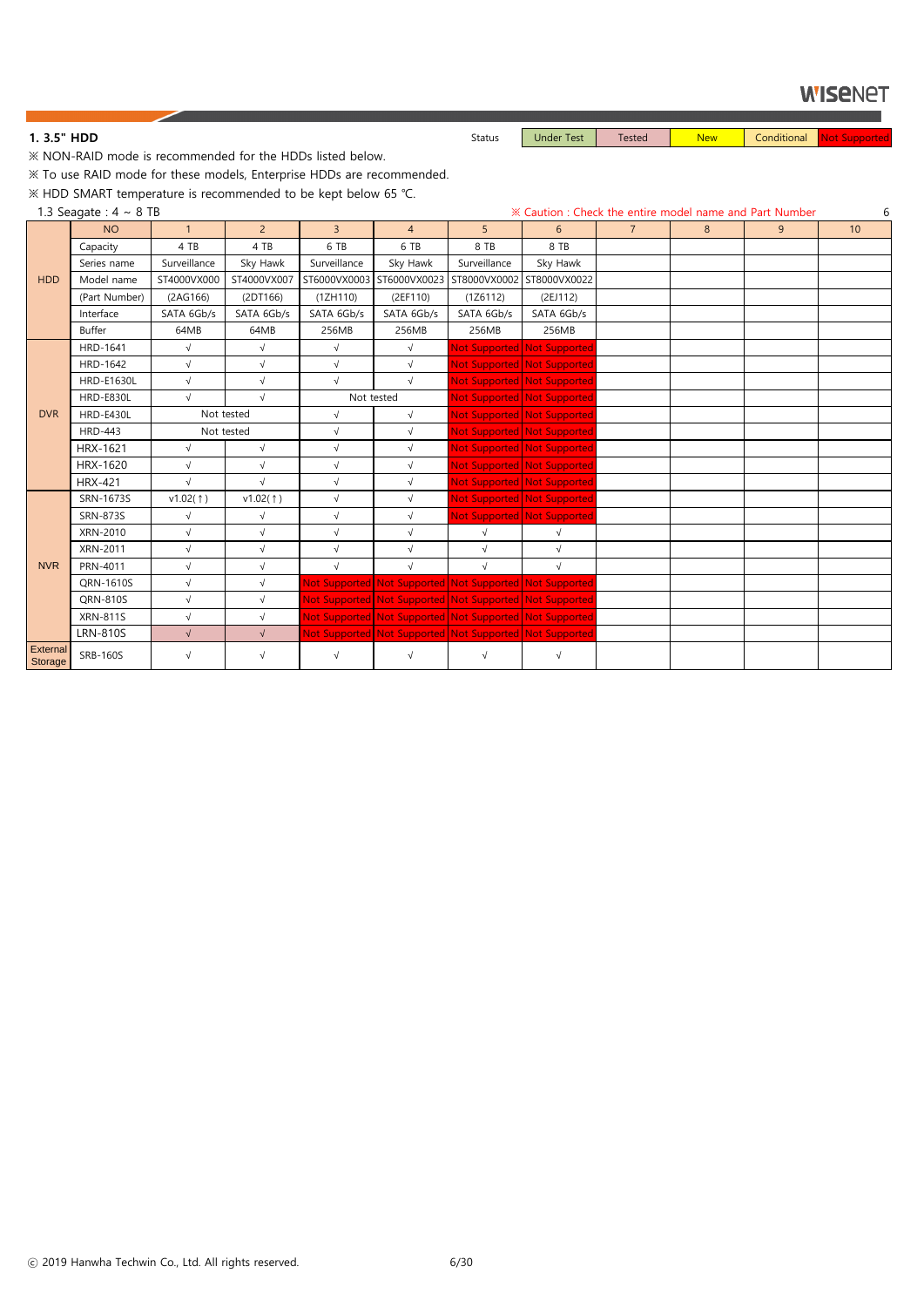**1. 3.5" HDD** Not Supported New Status Status Under Test Tested New Conditional Not Supported

※ NON-RAID mode is recommended for the HDDs listed below.

※ To use RAID mode for these models, Enterprise HDDs are recommended.

※ HDD SMART temperature is recommended to be kept below 65 ℃.

1.3 Seagate :  $4 \sim 8$  TB 6

|                     | <b>NO</b>         | $\mathbf{1}$ | $2^{\circ}$ | $\overline{3}$ | $\overline{4}$                                          | 5            | 6                           | $\overline{7}$ | 8 | 9 | 10 |
|---------------------|-------------------|--------------|-------------|----------------|---------------------------------------------------------|--------------|-----------------------------|----------------|---|---|----|
|                     | Capacity          | 4 TB         | 4 TB        | 6 TB           | 6 TB                                                    | 8 TB         | 8 TB                        |                |   |   |    |
|                     | Series name       | Surveillance | Sky Hawk    | Surveillance   | Sky Hawk                                                | Surveillance | Sky Hawk                    |                |   |   |    |
| <b>HDD</b>          | Model name        | ST4000VX000  | ST4000VX007 |                | ST6000VX0003 ST6000VX0023                               | ST8000VX0002 | ST8000VX0022                |                |   |   |    |
|                     | (Part Number)     | (2AG166)     | (2DT166)    | (1ZH110)       | (2EF110)                                                | (1Z6112)     | (2EJ112)                    |                |   |   |    |
|                     | Interface         | SATA 6Gb/s   | SATA 6Gb/s  | SATA 6Gb/s     | SATA 6Gb/s                                              | SATA 6Gb/s   | SATA 6Gb/s                  |                |   |   |    |
|                     | Buffer            | 64MB         | 64MB        | 256MB          | 256MB                                                   | 256MB        | 256MB                       |                |   |   |    |
|                     | <b>HRD-1641</b>   | $\sqrt{}$    | $\sqrt{}$   | $\sqrt{ }$     | $\sqrt{ }$                                              |              | Not Supported Not Supported |                |   |   |    |
|                     | HRD-1642          | $\sqrt{ }$   | $\sqrt{}$   | $\sqrt{ }$     | $\sqrt{}$                                               |              | Not Supported Not Supported |                |   |   |    |
|                     | <b>HRD-E1630L</b> | $\sqrt{ }$   | $\sqrt{}$   | $\sqrt{ }$     | $\sqrt{}$                                               |              | Not Supported Not Supported |                |   |   |    |
|                     | <b>HRD-E830L</b>  | $\sqrt{ }$   | $\sqrt{ }$  |                | Not tested                                              |              | Not Supported Not Supported |                |   |   |    |
| <b>DVR</b>          | <b>HRD-E430L</b>  |              | Not tested  | $\sqrt{ }$     | $\sqrt{ }$                                              |              | Not Supported Not Supported |                |   |   |    |
|                     | <b>HRD-443</b>    |              | Not tested  | $\sqrt{ }$     | $\sqrt{}$                                               |              | Not Supported Not Supported |                |   |   |    |
|                     | HRX-1621          | $\sqrt{ }$   | $\sqrt{}$   | $\sqrt{}$      | $\sqrt{ }$                                              |              | Not Supported Not Supported |                |   |   |    |
|                     | HRX-1620          | $\sqrt{}$    | $\sqrt{}$   | $\sqrt{ }$     | $\sqrt{}$                                               |              | Not Supported Not Supported |                |   |   |    |
|                     | <b>HRX-421</b>    | $\sqrt{}$    | $\sqrt{}$   | $\sqrt{ }$     | $\sqrt{ }$                                              |              | Not Supported Not Supported |                |   |   |    |
|                     | SRN-1673S         | v1.02(1)     | v1.02(1)    | $\sqrt{ }$     | $\sqrt{}$                                               |              | Not Supported Not Supported |                |   |   |    |
|                     | <b>SRN-873S</b>   | $\sqrt{ }$   | $\sqrt{}$   | $\sqrt{}$      | $\sqrt{}$                                               |              | Not Supported Not Supported |                |   |   |    |
|                     | XRN-2010          | $\sqrt{ }$   | $\sqrt{}$   | $\sqrt{ }$     | $\sqrt{}$                                               | $\sqrt{ }$   | $\sqrt{}$                   |                |   |   |    |
|                     | XRN-2011          | $\sqrt{ }$   | $\sqrt{}$   | $\sqrt{ }$     | $\sqrt{}$                                               | $\sqrt{}$    | $\sqrt{ }$                  |                |   |   |    |
| <b>NVR</b>          | PRN-4011          | $\sqrt{ }$   | $\sqrt{}$   | $\sqrt{ }$     | $\sqrt{ }$                                              | $\sqrt{ }$   | $\sqrt{ }$                  |                |   |   |    |
|                     | QRN-1610S         | $\sqrt{ }$   | $\sqrt{}$   |                | Not Supported Not Supported Not Supported Not Supported |              |                             |                |   |   |    |
|                     | QRN-810S          | $\sqrt{ }$   | $\sqrt{}$   |                | Not Supported Not Supported Not Supported Not Supported |              |                             |                |   |   |    |
|                     | <b>XRN-811S</b>   | $\sqrt{ }$   | $\sqrt{}$   |                | Not Supported Not Supported Not Supported Not Supported |              |                             |                |   |   |    |
|                     | <b>LRN-810S</b>   | $\sqrt{ }$   | $\sqrt{ }$  |                | Not Supported Not Supported Not Supported Not Supported |              |                             |                |   |   |    |
| External<br>Storage | <b>SRB-160S</b>   | $\sqrt{}$    | $\sqrt{}$   | $\sqrt{ }$     | $\sqrt{ }$                                              | $\sqrt{ }$   | $\sqrt{}$                   |                |   |   |    |

ⓒ 2019 Hanwha Techwin Co., Ltd. All rights reserved. 6/30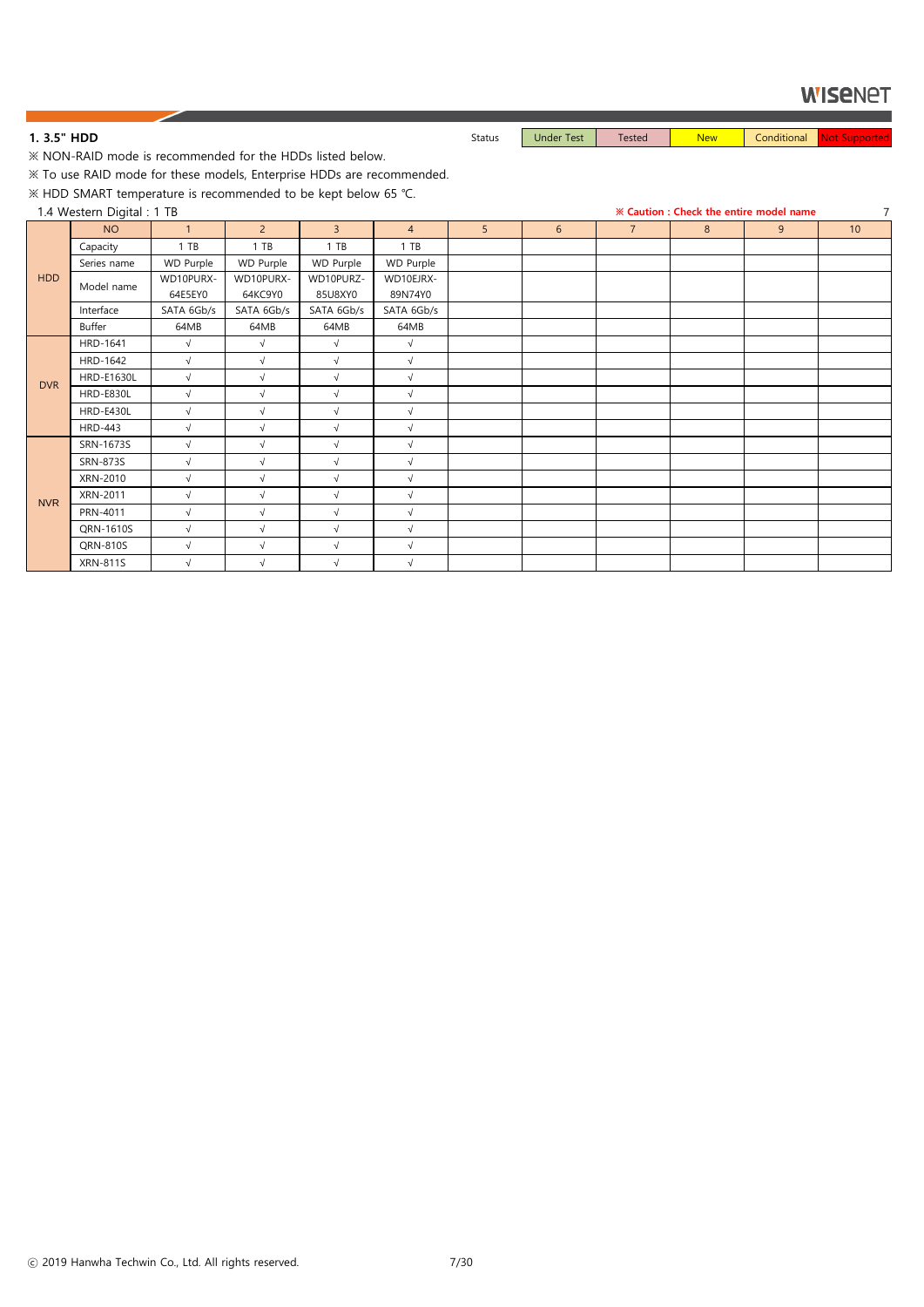1. 3.5" HDD **Status** Status Under Test Tested New Conditional Not Supported New Conditional New Conditional New Conditional New Conditional New Conditional New Conditional New Conditional New Conditional New Conditional Ne

※ NON-RAID mode is recommended for the HDDs listed below.

※ To use RAID mode for these models, Enterprise HDDs are recommended.

※ HDD SMART temperature is recommended to be kept below 65 ℃.

1.4 Western Digital : 1 TB **※ Caution : Check the entire model name** 7

|            | $\ldots$ $\ldots$ $\ldots$ |                  |                  |                  |                |   |                |                |   |   |    |
|------------|----------------------------|------------------|------------------|------------------|----------------|---|----------------|----------------|---|---|----|
|            | <b>NO</b>                  | $\mathbf{1}$     | $\overline{2}$   | $\overline{3}$   | $\overline{4}$ | 5 | $6\phantom{1}$ | $\overline{7}$ | 8 | 9 | 10 |
|            | Capacity                   | 1 T B            | $1$ TB           | $1$ TB           | 1 T B          |   |                |                |   |   |    |
|            | Series name                | <b>WD Purple</b> | <b>WD Purple</b> | <b>WD Purple</b> | WD Purple      |   |                |                |   |   |    |
| <b>HDD</b> | Model name                 | WD10PURX-        | WD10PURX-        | WD10PURZ-        | WD10EJRX-      |   |                |                |   |   |    |
|            |                            | 64E5EY0          | 64KC9Y0          | 85U8XY0          | 89N74Y0        |   |                |                |   |   |    |
|            | Interface                  | SATA 6Gb/s       | SATA 6Gb/s       | SATA 6Gb/s       | SATA 6Gb/s     |   |                |                |   |   |    |
|            | Buffer                     | 64MB             | 64MB             | 64MB             | 64MB           |   |                |                |   |   |    |
|            | HRD-1641                   | $\sqrt{}$        | $\sqrt{ }$       | $\sqrt{ }$       | $\sqrt{ }$     |   |                |                |   |   |    |
|            | HRD-1642                   | $\sqrt{}$        | $\sqrt{}$        | $\sqrt{ }$       | $\sqrt{}$      |   |                |                |   |   |    |
| <b>DVR</b> | <b>HRD-E1630L</b>          | $\sqrt{ }$       | $\sqrt{ }$       | $\sqrt{ }$       | $\sqrt{ }$     |   |                |                |   |   |    |
|            | HRD-E830L                  | $\sqrt{}$        | $\sqrt{}$        | $\sqrt{}$        | $\sqrt{ }$     |   |                |                |   |   |    |
|            | HRD-E430L                  | $\sqrt{}$        | $\sqrt{}$        | $\sqrt{}$        | $\sqrt{}$      |   |                |                |   |   |    |
|            | <b>HRD-443</b>             | $\sqrt{ }$       | $\sqrt{}$        | $\sqrt{}$        | $\sqrt{}$      |   |                |                |   |   |    |
|            | SRN-1673S                  | $\sqrt{ }$       | $\sqrt{}$        | $\sqrt{}$        | $\sqrt{}$      |   |                |                |   |   |    |
|            | SRN-873S                   | $\sqrt{ }$       | $\sqrt{}$        | $\sqrt{ }$       | $\sqrt{}$      |   |                |                |   |   |    |
|            | XRN-2010                   | $\sqrt{}$        | $\sqrt{ }$       | $\sqrt{}$        | $\sqrt{}$      |   |                |                |   |   |    |
| <b>NVR</b> | XRN-2011                   | $\sqrt{}$        | $\sqrt{}$        | $\sqrt{}$        | $\sqrt{}$      |   |                |                |   |   |    |
|            | PRN-4011                   | $\sqrt{}$        | $\sqrt{ }$       | $\sqrt{}$        | $\sqrt{}$      |   |                |                |   |   |    |
|            | QRN-1610S                  | $\sqrt{}$        | $\sqrt{}$        | $\sqrt{}$        | $\sqrt{}$      |   |                |                |   |   |    |
|            | QRN-810S                   | $\sqrt{}$        | $\sqrt{}$        | $\sqrt{}$        | $\sqrt{}$      |   |                |                |   |   |    |
|            | <b>XRN-811S</b>            | $\sqrt{}$        | $\sqrt{}$        | $\sqrt{}$        | $\sqrt{}$      |   |                |                |   |   |    |

ⓒ 2019 Hanwha Techwin Co., Ltd. All rights reserved. 7/30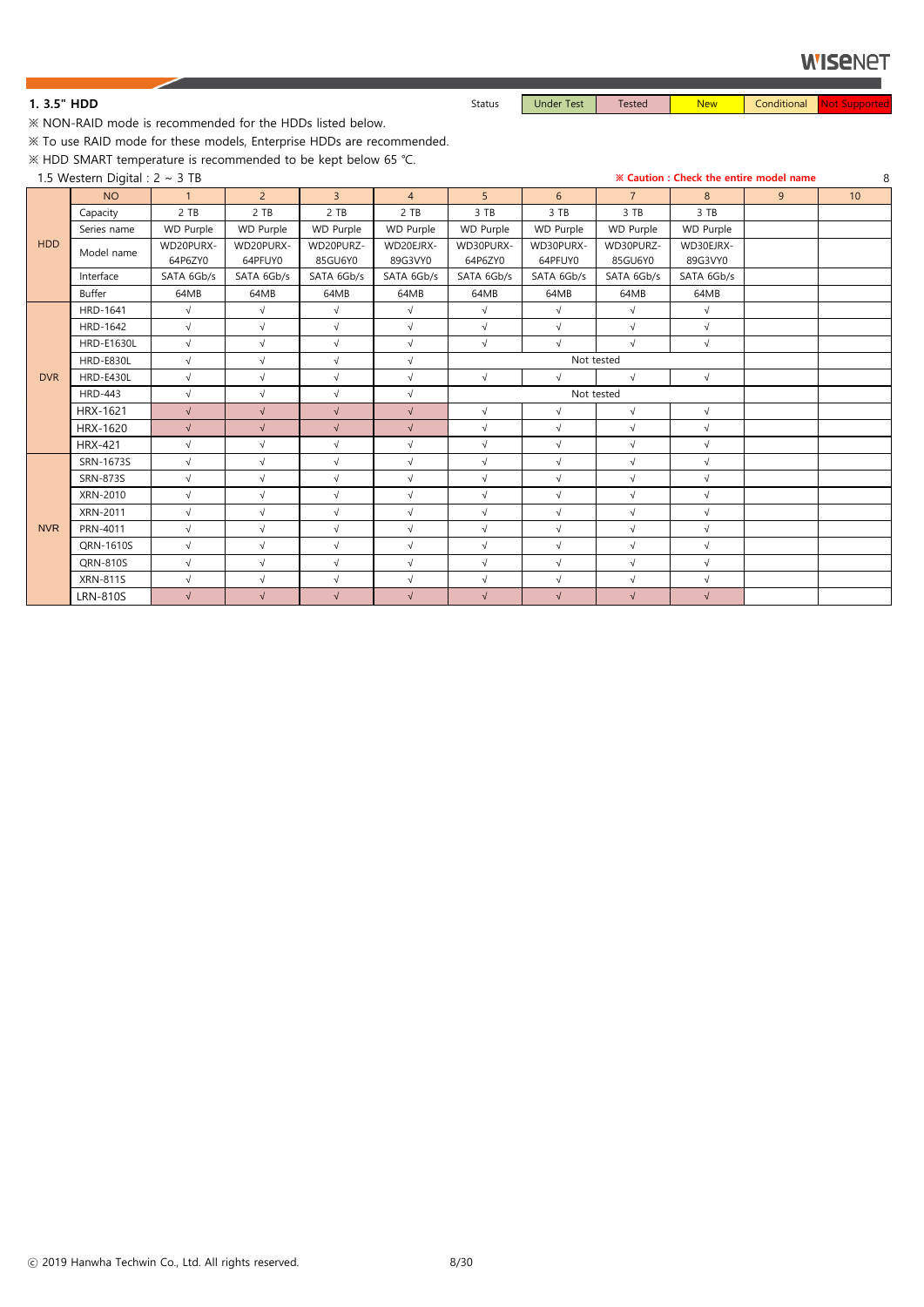1. 3.5" HDD **Status** Status Under Test Tested New Conditional Not Supported New Conditional New Conditional New Conditional New Conditional New Conditional New Conditional New Conditional New Conditional New Conditional Ne

※ NON-RAID mode is recommended for the HDDs listed below.

※ To use RAID mode for these models, Enterprise HDDs are recommended.

※ HDD SMART temperature is recommended to be kept below 65 ℃.

|            | 1.5 Western Digital : $2 \sim 3$ TB |              |                |                |                |                |                  |                  |                  | <b>※ Caution: Check the entire model name</b> | 8               |
|------------|-------------------------------------|--------------|----------------|----------------|----------------|----------------|------------------|------------------|------------------|-----------------------------------------------|-----------------|
|            | <b>NO</b>                           | $\mathbf{1}$ | $\overline{2}$ | $\overline{3}$ | $\overline{4}$ | 5 <sup>5</sup> | 6 <sup>1</sup>   | $7^{\circ}$      | 8 <sup>°</sup>   | 9                                             | 10 <sup>°</sup> |
|            | Capacity                            | 2 TB         | 2 TB           | 2 TB           | 2 TB           | 3 TB           | 3 TB             | 3 TB             | 3 TB             |                                               |                 |
|            | Series name                         | WD Purple    | WD Purple      | WD Purple      | WD Purple      | WD Purple      | <b>WD Purple</b> | <b>WD Purple</b> | <b>WD Purple</b> |                                               |                 |
| <b>HDD</b> | Model name                          | WD20PURX-    | WD20PURX-      | WD20PURZ-      | WD20EJRX-      | WD30PURX-      | WD30PURX-        | WD30PURZ-        | WD30EJRX-        |                                               |                 |
|            |                                     | 64P6ZY0      | 64PFUY0        | 85GU6Y0        | 89G3VY0        | 64P6ZY0        | 64PFUY0          | 85GU6Y0          | 89G3VY0          |                                               |                 |
|            | Interface                           | SATA 6Gb/s   | SATA 6Gb/s     | SATA 6Gb/s     | SATA 6Gb/s     | SATA 6Gb/s     | SATA 6Gb/s       | SATA 6Gb/s       | SATA 6Gb/s       |                                               |                 |
|            | Buffer                              | 64MB         | 64MB           | 64MB           | 64MB           | 64MB           | 64MB             | 64MB             | 64MB             |                                               |                 |
|            | HRD-1641                            | $\sqrt{ }$   | $\sqrt{ }$     | $\sqrt{}$      | $\sqrt{ }$     | $\sqrt{}$      | $\sqrt{ }$       | $\sqrt{ }$       | $\sqrt{ }$       |                                               |                 |
|            | HRD-1642                            | $\sqrt{ }$   | $\sqrt{}$      | $\sqrt{ }$     | $\sqrt{}$      | $\sqrt{ }$     | $\sqrt{ }$       | $\sqrt{}$        | $\sqrt{ }$       |                                               |                 |
|            | <b>HRD-E1630L</b>                   | $\sqrt{ }$   | $\sqrt{}$      | $\sqrt{ }$     | $\sqrt{}$      | $\sqrt{ }$     | $\sqrt{ }$       | $\sqrt{}$        | $\sqrt{ }$       |                                               |                 |
|            | <b>HRD-E830L</b>                    | $\sqrt{ }$   | $\sqrt{ }$     | $\sqrt{ }$     | $\sqrt{}$      |                | Not tested       |                  |                  |                                               |                 |
| <b>DVR</b> | HRD-E430L                           | $\sqrt{ }$   | $\sqrt{ }$     | $\sqrt{ }$     | $\sqrt{}$      | $\sqrt{ }$     | $\sqrt{}$        | $\sqrt{}$        | $\sqrt{ }$       |                                               |                 |
|            | <b>HRD-443</b>                      | $\sqrt{ }$   | $\sqrt{ }$     | $\sqrt{ }$     | $\sqrt{}$      |                | Not tested       |                  |                  |                                               |                 |
|            | HRX-1621                            | $\sqrt{}$    | $\sqrt{}$      | $\sqrt{ }$     | $\sqrt{}$      | $\sqrt{ }$     | $\sqrt{}$        | $\sqrt{}$        | $\sqrt{ }$       |                                               |                 |
|            | HRX-1620                            | $\sqrt{ }$   | $\sqrt{}$      | $\sqrt{}$      | $\sqrt{ }$     | $\sqrt{ }$     | $\sqrt{ }$       | $\sqrt{}$        | $\sqrt{ }$       |                                               |                 |
|            | <b>HRX-421</b>                      | $\sqrt{ }$   | $\sqrt{}$      | $\sqrt{}$      | $\sqrt{}$      | $\sqrt{ }$     | $\sqrt{ }$       | $\sqrt{}$        | $\sqrt{ }$       |                                               |                 |
|            | SRN-1673S                           | $\sqrt{ }$   | $\sqrt{ }$     | $\sqrt{ }$     | $\sqrt{}$      | $\sqrt{ }$     | $\sqrt{}$        | $\sqrt{ }$       | $\sqrt{ }$       |                                               |                 |
|            | <b>SRN-873S</b>                     | $\sqrt{}$    | $\sqrt{}$      | $\sqrt{ }$     | $\sqrt{}$      | $\sqrt{ }$     | $\sqrt{ }$       | $\sqrt{}$        | $\sqrt{ }$       |                                               |                 |
|            | XRN-2010                            | $\sqrt{ }$   | $\sqrt{}$      | $\sqrt{ }$     | $\sqrt{}$      | $\sqrt{ }$     | $\sqrt{ }$       | $\sqrt{}$        | $\sqrt{ }$       |                                               |                 |
|            | XRN-2011                            | $\sqrt{ }$   | $\sqrt{}$      | $\sqrt{ }$     | $\sqrt{}$      | $\sqrt{ }$     | $\sqrt{ }$       | $\sqrt{}$        | $\sqrt{ }$       |                                               |                 |
| <b>NVR</b> | PRN-4011                            | $\sqrt{ }$   | $\sqrt{}$      | $\sqrt{ }$     | $\sqrt{}$      | $\sqrt{ }$     | $\sqrt{ }$       | $\sqrt{}$        | $\sqrt{ }$       |                                               |                 |
|            | QRN-1610S                           | $\sqrt{ }$   | $\sqrt{ }$     | $\sqrt{ }$     | $\sqrt{}$      | $\sqrt{ }$     | $\sqrt{}$        | $\sqrt{}$        | $\sqrt{ }$       |                                               |                 |
|            | QRN-810S                            | $\sqrt{}$    | $\sqrt{ }$     | $\sqrt{ }$     | $\sqrt{}$      | $\sqrt{ }$     | $\sqrt{ }$       | $\sqrt{}$        | $\sqrt{ }$       |                                               |                 |
|            | <b>XRN-811S</b>                     | $\sqrt{ }$   | $\sqrt{ }$     | $\sqrt{ }$     | $\sqrt{}$      | $\sqrt{}$      | $\sqrt{}$        | $\sqrt{}$        | $\sqrt{ }$       |                                               |                 |
|            | <b>LRN-810S</b>                     | $\sqrt{ }$   | $\sqrt{ }$     | $\sqrt{ }$     | $\sqrt{}$      | $\sqrt{}$      | $\sqrt{}$        | $\sqrt{}$        | $\sqrt{ }$       |                                               |                 |

ⓒ 2019 Hanwha Techwin Co., Ltd. All rights reserved. 8/30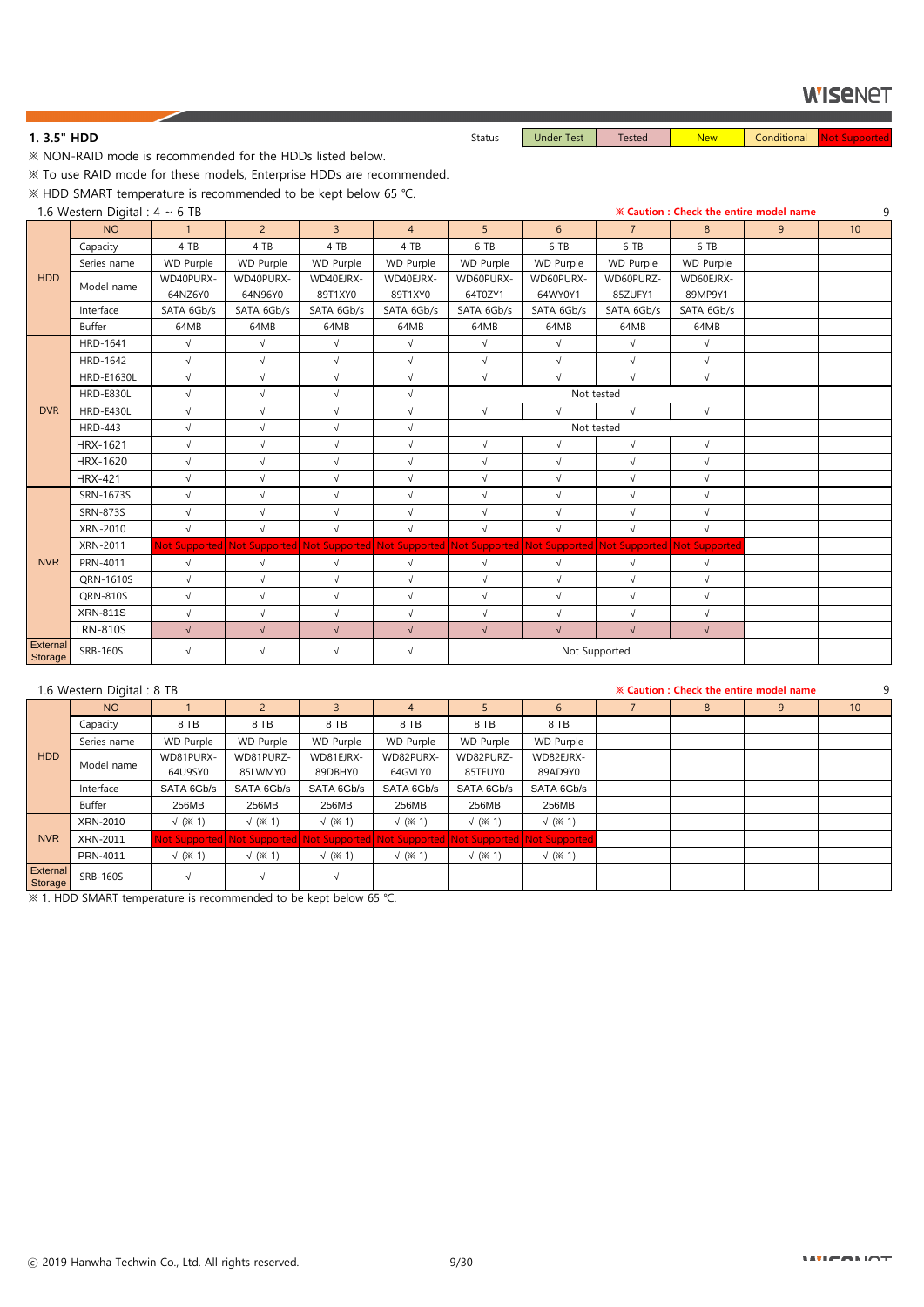1. 3.5" HDD **Status** Status Under Test Tested New Conditional Not Supported New Conditional New Conditional New Conditional New Conditional New Conditional New Conditional New Conditional New Conditional New Conditional Ne

※ NON-RAID mode is recommended for the HDDs listed below.

※ To use RAID mode for these models, Enterprise HDDs are recommended.

※ HDD SMART temperature is recommended to be kept below 65 ℃.

1.6 Western Digital : 4 ~ 6 TB **※ Caution : Check the entire model name** 9

|                            | $\sim$ restauted by the $\sim$ | <u> U I U</u>    |                                                                                                                 |                |                |                |                  |                  |            |   |    |
|----------------------------|--------------------------------|------------------|-----------------------------------------------------------------------------------------------------------------|----------------|----------------|----------------|------------------|------------------|------------|---|----|
|                            | <b>NO</b>                      | $\mathbf{1}$     | 2 <sup>7</sup>                                                                                                  | $\overline{3}$ | $\overline{4}$ | 5 <sup>5</sup> | 6 <sup>1</sup>   | 7 <sup>1</sup>   | 8          | 9 | 10 |
|                            | Capacity                       | 4 TB             | 4 TB                                                                                                            | 4 TB           | 4 TB           | 6 TB           | 6 TB             | 6 TB             | 6 TB       |   |    |
|                            | Series name                    | <b>WD Purple</b> | <b>WD Purple</b>                                                                                                | WD Purple      | WD Purple      | WD Purple      | <b>WD Purple</b> | <b>WD Purple</b> | WD Purple  |   |    |
| <b>HDD</b>                 | Model name                     | WD40PURX-        | WD40PURX-                                                                                                       | WD40EJRX-      | WD40EJRX-      | WD60PURX-      | WD60PURX-        | WD60PURZ-        | WD60EJRX-  |   |    |
|                            |                                | 64NZ6Y0          | 64N96Y0                                                                                                         | 89T1XY0        | 89T1XY0        | 64T0ZY1        | 64WY0Y1          | 85ZUFY1          | 89MP9Y1    |   |    |
|                            | Interface                      | SATA 6Gb/s       | SATA 6Gb/s                                                                                                      | SATA 6Gb/s     | SATA 6Gb/s     | SATA 6Gb/s     | SATA 6Gb/s       | SATA 6Gb/s       | SATA 6Gb/s |   |    |
|                            | Buffer                         | 64MB             | 64MB                                                                                                            | 64MB           | 64MB           | 64MB           | 64MB             | 64MB             | 64MB       |   |    |
|                            | <b>HRD-1641</b>                | $\sqrt{}$        | $\sqrt{ }$                                                                                                      | $\sqrt{}$      | $\sqrt{ }$     | $\sqrt{}$      | $\sqrt{ }$       | $\sqrt{}$        | $\sqrt{}$  |   |    |
|                            | HRD-1642                       | $\sqrt{ }$       | $\sqrt{ }$                                                                                                      | $\sqrt{ }$     | $\sqrt{}$      | $\sqrt{}$      | $\sqrt{}$        | $\sqrt{}$        | $\sqrt{}$  |   |    |
|                            | <b>HRD-E1630L</b>              | $\sqrt{ }$       | $\sqrt{}$                                                                                                       | $\sqrt{ }$     | $\sqrt{}$      | $\sqrt{ }$     | $\sqrt{ }$       | $\sqrt{ }$       | $\sqrt{ }$ |   |    |
|                            | <b>HRD-E830L</b>               | $\sqrt{ }$       | $\sqrt{}$                                                                                                       | $\sqrt{ }$     | $\sqrt{}$      |                | Not tested       |                  |            |   |    |
| <b>DVR</b>                 | <b>HRD-E430L</b>               | $\sqrt{ }$       | $\sqrt{}$                                                                                                       | $\sqrt{ }$     | $\sqrt{}$      | $\sqrt{}$      | $\sqrt{ }$       | $\sqrt{}$        | $\sqrt{ }$ |   |    |
|                            | <b>HRD-443</b>                 | $\sqrt{}$        | $\sqrt{}$                                                                                                       | $\sqrt{ }$     | $\sqrt{}$      |                | Not tested       |                  |            |   |    |
|                            | HRX-1621                       | $\sqrt{}$        | $\sqrt{ }$                                                                                                      | $\sqrt{ }$     | $\sqrt{}$      | $\sqrt{}$      | $\sqrt{ }$       | $\sqrt{}$        | $\sqrt{}$  |   |    |
|                            | HRX-1620                       | $\sqrt{}$        | $\sqrt{}$                                                                                                       | $\sqrt{ }$     | $\sqrt{}$      | $\sqrt{}$      | $\sqrt{ }$       | $\sqrt{ }$       | $\sqrt{ }$ |   |    |
|                            | <b>HRX-421</b>                 | $\sqrt{}$        | $\sqrt{}$                                                                                                       | $\sqrt{ }$     | $\sqrt{}$      | $\sqrt{}$      | $\sqrt{ }$       | $\sqrt{ }$       | $\sqrt{}$  |   |    |
|                            | SRN-1673S                      | $\sqrt{}$        | $\sqrt{ }$                                                                                                      | $\sqrt{ }$     | $\sqrt{}$      | $\sqrt{}$      | $\sqrt{}$        | $\sqrt{}$        | $\sqrt{}$  |   |    |
|                            | <b>SRN-873S</b>                | $\sqrt{ }$       | $\sqrt{ }$                                                                                                      | $\sqrt{ }$     | $\sqrt{}$      | $\sqrt{}$      | $\sqrt{ }$       | $\sqrt{}$        | $\sqrt{}$  |   |    |
|                            | XRN-2010                       | $\sqrt{}$        | $\sqrt{}$                                                                                                       | $\sqrt{ }$     | $\sqrt{}$      | $\sqrt{ }$     | $\sqrt{ }$       | $\sqrt{}$        | $\sqrt{ }$ |   |    |
|                            | XRN-2011                       |                  | Not Supported Not Supported Not Supported Not Supported Not Supported Not Supported Not Supported Not Supported |                |                |                |                  |                  |            |   |    |
| <b>NVR</b>                 | PRN-4011                       | $\sqrt{ }$       | $\sqrt{ }$                                                                                                      | $\sqrt{ }$     | $\sqrt{}$      | $\sqrt{}$      | $\sqrt{ }$       | $\sqrt{}$        | $\sqrt{}$  |   |    |
|                            | QRN-1610S                      | $\sqrt{}$        | $\sqrt{}$                                                                                                       | $\sqrt{ }$     | $\sqrt{}$      | $\sqrt{}$      | $\sqrt{}$        | $\sqrt{}$        | $\sqrt{}$  |   |    |
|                            | QRN-810S                       | $\sqrt{ }$       | $\sqrt{}$                                                                                                       | $\sqrt{ }$     | $\sqrt{}$      | $\sqrt{}$      | $\sqrt{ }$       | $\sqrt{}$        | $\sqrt{}$  |   |    |
|                            | <b>XRN-811S</b>                | $\sqrt{}$        | $\sqrt{}$                                                                                                       | $\sqrt{ }$     | $\sqrt{}$      | $\sqrt{}$      | $\sqrt{ }$       | $\sqrt{}$        | $\sqrt{}$  |   |    |
|                            | <b>LRN-810S</b>                | $\sqrt{}$        | $\sqrt{ }$                                                                                                      | $\sqrt{}$      | $\sqrt{}$      | $\sqrt{}$      | $\sqrt{ }$       | $\sqrt{}$        | $\sqrt{}$  |   |    |
| <b>External</b><br>Storage | <b>SRB-160S</b>                | $\sqrt{}$        | $\sqrt{}$                                                                                                       | $\sqrt{}$      | $\sqrt{}$      |                | Not Supported    |                  |            |   |    |

|                            | 1.6 Western Digital: 8 TB |                       |                                                                                     |                  |                  |                       |                       |   | <b>X Caution: Check the entire model name</b> |                 |
|----------------------------|---------------------------|-----------------------|-------------------------------------------------------------------------------------|------------------|------------------|-----------------------|-----------------------|---|-----------------------------------------------|-----------------|
|                            | <b>NO</b>                 |                       |                                                                                     |                  |                  |                       | b.                    | 8 |                                               | 10 <sup>°</sup> |
|                            | Capacity                  | 8 TB                  | 8 TB                                                                                | 8 TB             | 8 TB             | 8 TB                  | 8 TB                  |   |                                               |                 |
|                            | Series name               | WD Purple             | <b>WD Purple</b>                                                                    | <b>WD Purple</b> | <b>WD Purple</b> | WD Purple             | <b>WD Purple</b>      |   |                                               |                 |
| HDD                        | Model name                | WD81PURX-             | WD81PURZ-                                                                           | WD81EJRX-        | WD82PURX-        | WD82PURZ-             | WD82EJRX-             |   |                                               |                 |
|                            |                           | 64U9SY0               | 85LWMY0                                                                             | 89DBHY0          | 64GVLY0          | 85TEUY0               | 89AD9Y0               |   |                                               |                 |
|                            | Interface                 | SATA 6Gb/s            | SATA 6Gb/s                                                                          | SATA 6Gb/s       | SATA 6Gb/s       | SATA 6Gb/s            | SATA 6Gb/s            |   |                                               |                 |
|                            | Buffer                    | 256MB                 | 256MB                                                                               | 256MB            | 256MB            | 256MB                 | 256MB                 |   |                                               |                 |
|                            | XRN-2010                  | $\sqrt{(3 \times 1)}$ | $\sqrt{(x + 1)}$                                                                    | $\sqrt{(x + 1)}$ | $\sqrt{(x + 1)}$ | $\sqrt{(x 1)}$        | $\sqrt{(x 1)}$        |   |                                               |                 |
| <b>NVR</b>                 | XRN-2011                  |                       | Not Supported Not Supported Not Supported Not Supported Not Supported Not Supported |                  |                  |                       |                       |   |                                               |                 |
|                            | PRN-4011                  | $\sqrt{(x+1)}$        | $\sqrt{(x + 1)}$                                                                    | $\sqrt{(x + 1)}$ | $\sqrt{(x + 1)}$ | $\sqrt{(3 \times 1)}$ | $\sqrt{(3 \times 1)}$ |   |                                               |                 |
| <b>External</b><br>Storage | <b>SRB-160S</b>           | $\sqrt{ }$            |                                                                                     | $\sqrt{ }$       |                  |                       |                       |   |                                               |                 |

※ 1. HDD SMART temperature is recommended to be kept below 65 ℃.

#### **INTERNIOT**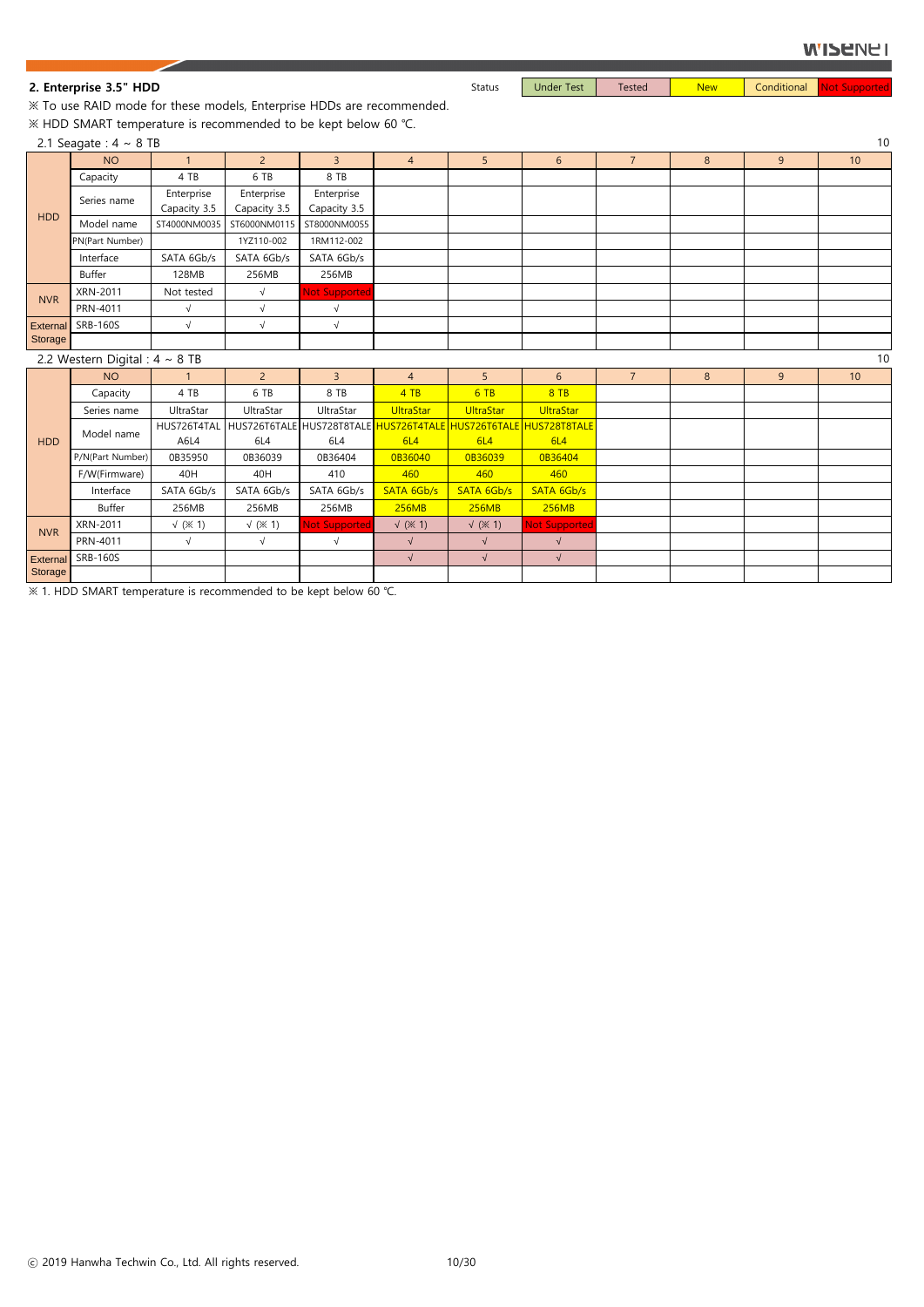#### **WISENEI**

※ To use RAID mode for these models, Enterprise HDDs are recommended. ※ HDD SMART temperature is recommended to be kept below 60 ℃.

|                 | 2.1 Seagate: $4 \sim 8$ TB          |                            |                            |                                                      |                               |                |                           |                |   |   | 10 |
|-----------------|-------------------------------------|----------------------------|----------------------------|------------------------------------------------------|-------------------------------|----------------|---------------------------|----------------|---|---|----|
|                 | <b>NO</b>                           | $\mathbf{1}$               | $\overline{2}$             | $\overline{3}$                                       | $\overline{4}$                | 5 <sup>1</sup> | 6                         | $\overline{7}$ | 8 | 9 | 10 |
|                 | Capacity                            | 4 TB                       | 6 TB                       | 8 TB                                                 |                               |                |                           |                |   |   |    |
|                 | Series name                         | Enterprise<br>Capacity 3.5 | Enterprise<br>Capacity 3.5 | Enterprise<br>Capacity 3.5                           |                               |                |                           |                |   |   |    |
| <b>HDD</b>      | Model name                          | ST4000NM0035               | ST6000NM0115               | ST8000NM0055                                         |                               |                |                           |                |   |   |    |
|                 | PN(Part Number)                     |                            | 1YZ110-002                 | 1RM112-002                                           |                               |                |                           |                |   |   |    |
|                 | Interface                           | SATA 6Gb/s                 | SATA 6Gb/s                 | SATA 6Gb/s                                           |                               |                |                           |                |   |   |    |
|                 | <b>Buffer</b>                       | 128MB                      | 256MB                      | 256MB                                                |                               |                |                           |                |   |   |    |
| <b>NVR</b>      | XRN-2011                            | Not tested                 | $\sqrt{ }$                 | <b>Not Supported</b>                                 |                               |                |                           |                |   |   |    |
|                 | PRN-4011                            | $\sqrt{}$                  | $\sqrt{ }$                 | $\sqrt{ }$                                           |                               |                |                           |                |   |   |    |
| <b>External</b> | <b>SRB-160S</b>                     | $\sqrt{}$                  | $\sqrt{ }$                 | $\sqrt{ }$                                           |                               |                |                           |                |   |   |    |
| Storage         |                                     |                            |                            |                                                      |                               |                |                           |                |   |   |    |
|                 | 2.2 Western Digital : $4 \sim 8$ TB |                            |                            |                                                      |                               |                |                           |                |   |   | 10 |
|                 | <b>NO</b>                           | 1                          | $2^{\circ}$                | $\overline{3}$                                       | $\overline{4}$                | 5 <sup>1</sup> | 6                         | $\overline{7}$ | 8 | 9 | 10 |
|                 | Capacity                            | 4 TB                       | 6 TB                       | 8 TB                                                 | 4TB                           | 6TB            | 8TB                       |                |   |   |    |
|                 | Series name                         | UltraStar                  | UltraStar                  | UltraStar                                            | <b>UltraStar</b>              | UltraStar      | UltraStar                 |                |   |   |    |
|                 | Model name                          | HUS726T4TAL                |                            | HUS726T6TALE HUS728T8TALE <mark> HUS726T4TALE</mark> |                               |                | HUS726T6TALE HUS728T8TALE |                |   |   |    |
| <b>HDD</b>      |                                     | A6L4                       | 6L4                        | 6L4                                                  | 6L4                           | 6L4            | 6L4                       |                |   |   |    |
|                 | P/N(Part Number)                    | 0B35950                    | 0B36039                    | 0B36404                                              | 0B36040                       | 0B36039        | 0B36404                   |                |   |   |    |
|                 | F/W(Firmware)                       | 40H                        | 40H                        | 410                                                  | 460                           | 460            | 460                       |                |   |   |    |
|                 | Interface                           | SATA 6Gb/s                 | SATA 6Gb/s                 | SATA 6Gb/s                                           | SATA 6Gb/s                    | SATA 6Gb/s     | SATA 6Gb/s                |                |   |   |    |
|                 | <b>Buffer</b>                       | 256MB                      | 256MB                      | 256MB                                                | 256MB                         | 256MB          | 256MB                     |                |   |   |    |
| <b>NVR</b>      | XRN-2011                            | $\sqrt{(x + 1)}$           | $\sqrt{(x + 1)}$           | <b>Not Supported</b>                                 | $\sqrt{*}$ ( $\frac{3}{2}$ 1) | $\sqrt{(x 1)}$ | Not Supportec             |                |   |   |    |
|                 | PRN-4011                            | $\sqrt{}$                  | $\sqrt{ }$                 | $\sqrt{ }$                                           | $\sqrt{}$                     | $\sqrt{}$      | $\sqrt{ }$                |                |   |   |    |
| <b>External</b> | <b>SRB-160S</b>                     |                            |                            |                                                      | $\sqrt{}$                     | $\sqrt{}$      | $\sqrt{ }$                |                |   |   |    |
| Storage         |                                     |                            |                            |                                                      |                               |                |                           |                |   |   |    |

※ 1. HDD SMART temperature is recommended to be kept below 60 ℃.

**2. Enterprise 3.5" HDD** Status | Under Test | Tested | New Conditional Not Supported New Conditional Not Supported

ⓒ 2019 Hanwha Techwin Co., Ltd. All rights reserved. 10/30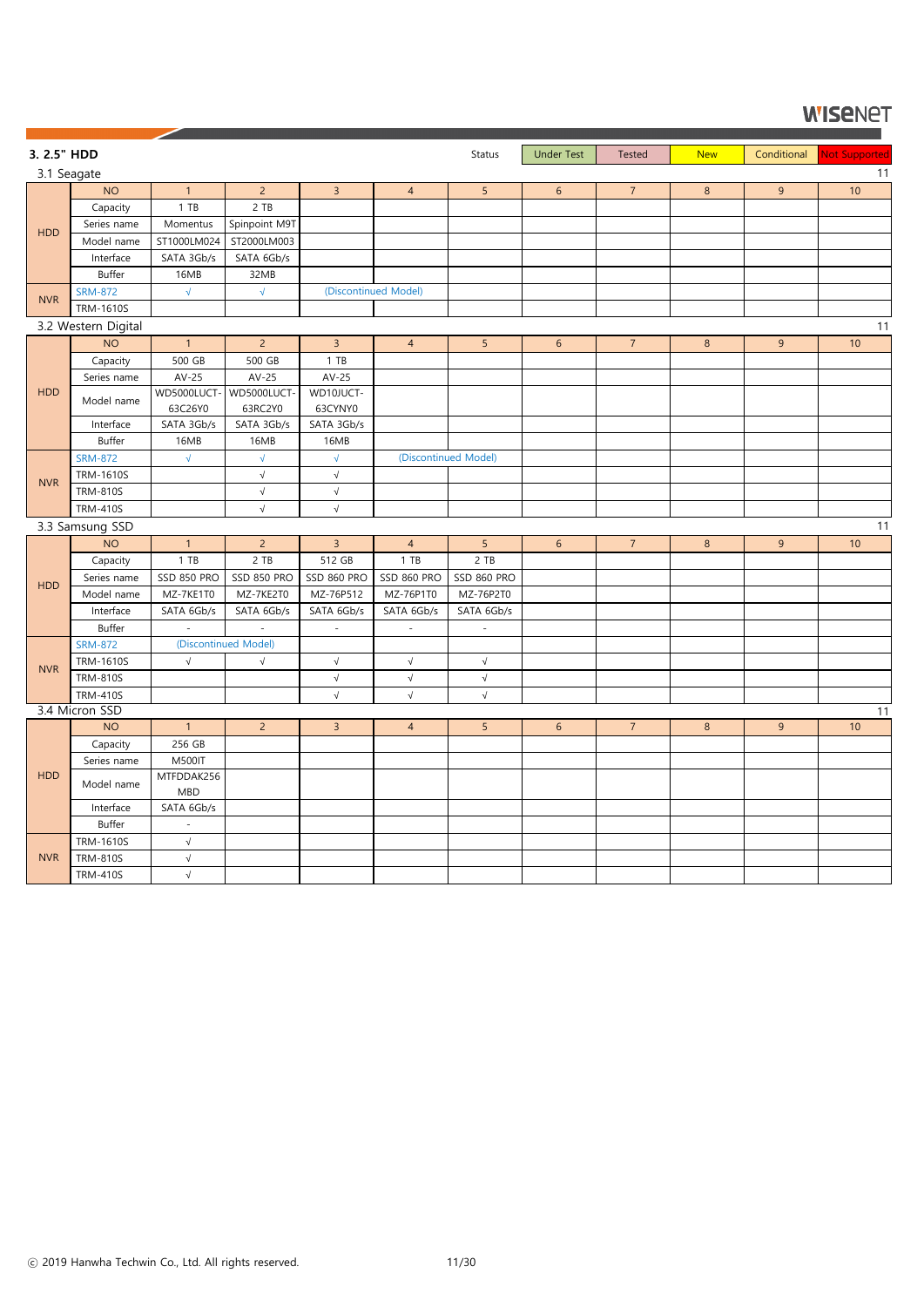| 3. 2.5" HDD |                             |                    |                      |                    |                          | Status                   | <b>Under Test</b> | Tested         | <b>New</b>     | Conditional |                     |
|-------------|-----------------------------|--------------------|----------------------|--------------------|--------------------------|--------------------------|-------------------|----------------|----------------|-------------|---------------------|
| 3.1 Seagate |                             |                    |                      |                    |                          |                          |                   |                |                |             | Not Supported<br>11 |
|             | <b>NO</b>                   | $\mathbf{1}$       | $\overline{2}$       | $\overline{3}$     | $\overline{4}$           | 5                        | $6\,$             | $\overline{7}$ | $8\phantom{1}$ | 9           | 10                  |
|             | Capacity                    | 1 T B              | 2 TB                 |                    |                          |                          |                   |                |                |             |                     |
|             | Series name                 | Momentus           | Spinpoint M9T        |                    |                          |                          |                   |                |                |             |                     |
| <b>HDD</b>  | Model name                  | ST1000LM024        | ST2000LM003          |                    |                          |                          |                   |                |                |             |                     |
|             | Interface                   | SATA 3Gb/s         | SATA 6Gb/s           |                    |                          |                          |                   |                |                |             |                     |
|             | Buffer                      | 16MB               | 32MB                 |                    |                          |                          |                   |                |                |             |                     |
|             | <b>SRM-872</b>              | $\sqrt{ }$         | $\sqrt{}$            |                    | (Discontinued Model)     |                          |                   |                |                |             |                     |
| <b>NVR</b>  | <b>TRM-1610S</b>            |                    |                      |                    |                          |                          |                   |                |                |             |                     |
|             | 3.2 Western Digital         |                    |                      |                    |                          |                          |                   |                |                |             | 11                  |
|             | <b>NO</b>                   | $\mathbf{1}$       | $\overline{2}$       | $\overline{3}$     | $\overline{4}$           | 5 <sub>5</sub>           | 6                 | $\overline{7}$ | 8              | 9           | 10                  |
|             | Capacity                    | 500 GB             | 500 GB               | 1 T B              |                          |                          |                   |                |                |             |                     |
|             | Series name                 | $AV-25$            | $AV-25$              | $AV-25$            |                          |                          |                   |                |                |             |                     |
| <b>HDD</b>  | Model name                  | WD5000LUCT-        | WD5000LUCT-          | WD10JUCT-          |                          |                          |                   |                |                |             |                     |
|             |                             | 63C26Y0            | 63RC2Y0              | 63CYNY0            |                          |                          |                   |                |                |             |                     |
|             | Interface                   | SATA 3Gb/s         | SATA 3Gb/s           | SATA 3Gb/s         |                          |                          |                   |                |                |             |                     |
|             | Buffer                      | 16MB               | 16MB                 | 16MB               |                          |                          |                   |                |                |             |                     |
|             | <b>SRM-872</b>              | $\sqrt{ }$         | $\sqrt{}$            | $\sqrt{ }$         |                          | (Discontinued Model)     |                   |                |                |             |                     |
| <b>NVR</b>  | <b>TRM-1610S</b>            |                    | $\sqrt{ }$           | $\sqrt{ }$         |                          |                          |                   |                |                |             |                     |
|             | <b>TRM-810S</b>             |                    | $\sqrt{ }$           | $\sqrt{}$          |                          |                          |                   |                |                |             |                     |
|             | <b>TRM-410S</b>             |                    | $\sqrt{ }$           | $\sqrt{ }$         |                          |                          |                   |                |                |             |                     |
|             | 3.3 Samsung SSD             |                    |                      |                    |                          |                          |                   |                |                |             | 11                  |
|             | <b>NO</b>                   | $\mathbf{1}$       | $\overline{2}$       | $\overline{3}$     | $\overline{4}$           | 5                        | $6\phantom{.}6$   | $\overline{7}$ | 8              | 9           | 10                  |
|             | Capacity                    | 1 T B              | $2$ TB               | 512 GB             | $1$ TB                   | 2 TB                     |                   |                |                |             |                     |
| HDD         | Series name                 | <b>SSD 850 PRO</b> | SSD 850 PRO          | <b>SSD 860 PRO</b> | <b>SSD 860 PRO</b>       | SSD 860 PRO              |                   |                |                |             |                     |
|             | Model name                  | MZ-7KE1T0          | MZ-7KE2T0            | MZ-76P512          | MZ-76P1T0                | MZ-76P2T0                |                   |                |                |             |                     |
|             | Interface                   | SATA 6Gb/s         | SATA 6Gb/s           | SATA 6Gb/s         | SATA 6Gb/s               | SATA 6Gb/s               |                   |                |                |             |                     |
|             | Buffer                      | $\sim$             | $\sim$               | $\sim$             | $\overline{\phantom{a}}$ | $\overline{\phantom{a}}$ |                   |                |                |             |                     |
|             | <b>SRM-872</b>              |                    | (Discontinued Model) |                    |                          |                          |                   |                |                |             |                     |
| <b>NVR</b>  | <b>TRM-1610S</b>            | $\sqrt{ }$         | $\sqrt{}$            | $\sqrt{ }$         | $\sqrt{}$                | $\sqrt{}$                |                   |                |                |             |                     |
|             | <b>TRM-810S</b>             |                    |                      | $\sqrt{}$          | $\sqrt{}$                | $\sqrt{}$                |                   |                |                |             |                     |
|             | <b>TRM-410S</b>             |                    |                      | $\sqrt{ }$         | $\sqrt{ }$               | $\sqrt{}$                |                   |                |                |             |                     |
|             | 3.4 Micron SSD<br><b>NO</b> | $1 -$              | $2^{\circ}$          | 3 <sup>7</sup>     | $\overline{4}$           | 5 <sub>1</sub>           | 6 <sup>1</sup>    | 7 <sup>1</sup> | 8 <sup>°</sup> | 9           | 11<br>10            |
|             | Capacity                    | 256 GB             |                      |                    |                          |                          |                   |                |                |             |                     |
|             | Series name                 | <b>M500IT</b>      |                      |                    |                          |                          |                   |                |                |             |                     |
| <b>HDD</b>  |                             | MTFDDAK256         |                      |                    |                          |                          |                   |                |                |             |                     |
|             | Model name                  | <b>MBD</b>         |                      |                    |                          |                          |                   |                |                |             |                     |
|             | Interface                   | SATA 6Gb/s         |                      |                    |                          |                          |                   |                |                |             |                     |
|             | Buffer                      | $\sim$             |                      |                    |                          |                          |                   |                |                |             |                     |
|             | <b>TRM-1610S</b>            | $\sqrt{ }$         |                      |                    |                          |                          |                   |                |                |             |                     |
| <b>NVR</b>  | <b>TRM-810S</b>             | $\sqrt{ }$         |                      |                    |                          |                          |                   |                |                |             |                     |
|             | <b>TRM-410S</b>             | $\sqrt{ }$         |                      |                    |                          |                          |                   |                |                |             |                     |

ⓒ 2019 Hanwha Techwin Co., Ltd. All rights reserved. 11/30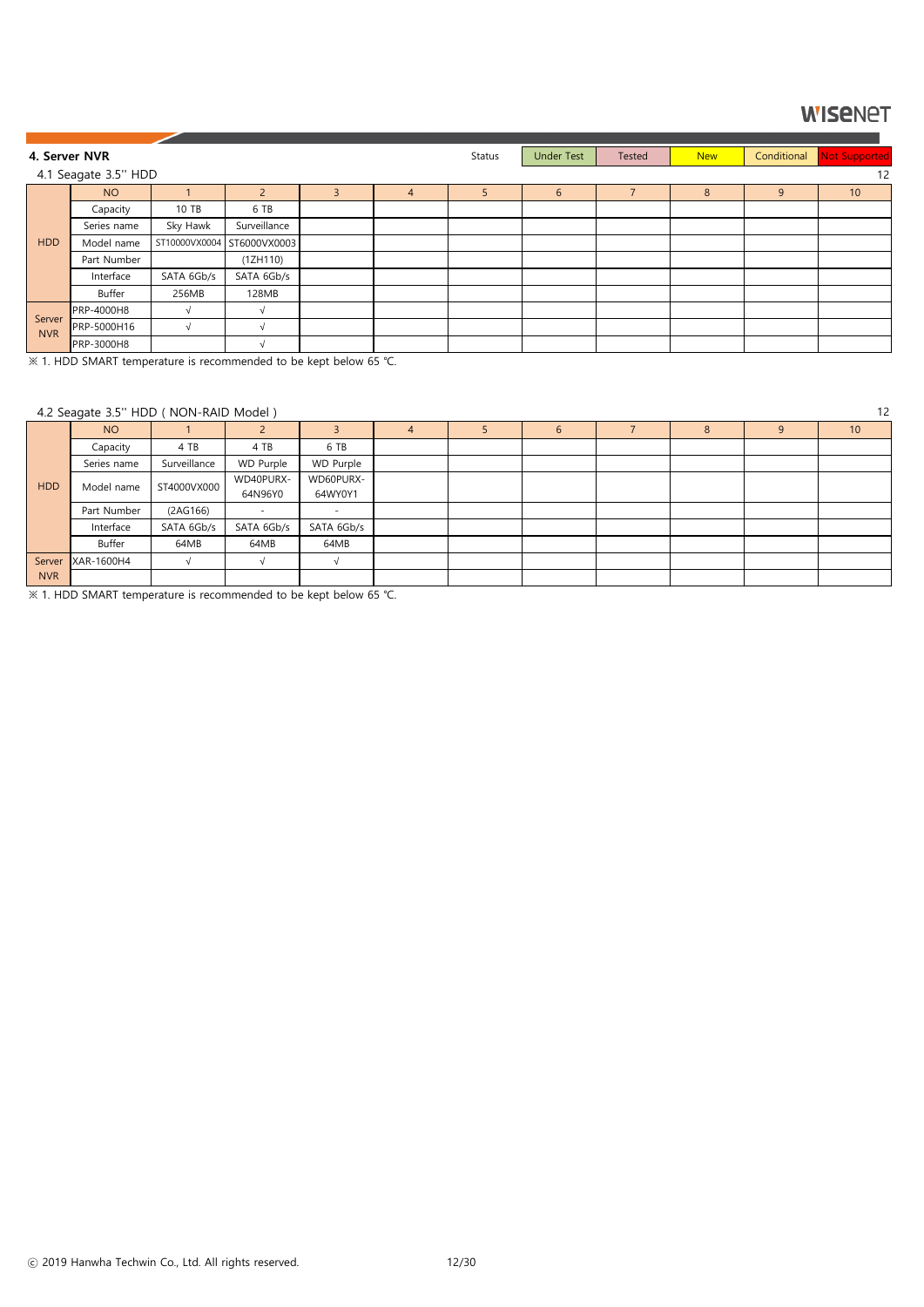※ 1. HDD SMART temperature is recommended to be kept below 65 ℃.

### **WISENET**

| 4. Server NVR        |                      |            |                            |   |   | Status | <b>Under Test</b> | Tested         | <b>New</b> | Conditional | Not Supported |
|----------------------|----------------------|------------|----------------------------|---|---|--------|-------------------|----------------|------------|-------------|---------------|
|                      | 4.1 Seagate 3.5" HDD |            |                            |   |   |        |                   |                |            |             | 12            |
|                      | <b>NO</b>            |            | $\mathcal{P}$              | 3 | 4 |        | $6\phantom{.}6$   | $\overline{7}$ | 8          | 9           | 10            |
|                      | Capacity             | 10 TB      | 6 TB                       |   |   |        |                   |                |            |             |               |
|                      | Series name          | Sky Hawk   | Surveillance               |   |   |        |                   |                |            |             |               |
| <b>HDD</b>           | Model name           |            | ST10000VX0004 ST6000VX0003 |   |   |        |                   |                |            |             |               |
|                      | Part Number          |            | (1ZH110)                   |   |   |        |                   |                |            |             |               |
|                      | Interface            | SATA 6Gb/s | SATA 6Gb/s                 |   |   |        |                   |                |            |             |               |
|                      | Buffer               | 256MB      | 128MB                      |   |   |        |                   |                |            |             |               |
|                      | <b>PRP-4000H8</b>    |            |                            |   |   |        |                   |                |            |             |               |
| Server<br><b>NVR</b> | PRP-5000H16          | $\sqrt{ }$ |                            |   |   |        |                   |                |            |             |               |
|                      | <b>PRP-3000H8</b>    |            |                            |   |   |        |                   |                |            |             |               |

#### 4.2 Seagate 3.5'' HDD ( NON-RAID Model ) 12

|            | $\frac{1}{2}$ seagate 5.5 $\frac{1}{2}$ , $\frac{1}{2}$ , $\frac{1}{2}$ , $\frac{1}{2}$ , $\frac{1}{2}$ , $\frac{1}{2}$ , $\frac{1}{2}$ |              |                  |                          |  |  |               |  |   |  |                 |
|------------|-----------------------------------------------------------------------------------------------------------------------------------------|--------------|------------------|--------------------------|--|--|---------------|--|---|--|-----------------|
|            | <b>NO</b>                                                                                                                               |              |                  |                          |  |  | $\mathfrak b$ |  | ŏ |  | 10 <sup>°</sup> |
|            | Capacity                                                                                                                                | 4 TB         | 4 TB             | 6 TB                     |  |  |               |  |   |  |                 |
|            | Series name                                                                                                                             | Surveillance | <b>WD Purple</b> | WD Purple                |  |  |               |  |   |  |                 |
| <b>HDD</b> | Model name                                                                                                                              | ST4000VX000  | WD40PURX-        | WD60PURX-                |  |  |               |  |   |  |                 |
|            |                                                                                                                                         |              | 64N96Y0          | 64WY0Y1                  |  |  |               |  |   |  |                 |
|            | Part Number                                                                                                                             | (2AG166)     |                  | $\overline{\phantom{0}}$ |  |  |               |  |   |  |                 |
|            | Interface                                                                                                                               | SATA 6Gb/s   | SATA 6Gb/s       | SATA 6Gb/s               |  |  |               |  |   |  |                 |
|            | Buffer                                                                                                                                  | 64MB         | 64MB             | 64MB                     |  |  |               |  |   |  |                 |
| Server     | XAR-1600H4                                                                                                                              |              | $\lceil$         |                          |  |  |               |  |   |  |                 |
| <b>NVR</b> |                                                                                                                                         |              |                  |                          |  |  |               |  |   |  |                 |

※ 1. HDD SMART temperature is recommended to be kept below 65 ℃.

ⓒ 2019 Hanwha Techwin Co., Ltd. All rights reserved. 12/30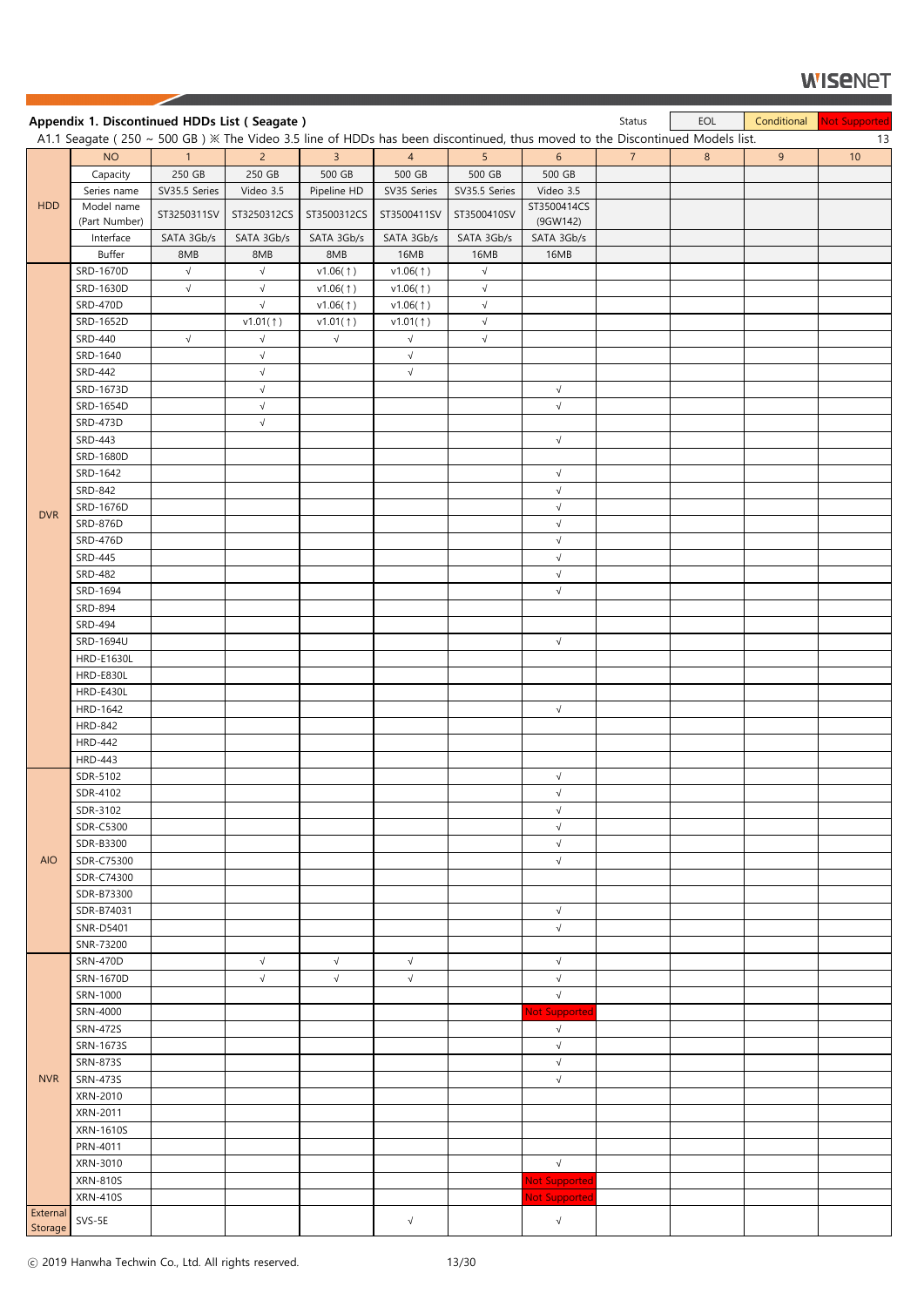|            | Appendix 1. Discontinued HDDs List (Seagate)                                                                                |               |                       |                      |                      |                        |                          | Status         | EOL            | Conditional | Not Supported |
|------------|-----------------------------------------------------------------------------------------------------------------------------|---------------|-----------------------|----------------------|----------------------|------------------------|--------------------------|----------------|----------------|-------------|---------------|
|            | A1.1 Seagate (250 ~ 500 GB) ※ The Video 3.5 line of HDDs has been discontinued, thus moved to the Discontinued Models list. |               |                       |                      |                      |                        |                          |                |                |             | 13            |
|            | <b>NO</b>                                                                                                                   | $\mathbf{1}$  | $\overline{2}$        | 3 <sup>1</sup>       | $\overline{4}$       | 5                      | $6\overline{6}$          | 7 <sup>1</sup> | 8 <sup>°</sup> | 9           | 10            |
|            | Capacity                                                                                                                    | 250 GB        | 250 GB                | 500 GB               | 500 GB               | 500 GB                 | 500 GB                   |                |                |             |               |
| <b>HDD</b> | Series name<br>Model name                                                                                                   | SV35.5 Series | Video 3.5             | Pipeline HD          | SV35 Series          | SV35.5 Series          | Video 3.5<br>ST3500414CS |                |                |             |               |
|            | (Part Number)                                                                                                               | ST3250311SV   | ST3250312CS           | ST3500312CS          | ST3500411SV          | ST3500410SV            | (9GW142)                 |                |                |             |               |
|            | Interface                                                                                                                   | SATA 3Gb/s    | SATA 3Gb/s            | SATA 3Gb/s           | SATA 3Gb/s           | SATA 3Gb/s             | SATA 3Gb/s               |                |                |             |               |
|            | Buffer                                                                                                                      | 8MB           | 8MB                   | 8MB                  | 16MB                 | 16MB                   | 16MB                     |                |                |             |               |
|            | SRD-1670D                                                                                                                   | $\sqrt{ }$    | $\sqrt{}$             | v1.06(†)             | v1.06(1)             | $\sqrt{ }$             |                          |                |                |             |               |
|            | SRD-1630D                                                                                                                   | $\sqrt{ }$    | $\sqrt{}$             | v1.06(†)             | v1.06(1)             | $\sqrt{ }$             |                          |                |                |             |               |
|            | <b>SRD-470D</b><br>SRD-1652D                                                                                                |               | $\sqrt{}$<br>v1.01(†) | v1.06(1)<br>v1.01(†) | v1.06(1)<br>v1.01(†) | $\sqrt{}$<br>$\sqrt{}$ |                          |                |                |             |               |
|            | <b>SRD-440</b>                                                                                                              | $\sqrt{ }$    | $\sqrt{}$             | $\sqrt{ }$           | $\sqrt{}$            | $\sqrt{}$              |                          |                |                |             |               |
|            | SRD-1640                                                                                                                    |               | $\sqrt{ }$            |                      | $\sqrt{}$            |                        |                          |                |                |             |               |
|            | <b>SRD-442</b>                                                                                                              |               | $\sqrt{}$             |                      | $\sqrt{}$            |                        |                          |                |                |             |               |
|            | SRD-1673D                                                                                                                   |               | $\sqrt{}$             |                      |                      |                        | $\sqrt{ }$               |                |                |             |               |
|            | SRD-1654D                                                                                                                   |               | $\sqrt{}$             |                      |                      |                        | $\sqrt{ }$               |                |                |             |               |
|            | <b>SRD-473D</b>                                                                                                             |               | $\sqrt{}$             |                      |                      |                        |                          |                |                |             |               |
|            | <b>SRD-443</b>                                                                                                              |               |                       |                      |                      |                        | $\sqrt{ }$               |                |                |             |               |
|            | SRD-1680D                                                                                                                   |               |                       |                      |                      |                        |                          |                |                |             |               |
|            | SRD-1642                                                                                                                    |               |                       |                      |                      |                        | $\sqrt{ }$               |                |                |             |               |
|            | SRD-842<br>SRD-1676D                                                                                                        |               |                       |                      |                      |                        | $\sqrt{ }$<br>$\sqrt{ }$ |                |                |             |               |
| <b>DVR</b> | <b>SRD-876D</b>                                                                                                             |               |                       |                      |                      |                        | $\sqrt{ }$               |                |                |             |               |
|            | <b>SRD-476D</b>                                                                                                             |               |                       |                      |                      |                        | $\sqrt{}$                |                |                |             |               |
|            | SRD-445                                                                                                                     |               |                       |                      |                      |                        | $\sqrt{ }$               |                |                |             |               |
|            | <b>SRD-482</b>                                                                                                              |               |                       |                      |                      |                        | $\sqrt{}$                |                |                |             |               |
|            | SRD-1694                                                                                                                    |               |                       |                      |                      |                        | $\sqrt{ }$               |                |                |             |               |
|            | SRD-894                                                                                                                     |               |                       |                      |                      |                        |                          |                |                |             |               |
|            | <b>SRD-494</b>                                                                                                              |               |                       |                      |                      |                        |                          |                |                |             |               |
|            | SRD-1694U                                                                                                                   |               |                       |                      |                      |                        | $\sqrt{ }$               |                |                |             |               |
|            | <b>HRD-E1630L</b>                                                                                                           |               |                       |                      |                      |                        |                          |                |                |             |               |
|            | <b>HRD-E830L</b><br><b>HRD-E430L</b>                                                                                        |               |                       |                      |                      |                        |                          |                |                |             |               |
|            | HRD-1642                                                                                                                    |               |                       |                      |                      |                        | $\sqrt{ }$               |                |                |             |               |
|            | <b>HRD-842</b>                                                                                                              |               |                       |                      |                      |                        |                          |                |                |             |               |
|            | <b>HRD-442</b>                                                                                                              |               |                       |                      |                      |                        |                          |                |                |             |               |
|            | <b>HRD-443</b>                                                                                                              |               |                       |                      |                      |                        |                          |                |                |             |               |
|            | SDR-5102                                                                                                                    |               |                       |                      |                      |                        | $\sqrt{ }$               |                |                |             |               |
|            | SDR-4102                                                                                                                    |               |                       |                      |                      |                        | $\sqrt{ }$               |                |                |             |               |
|            | SDR-3102                                                                                                                    |               |                       |                      |                      |                        | $\sqrt{ }$<br>$\sqrt{ }$ |                |                |             |               |
|            | SDR-C5300<br>SDR-B3300                                                                                                      |               |                       |                      |                      |                        | $\sqrt{ }$               |                |                |             |               |
| <b>AIO</b> | SDR-C75300                                                                                                                  |               |                       |                      |                      |                        | $\sqrt{ }$               |                |                |             |               |
|            | SDR-C74300                                                                                                                  |               |                       |                      |                      |                        |                          |                |                |             |               |
|            | SDR-B73300                                                                                                                  |               |                       |                      |                      |                        |                          |                |                |             |               |
|            | SDR-B74031                                                                                                                  |               |                       |                      |                      |                        | $\sqrt{ }$               |                |                |             |               |
|            | <b>SNR-D5401</b>                                                                                                            |               |                       |                      |                      |                        | $\sqrt{ }$               |                |                |             |               |
|            | SNR-73200                                                                                                                   |               |                       |                      |                      |                        |                          |                |                |             |               |
|            | <b>SRN-470D</b>                                                                                                             |               | $\sqrt{}$             | $\sqrt{ }$           | $\sqrt{}$            |                        | $\sqrt{ }$               |                |                |             |               |
|            | SRN-1670D<br>SRN-1000                                                                                                       |               | $\sqrt{}$             | $\sqrt{ }$           | $\sqrt{}$            |                        | $\sqrt{ }$<br>$\sqrt{ }$ |                |                |             |               |
|            | SRN-4000                                                                                                                    |               |                       |                      |                      |                        | Not Supported            |                |                |             |               |
|            | <b>SRN-472S</b>                                                                                                             |               |                       |                      |                      |                        | $\sqrt{}$                |                |                |             |               |
|            | SRN-1673S                                                                                                                   |               |                       |                      |                      |                        | $\sqrt{ }$               |                |                |             |               |
|            | <b>SRN-873S</b>                                                                                                             |               |                       |                      |                      |                        | $\sqrt{ }$               |                |                |             |               |
| <b>NVR</b> | <b>SRN-473S</b>                                                                                                             |               |                       |                      |                      |                        | $\sqrt{}$                |                |                |             |               |
|            | XRN-2010                                                                                                                    |               |                       |                      |                      |                        |                          |                |                |             |               |
|            | XRN-2011                                                                                                                    |               |                       |                      |                      |                        |                          |                |                |             |               |
|            | XRN-1610S                                                                                                                   |               |                       |                      |                      |                        |                          |                |                |             |               |
|            | PRN-4011<br>XRN-3010                                                                                                        |               |                       |                      |                      |                        | $\sqrt{ }$               |                |                |             |               |
|            | <b>XRN-810S</b>                                                                                                             |               |                       |                      |                      |                        | <b>Not Supported</b>     |                |                |             |               |
|            | <b>XRN-410S</b>                                                                                                             |               |                       |                      |                      |                        | <b>Not Supported</b>     |                |                |             |               |
| External   |                                                                                                                             |               |                       |                      |                      |                        |                          |                |                |             |               |
| Storage    | SVS-5E                                                                                                                      |               |                       |                      | $\sqrt{}$            |                        | $\sqrt{}$                |                |                |             |               |

ⓒ 2019 Hanwha Techwin Co., Ltd. All rights reserved. 13/30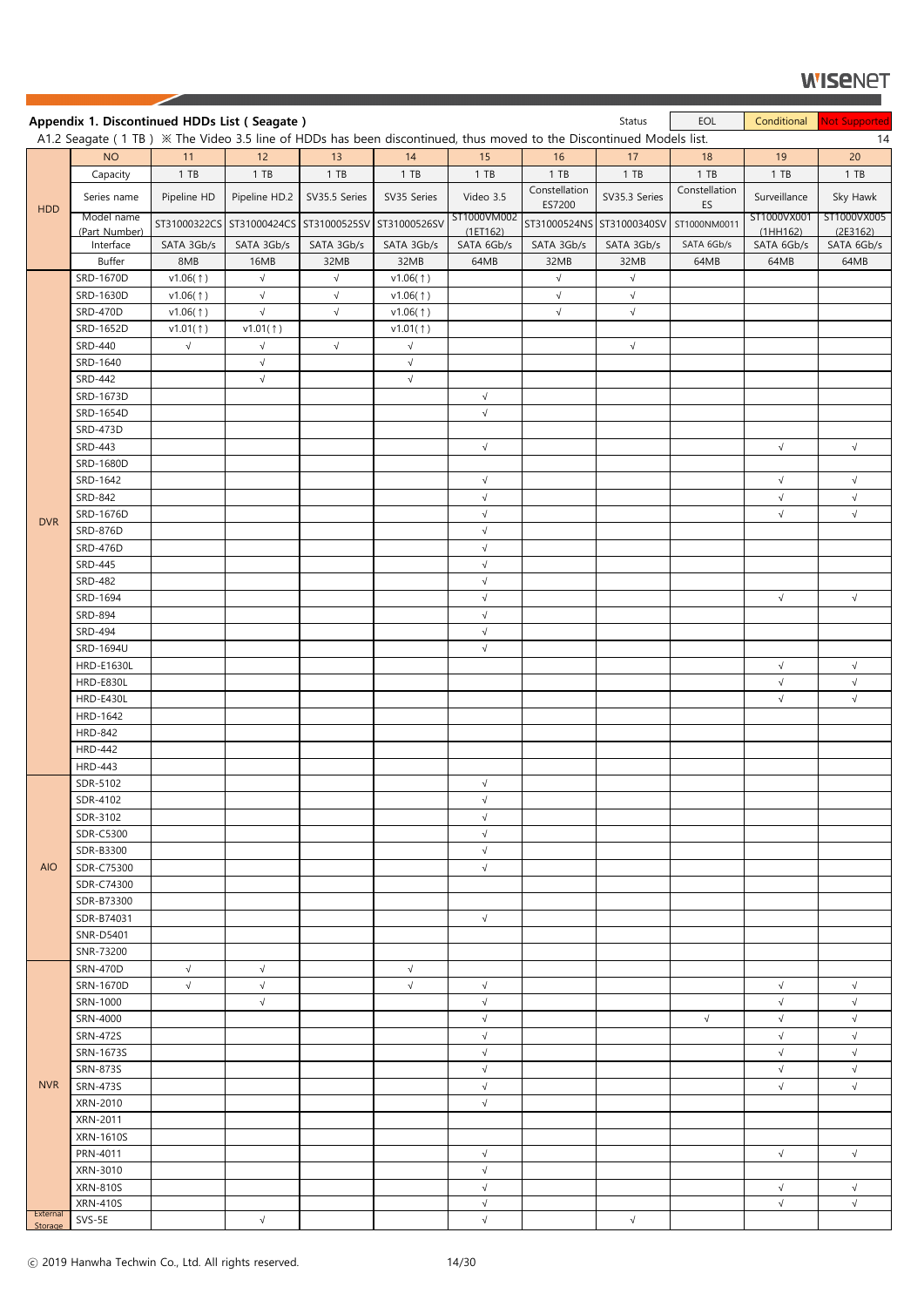|                     | Appendix 1. Discontinued HDDs List (Seagate)                                                                                    |             |               |                                                     |             |                          |                                        | Status        | EOL                 | Conditional            | Not Supported          |
|---------------------|---------------------------------------------------------------------------------------------------------------------------------|-------------|---------------|-----------------------------------------------------|-------------|--------------------------|----------------------------------------|---------------|---------------------|------------------------|------------------------|
|                     | A1.2 Seagate (1 TB) $\frac{1}{2}$ The Video 3.5 line of HDDs has been discontinued, thus moved to the Discontinued Models list. |             |               |                                                     |             |                          |                                        |               |                     |                        | 14                     |
|                     | <b>NO</b>                                                                                                                       | 11          | 12            | 13                                                  | 14          | 15                       | 16                                     | 17            | 18                  | 19                     | 20                     |
|                     | Capacity                                                                                                                        | 1 T B       | $1$ TB        | 1 T B                                               | $1$ TB      | $1$ TB                   | $1$ TB                                 | 1 T B         | $1$ TB              | 1 T B                  | 1 TB                   |
| <b>HDD</b>          | Series name                                                                                                                     | Pipeline HD | Pipeline HD.2 | SV35.5 Series                                       | SV35 Series | Video 3.5                | Constellation<br>ES7200                | SV35.3 Series | Constellation<br>ES | Surveillance           | Sky Hawk               |
|                     | Model name                                                                                                                      |             |               | ST31000322CS ST31000424CS ST31000525SV ST31000526SV |             | ST1000VM002              | ST31000524NS ST31000340SV ST1000NM0011 |               |                     | ST1000VX001            | ST1000VX005            |
|                     | (Part Number)<br>Interface                                                                                                      | SATA 3Gb/s  | SATA 3Gb/s    | SATA 3Gb/s                                          | SATA 3Gb/s  | (1E T 162)<br>SATA 6Gb/s | SATA 3Gb/s                             | SATA 3Gb/s    | SATA 6Gb/s          | (1HH162)<br>SATA 6Gb/s | (2E3162)<br>SATA 6Gb/s |
|                     | <b>Buffer</b>                                                                                                                   | 8MB         | 16MB          | 32MB                                                | 32MB        | 64MB                     | 32MB                                   | 32MB          | 64MB                | 64MB                   | 64MB                   |
|                     | SRD-1670D                                                                                                                       | v1.06(†)    | $\sqrt{ }$    | $\sqrt{}$                                           | v1.06(1)    |                          | $\sqrt{ }$                             | $\sqrt{}$     |                     |                        |                        |
|                     | SRD-1630D                                                                                                                       | v1.06(†)    | $\sqrt{ }$    | $\sqrt{ }$                                          | v1.06(1)    |                          | $\sqrt{ }$                             | $\sqrt{ }$    |                     |                        |                        |
|                     | <b>SRD-470D</b>                                                                                                                 | v1.06(1)    | $\sqrt{ }$    | $\sqrt{ }$                                          | v1.06(1)    |                          | $\sqrt{ }$                             | $\sqrt{ }$    |                     |                        |                        |
|                     | SRD-1652D                                                                                                                       | v1.01(†)    | v1.01(†)      |                                                     | v1.01(†)    |                          |                                        |               |                     |                        |                        |
|                     | <b>SRD-440</b>                                                                                                                  | $\sqrt{ }$  | $\sqrt{}$     | $\sqrt{ }$                                          | $\sqrt{}$   |                          |                                        | $\sqrt{}$     |                     |                        |                        |
|                     | SRD-1640                                                                                                                        |             | $\sqrt{}$     |                                                     | $\sqrt{}$   |                          |                                        |               |                     |                        |                        |
|                     | <b>SRD-442</b>                                                                                                                  |             | $\sqrt{}$     |                                                     | $\sqrt{ }$  |                          |                                        |               |                     |                        |                        |
|                     | SRD-1673D                                                                                                                       |             |               |                                                     |             | $\sqrt{}$                |                                        |               |                     |                        |                        |
|                     | SRD-1654D                                                                                                                       |             |               |                                                     |             | $\sqrt{}$                |                                        |               |                     |                        |                        |
|                     | <b>SRD-473D</b>                                                                                                                 |             |               |                                                     |             |                          |                                        |               |                     |                        |                        |
|                     | <b>SRD-443</b>                                                                                                                  |             |               |                                                     |             | $\sqrt{}$                |                                        |               |                     | $\sqrt{}$              | $\sqrt{}$              |
|                     | SRD-1680D                                                                                                                       |             |               |                                                     |             |                          |                                        |               |                     |                        |                        |
|                     | SRD-1642                                                                                                                        |             |               |                                                     |             | $\sqrt{}$                |                                        |               |                     | $\sqrt{}$              | $\sqrt{}$              |
|                     | SRD-842                                                                                                                         |             |               |                                                     |             | $\sqrt{}$                |                                        |               |                     | $\sqrt{}$              | $\sqrt{}$              |
| <b>DVR</b>          | SRD-1676D                                                                                                                       |             |               |                                                     |             | $\sqrt{}$                |                                        |               |                     | $\sqrt{}$              | $\sqrt{}$              |
|                     | SRD-876D<br><b>SRD-476D</b>                                                                                                     |             |               |                                                     |             | $\sqrt{}$<br>$\sqrt{}$   |                                        |               |                     |                        |                        |
|                     | <b>SRD-445</b>                                                                                                                  |             |               |                                                     |             | $\sqrt{ }$               |                                        |               |                     |                        |                        |
|                     | <b>SRD-482</b>                                                                                                                  |             |               |                                                     |             | $\sqrt{ }$               |                                        |               |                     |                        |                        |
|                     | SRD-1694                                                                                                                        |             |               |                                                     |             | $\sqrt{}$                |                                        |               |                     | $\sqrt{}$              | $\sqrt{ }$             |
|                     | <b>SRD-894</b>                                                                                                                  |             |               |                                                     |             | $\sqrt{}$                |                                        |               |                     |                        |                        |
|                     | <b>SRD-494</b>                                                                                                                  |             |               |                                                     |             | $\sqrt{ }$               |                                        |               |                     |                        |                        |
|                     | SRD-1694U                                                                                                                       |             |               |                                                     |             | $\sqrt{}$                |                                        |               |                     |                        |                        |
|                     | <b>HRD-E1630L</b>                                                                                                               |             |               |                                                     |             |                          |                                        |               |                     | $\sqrt{}$              | $\sqrt{}$              |
|                     | <b>HRD-E830L</b>                                                                                                                |             |               |                                                     |             |                          |                                        |               |                     | $\sqrt{}$              | $\sqrt{}$              |
|                     | HRD-E430L                                                                                                                       |             |               |                                                     |             |                          |                                        |               |                     | $\sqrt{}$              | $\sqrt{}$              |
|                     | HRD-1642                                                                                                                        |             |               |                                                     |             |                          |                                        |               |                     |                        |                        |
|                     | <b>HRD-842</b>                                                                                                                  |             |               |                                                     |             |                          |                                        |               |                     |                        |                        |
|                     | <b>HRD-442</b>                                                                                                                  |             |               |                                                     |             |                          |                                        |               |                     |                        |                        |
|                     | <b>HRD-443</b>                                                                                                                  |             |               |                                                     |             |                          |                                        |               |                     |                        |                        |
|                     | SDR-5102                                                                                                                        |             |               |                                                     |             | $\sqrt{ }$               |                                        |               |                     |                        |                        |
|                     | SDR-4102                                                                                                                        |             |               |                                                     |             | $\sqrt{ }$               |                                        |               |                     |                        |                        |
|                     | SDR-3102<br>SDR-C5300                                                                                                           |             |               |                                                     |             | $\sqrt{ }$<br>$\sqrt{}$  |                                        |               |                     |                        |                        |
|                     | SDR-B3300                                                                                                                       |             |               |                                                     |             | $\sqrt{}$                |                                        |               |                     |                        |                        |
| <b>AIO</b>          | SDR-C75300                                                                                                                      |             |               |                                                     |             | $\sqrt{ }$               |                                        |               |                     |                        |                        |
|                     | SDR-C74300                                                                                                                      |             |               |                                                     |             |                          |                                        |               |                     |                        |                        |
|                     | SDR-B73300                                                                                                                      |             |               |                                                     |             |                          |                                        |               |                     |                        |                        |
|                     | SDR-B74031                                                                                                                      |             |               |                                                     |             | $\sqrt{}$                |                                        |               |                     |                        |                        |
|                     | <b>SNR-D5401</b>                                                                                                                |             |               |                                                     |             |                          |                                        |               |                     |                        |                        |
|                     | SNR-73200                                                                                                                       |             |               |                                                     |             |                          |                                        |               |                     |                        |                        |
|                     | <b>SRN-470D</b>                                                                                                                 | $\sqrt{ }$  | $\sqrt{ }$    |                                                     | $\sqrt{}$   |                          |                                        |               |                     |                        |                        |
|                     | SRN-1670D                                                                                                                       | $\sqrt{}$   | $\sqrt{}$     |                                                     | $\sqrt{}$   | $\sqrt{}$                |                                        |               |                     | $\sqrt{}$              | $\sqrt{}$              |
|                     | SRN-1000                                                                                                                        |             | $\sqrt{}$     |                                                     |             | $\sqrt{}$                |                                        |               |                     | $\sqrt{}$              | $\sqrt{ }$             |
|                     | SRN-4000                                                                                                                        |             |               |                                                     |             | $\sqrt{}$                |                                        |               | $\sqrt{ }$          | $\sqrt{}$              | $\sqrt{ }$             |
|                     | <b>SRN-472S</b>                                                                                                                 |             |               |                                                     |             | $\sqrt{}$                |                                        |               |                     | $\sqrt{}$              | $\sqrt{}$              |
|                     | SRN-1673S                                                                                                                       |             |               |                                                     |             | $\sqrt{ }$               |                                        |               |                     | $\sqrt{}$              | $\sqrt{ }$             |
|                     | <b>SRN-873S</b>                                                                                                                 |             |               |                                                     |             | $\sqrt{}$                |                                        |               |                     | $\sqrt{}$              | $\sqrt{ }$             |
| <b>NVR</b>          | <b>SRN-473S</b><br>XRN-2010                                                                                                     |             |               |                                                     |             | $\sqrt{}$                |                                        |               |                     | $\sqrt{}$              | $\sqrt{ }$             |
|                     | XRN-2011                                                                                                                        |             |               |                                                     |             | $\sqrt{ }$               |                                        |               |                     |                        |                        |
|                     | <b>XRN-1610S</b>                                                                                                                |             |               |                                                     |             |                          |                                        |               |                     |                        |                        |
|                     | PRN-4011                                                                                                                        |             |               |                                                     |             | $\sqrt{}$                |                                        |               |                     | $\sqrt{}$              | $\sqrt{ }$             |
|                     | XRN-3010                                                                                                                        |             |               |                                                     |             | $\sqrt{ }$               |                                        |               |                     |                        |                        |
|                     | <b>XRN-810S</b>                                                                                                                 |             |               |                                                     |             | $\sqrt{ }$               |                                        |               |                     | $\sqrt{}$              | $\sqrt{}$              |
|                     | <b>XRN-410S</b>                                                                                                                 |             |               |                                                     |             | $\sqrt{}$                |                                        |               |                     | $\sqrt{}$              | $\sqrt{ }$             |
| External<br>Storage | SVS-5E                                                                                                                          |             | $\sqrt{}$     |                                                     |             | $\sqrt{}$                |                                        | $\sqrt{}$     |                     |                        |                        |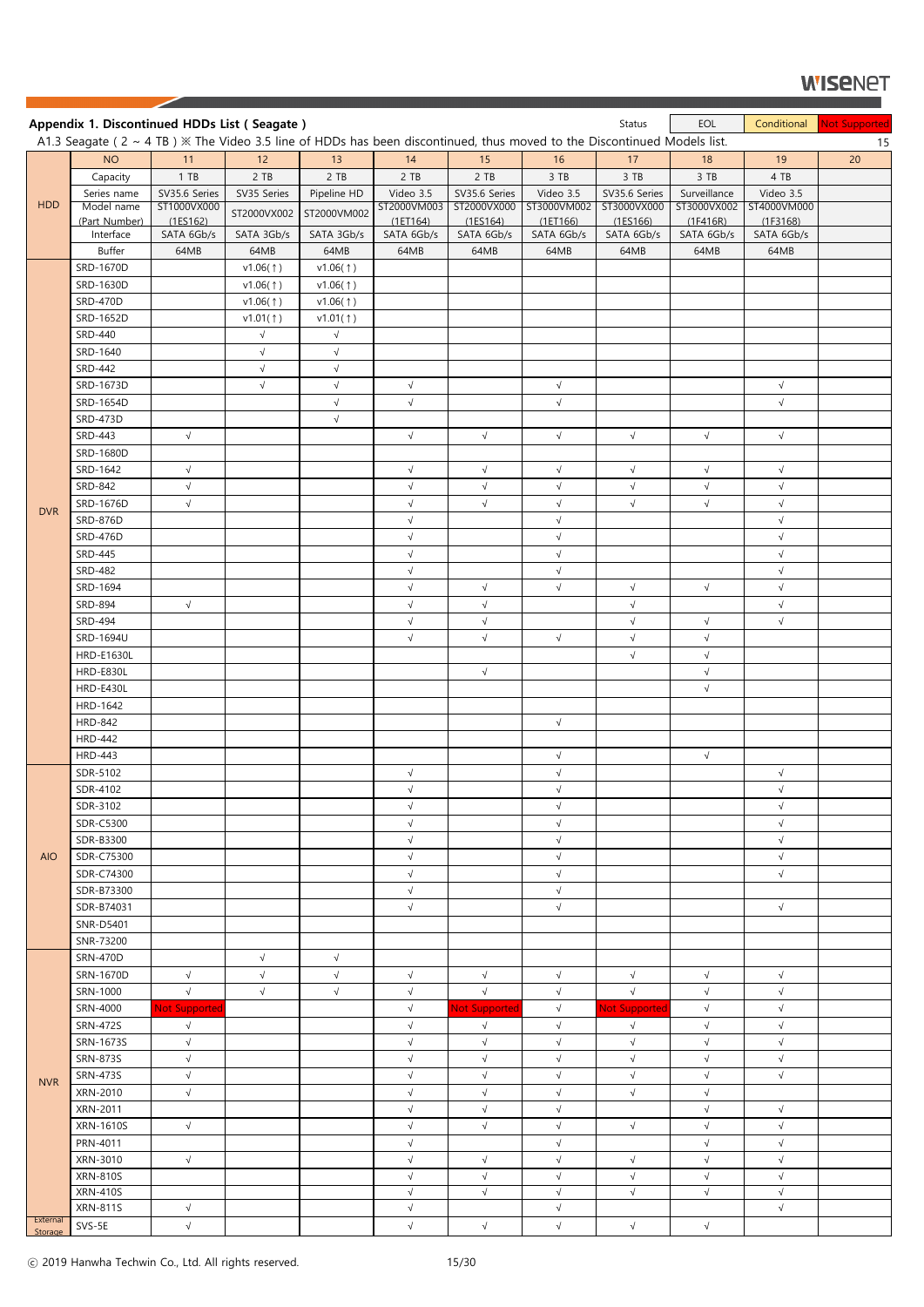|                     | Appendix 1. Discontinued HDDs List (Seagate)                                                                                     |                         |             |                          |                          |                         |                           | Status                  | EOL                      | Conditional             | <b>Not Supported</b> |
|---------------------|----------------------------------------------------------------------------------------------------------------------------------|-------------------------|-------------|--------------------------|--------------------------|-------------------------|---------------------------|-------------------------|--------------------------|-------------------------|----------------------|
|                     | A1.3 Seagate ( $2 \sim 4$ TB) $\%$ The Video 3.5 line of HDDs has been discontinued, thus moved to the Discontinued Models list. |                         |             |                          |                          |                         |                           |                         |                          |                         | 15                   |
|                     | <b>NO</b>                                                                                                                        | 11                      | 12          | 13                       | 14                       | 15                      | 16                        | 17                      | 18                       | 19                      | 20                   |
|                     | Capacity                                                                                                                         | 1 T B                   | 2 TB        | 2 TB                     | 2 TB                     | 2 TB                    | $3$ TB                    | 3 TB                    | 3 TB                     | 4 TB                    |                      |
|                     | Series name                                                                                                                      | SV35.6 Series           | SV35 Series | Pipeline HD              | Video 3.5                | SV35.6 Series           | Video 3.5                 | SV35.6 Series           | Surveillance             | Video 3.5               |                      |
| <b>HDD</b>          | Model name<br>(Part Number)                                                                                                      | ST1000VX000<br>(1ES162) | ST2000VX002 | ST2000VM002              | ST2000VM003<br>(1E T164) | ST2000VX000<br>(1EST64) | ST3000VM002<br>(1E T 166) | ST3000VX000<br>(1ES166) | ST3000VX002<br>(1F416R)  | ST4000VM000<br>(1F3168) |                      |
|                     | Interface                                                                                                                        | SATA 6Gb/s              | SATA 3Gb/s  | SATA 3Gb/s               | SATA 6Gb/s               | SATA 6Gb/s              | SATA 6Gb/s                | SATA 6Gb/s              | SATA 6Gb/s               | SATA 6Gb/s              |                      |
|                     | Buffer                                                                                                                           | 64MB                    | 64MB        | 64MB                     | 64MB                     | 64MB                    | 64MB                      | 64MB                    | 64MB                     | 64MB                    |                      |
|                     | SRD-1670D                                                                                                                        |                         | v1.06(1)    | v1.06(1)                 |                          |                         |                           |                         |                          |                         |                      |
|                     | SRD-1630D                                                                                                                        |                         | v1.06(†)    | v1.06(1)                 |                          |                         |                           |                         |                          |                         |                      |
|                     | <b>SRD-470D</b>                                                                                                                  |                         | v1.06(1)    | v1.06(1)                 |                          |                         |                           |                         |                          |                         |                      |
|                     | SRD-1652D                                                                                                                        |                         | v1.01(†)    | v1.01(†)                 |                          |                         |                           |                         |                          |                         |                      |
|                     | <b>SRD-440</b>                                                                                                                   |                         | $\sqrt{ }$  | $\sqrt{ }$               |                          |                         |                           |                         |                          |                         |                      |
|                     | SRD-1640                                                                                                                         |                         | $\sqrt{}$   | $\sqrt{ }$               |                          |                         |                           |                         |                          |                         |                      |
|                     | SRD-442                                                                                                                          |                         | $\sqrt{ }$  | $\sqrt{}$                |                          |                         |                           |                         |                          |                         |                      |
|                     | SRD-1673D                                                                                                                        |                         | $\sqrt{ }$  | $\sqrt{ }$               | $\sqrt{ }$<br>$\sqrt{}$  |                         | $\sqrt{ }$<br>$\sqrt{}$   |                         |                          | $\sqrt{ }$<br>$\sqrt{}$ |                      |
|                     | SRD-1654D<br><b>SRD-473D</b>                                                                                                     |                         |             | $\sqrt{ }$<br>$\sqrt{ }$ |                          |                         |                           |                         |                          |                         |                      |
|                     | <b>SRD-443</b>                                                                                                                   | $\sqrt{ }$              |             |                          | $\sqrt{}$                | $\sqrt{ }$              | $\sqrt{}$                 | $\sqrt{}$               | $\sqrt{ }$               | $\sqrt{}$               |                      |
|                     | SRD-1680D                                                                                                                        |                         |             |                          |                          |                         |                           |                         |                          |                         |                      |
|                     | SRD-1642                                                                                                                         | $\sqrt{}$               |             |                          | $\sqrt{ }$               | $\sqrt{ }$              | $\sqrt{}$                 | $\sqrt{}$               | $\sqrt{ }$               | $\sqrt{ }$              |                      |
|                     | SRD-842                                                                                                                          | $\sqrt{}$               |             |                          | $\sqrt{}$                | $\sqrt{ }$              | $\sqrt{}$                 | $\sqrt{ }$              | $\sqrt{ }$               | $\sqrt{}$               |                      |
|                     | SRD-1676D                                                                                                                        | $\sqrt{ }$              |             |                          | $\sqrt{}$                | $\sqrt{ }$              | $\sqrt{}$                 | $\sqrt{}$               | $\sqrt{ }$               | $\sqrt{}$               |                      |
| <b>DVR</b>          | <b>SRD-876D</b>                                                                                                                  |                         |             |                          | $\sqrt{}$                |                         | $\sqrt{ }$                |                         |                          | $\sqrt{}$               |                      |
|                     | <b>SRD-476D</b>                                                                                                                  |                         |             |                          | $\sqrt{ }$               |                         | $\sqrt{ }$                |                         |                          | $\sqrt{}$               |                      |
|                     | <b>SRD-445</b>                                                                                                                   |                         |             |                          | $\sqrt{}$                |                         | $\sqrt{ }$                |                         |                          | $\sqrt{}$               |                      |
|                     | <b>SRD-482</b>                                                                                                                   |                         |             |                          | $\sqrt{ }$               |                         | $\sqrt{ }$                |                         |                          | $\sqrt{}$               |                      |
|                     | SRD-1694                                                                                                                         |                         |             |                          | $\sqrt{}$                | $\sqrt{ }$              | $\sqrt{ }$                | $\sqrt{}$               | $\sqrt{ }$               | $\sqrt{}$               |                      |
|                     | <b>SRD-894</b>                                                                                                                   | $\sqrt{ }$              |             |                          | $\sqrt{ }$               | $\sqrt{}$               |                           | $\sqrt{ }$              |                          | $\sqrt{}$               |                      |
|                     | <b>SRD-494</b>                                                                                                                   |                         |             |                          | $\sqrt{}$                | $\sqrt{}$               |                           | $\sqrt{}$               | $\sqrt{ }$               | $\sqrt{}$               |                      |
|                     | SRD-1694U                                                                                                                        |                         |             |                          | $\sqrt{}$                | $\sqrt{ }$              | $\sqrt{ }$                | $\sqrt{ }$              | $\sqrt{ }$               |                         |                      |
|                     | <b>HRD-E1630L</b><br>HRD-E830L                                                                                                   |                         |             |                          |                          | $\sqrt{ }$              |                           | $\sqrt{}$               | $\sqrt{ }$               |                         |                      |
|                     | HRD-E430L                                                                                                                        |                         |             |                          |                          |                         |                           |                         | $\sqrt{ }$<br>$\sqrt{ }$ |                         |                      |
|                     | HRD-1642                                                                                                                         |                         |             |                          |                          |                         |                           |                         |                          |                         |                      |
|                     | <b>HRD-842</b>                                                                                                                   |                         |             |                          |                          |                         | $\sqrt{ }$                |                         |                          |                         |                      |
|                     | <b>HRD-442</b>                                                                                                                   |                         |             |                          |                          |                         |                           |                         |                          |                         |                      |
|                     | <b>HRD-443</b>                                                                                                                   |                         |             |                          |                          |                         | $\sqrt{ }$                |                         | $\sqrt{ }$               |                         |                      |
|                     | SDR-5102                                                                                                                         |                         |             |                          | $\sqrt{}$                |                         | $\sqrt{}$                 |                         |                          | $\sqrt{}$               |                      |
|                     | SDR-4102                                                                                                                         |                         |             |                          | $\sqrt{}$                |                         | $\sqrt{ }$                |                         |                          | $\sqrt{}$               |                      |
|                     | SDR-3102                                                                                                                         |                         |             |                          | $\sqrt{ }$               |                         | $\sqrt{ }$                |                         |                          | $\sqrt{}$               |                      |
|                     | <b>SDR-C5300</b>                                                                                                                 |                         |             |                          | $\sqrt{}$                |                         | $\sqrt{ }$                |                         |                          | $\sqrt{}$               |                      |
|                     | SDR-B3300                                                                                                                        |                         |             |                          | $\sqrt{}$                |                         | $\sqrt{}$                 |                         |                          | $\sqrt{}$               |                      |
| <b>AIO</b>          | SDR-C75300                                                                                                                       |                         |             |                          | $\sqrt{}$                |                         | $\sqrt{}$                 |                         |                          | $\sqrt{}$               |                      |
|                     | SDR-C74300                                                                                                                       |                         |             |                          | $\sqrt{}$                |                         | $\sqrt{ }$                |                         |                          | $\sqrt{}$               |                      |
|                     | SDR-B73300<br>SDR-B74031                                                                                                         |                         |             |                          | $\sqrt{}$<br>$\sqrt{}$   |                         | $\sqrt{ }$<br>$\sqrt{ }$  |                         |                          | $\sqrt{ }$              |                      |
|                     | SNR-D5401                                                                                                                        |                         |             |                          |                          |                         |                           |                         |                          |                         |                      |
|                     | SNR-73200                                                                                                                        |                         |             |                          |                          |                         |                           |                         |                          |                         |                      |
|                     | <b>SRN-470D</b>                                                                                                                  |                         | $\sqrt{}$   | $\sqrt{ }$               |                          |                         |                           |                         |                          |                         |                      |
|                     | SRN-1670D                                                                                                                        | $\sqrt{}$               | $\sqrt{}$   | $\sqrt{}$                | $\sqrt{}$                | $\sqrt{ }$              | $\sqrt{}$                 | $\sqrt{}$               | $\sqrt{ }$               | $\sqrt{}$               |                      |
|                     | SRN-1000                                                                                                                         | $\sqrt{}$               | $\sqrt{ }$  | $\sqrt{ }$               | $\sqrt{}$                | $\sqrt{}$               | $\sqrt{}$                 | $\sqrt{}$               | $\sqrt{}$                | $\sqrt{}$               |                      |
|                     | SRN-4000                                                                                                                         | <b>Not Supported</b>    |             |                          | $\sqrt{}$                | Not Supporter           | $\sqrt{}$                 | <b>Not Supported</b>    | $\sqrt{ }$               | $\sqrt{}$               |                      |
|                     | <b>SRN-472S</b>                                                                                                                  | $\sqrt{}$               |             |                          | $\sqrt{ }$               | $\sqrt{ }$              | $\sqrt{}$                 | $\sqrt{ }$              | $\sqrt{ }$               | $\sqrt{}$               |                      |
|                     | SRN-1673S                                                                                                                        | $\sqrt{}$               |             |                          | $\sqrt{}$                | $\sqrt{}$               | $\sqrt{}$                 | $\sqrt{}$               | $\sqrt{}$                | $\sqrt{}$               |                      |
|                     | <b>SRN-873S</b>                                                                                                                  | $\sqrt{}$               |             |                          | $\sqrt{ }$               | $\sqrt{}$               | $\sqrt{}$                 | $\sqrt{}$               | $\sqrt{ }$               | $\sqrt{}$               |                      |
| <b>NVR</b>          | <b>SRN-473S</b>                                                                                                                  | $\sqrt{}$               |             |                          | $\sqrt{}$                | $\sqrt{}$               | $\sqrt{}$                 | $\sqrt{}$               | $\sqrt{ }$               | $\sqrt{}$               |                      |
|                     | XRN-2010                                                                                                                         | $\sqrt{}$               |             |                          | $\sqrt{}$                | $\sqrt{ }$              | $\sqrt{}$                 | $\sqrt{}$               | $\sqrt{ }$               |                         |                      |
|                     | XRN-2011                                                                                                                         |                         |             |                          | $\sqrt{ }$               | $\sqrt{}$               | $\sqrt{}$                 |                         | $\sqrt{ }$               | $\sqrt{}$               |                      |
|                     | <b>XRN-1610S</b>                                                                                                                 | $\sqrt{ }$              |             |                          | $\sqrt{}$                | $\sqrt{ }$              | $\sqrt{}$                 | $\sqrt{}$               | $\sqrt{}$                | $\sqrt{}$               |                      |
|                     | PRN-4011<br>XRN-3010                                                                                                             | $\sqrt{}$               |             |                          | $\sqrt{}$<br>$\sqrt{}$   | $\sqrt{}$               | $\sqrt{}$<br>$\sqrt{}$    | $\sqrt{}$               | $\sqrt{ }$<br>$\sqrt{ }$ | $\sqrt{}$<br>$\sqrt{}$  |                      |
|                     | <b>XRN-810S</b>                                                                                                                  |                         |             |                          | $\sqrt{ }$               | $\sqrt{ }$              | $\sqrt{}$                 | $\sqrt{}$               | $\sqrt{ }$               | $\sqrt{}$               |                      |
|                     | <b>XRN-410S</b>                                                                                                                  |                         |             |                          | $\sqrt{}$                | $\sqrt{ }$              | $\sqrt{ }$                | $\sqrt{}$               | $\sqrt{ }$               | $\sqrt{ }$              |                      |
|                     | <b>XRN-811S</b>                                                                                                                  | $\sqrt{}$               |             |                          | $\sqrt{}$                |                         | $\sqrt{}$                 |                         |                          | $\sqrt{}$               |                      |
| External<br>Storage | SVS-5E                                                                                                                           | $\sqrt{}$               |             |                          | $\sqrt{}$                | $\sqrt{ }$              | $\sqrt{}$                 | $\sqrt{}$               | $\sqrt{ }$               |                         |                      |

ⓒ 2019 Hanwha Techwin Co., Ltd. All rights reserved. 15/30

◢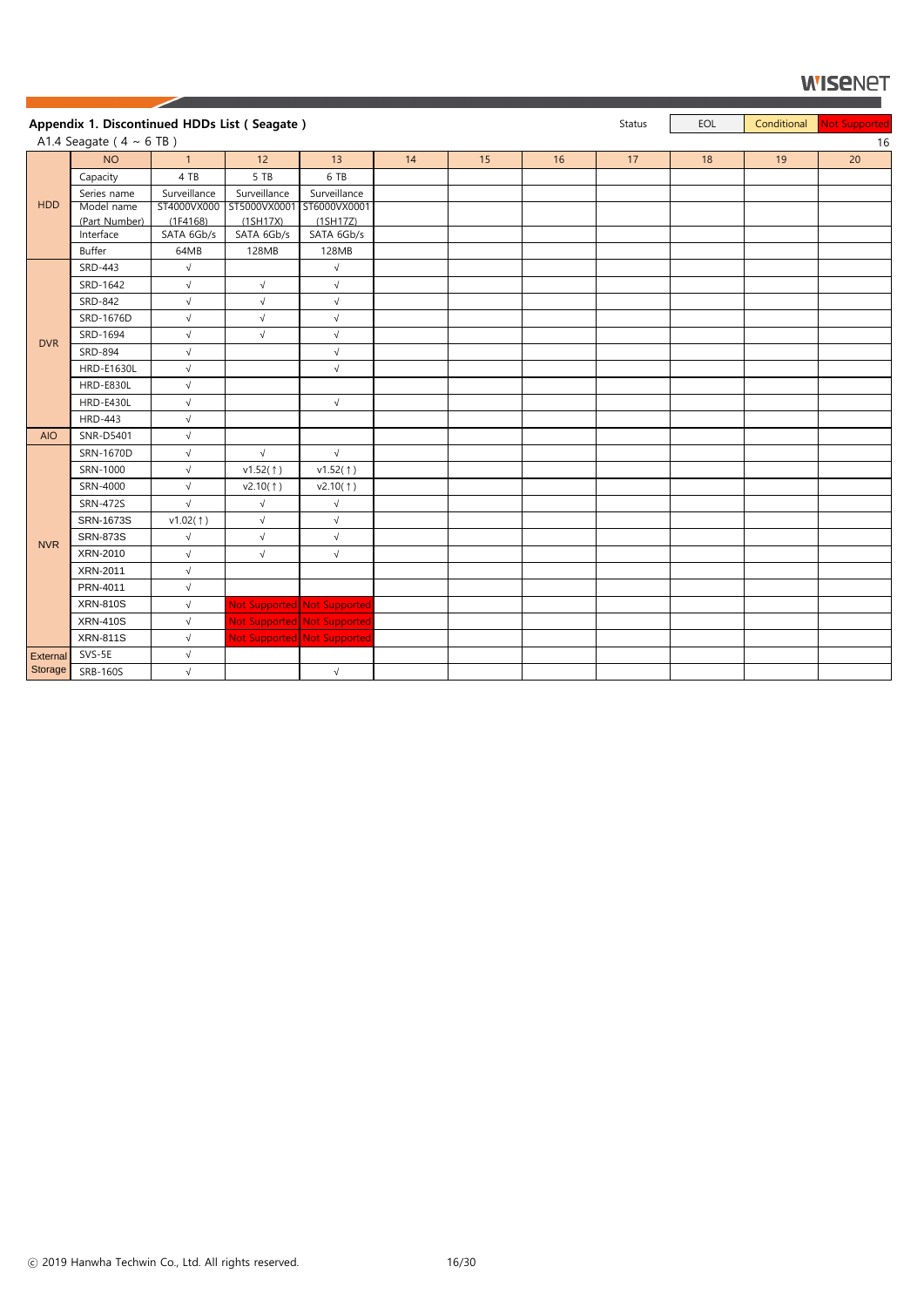|                 | Appendix 1. Discontinued HDDs List (Seagate) |                     |                           |                             |    |    |    | <b>Status</b> | EOL | Conditional | Not Supported |
|-----------------|----------------------------------------------|---------------------|---------------------------|-----------------------------|----|----|----|---------------|-----|-------------|---------------|
|                 | A1.4 Seagate ( $4 \sim 6$ TB)                |                     |                           |                             |    |    |    |               |     |             | 16            |
|                 | <b>NO</b>                                    | $\mathbf{1}$        | 12                        | 13                          | 14 | 15 | 16 | 17            | 18  | 19          | 20            |
|                 | Capacity                                     | 4 TB                | 5 TB                      | 6 TB                        |    |    |    |               |     |             |               |
|                 | Series name                                  | Surveillance        | Surveillance              | Surveillance                |    |    |    |               |     |             |               |
| <b>HDD</b>      | Model name                                   | ST4000VX000         | ST5000VX0001 ST6000VX0001 |                             |    |    |    |               |     |             |               |
|                 | (Part Number)                                | (1F4168)            | (1SH17X)                  | (1SH17Z)                    |    |    |    |               |     |             |               |
|                 | Interface                                    | SATA 6Gb/s          | SATA 6Gb/s                | SATA 6Gb/s                  |    |    |    |               |     |             |               |
|                 | Buffer                                       | 64MB                | 128MB                     | 128MB                       |    |    |    |               |     |             |               |
|                 | SRD-443                                      | $\sqrt{ }$          |                           | $\sqrt{}$                   |    |    |    |               |     |             |               |
|                 | SRD-1642                                     | $\sqrt{ }$          | $\sqrt{ }$                | $\sqrt{}$                   |    |    |    |               |     |             |               |
|                 | SRD-842                                      | $\sqrt{}$           | $\sqrt{}$                 | $\sqrt{ }$                  |    |    |    |               |     |             |               |
|                 | SRD-1676D                                    | $\sqrt{ }$          | $\sqrt{}$                 | $\sqrt{ }$                  |    |    |    |               |     |             |               |
|                 | SRD-1694                                     | $\sqrt{ }$          | $\sqrt{}$                 | $\sqrt{ }$                  |    |    |    |               |     |             |               |
| <b>DVR</b>      | SRD-894                                      | $\sqrt{}$           |                           | $\sqrt{ }$                  |    |    |    |               |     |             |               |
|                 | <b>HRD-E1630L</b>                            | $\sqrt{}$           |                           | $\sqrt{ }$                  |    |    |    |               |     |             |               |
|                 | HRD-E830L                                    | $\sqrt{ }$          |                           |                             |    |    |    |               |     |             |               |
|                 | <b>HRD-E430L</b>                             | $\sqrt{ }$          |                           | $\sqrt{ }$                  |    |    |    |               |     |             |               |
|                 | <b>HRD-443</b>                               | $\sqrt{ }$          |                           |                             |    |    |    |               |     |             |               |
| <b>AIO</b>      | SNR-D5401                                    | $\sqrt{}$           |                           |                             |    |    |    |               |     |             |               |
|                 | SRN-1670D                                    | $\sqrt{ }$          | $\sqrt{}$                 | $\sqrt{ }$                  |    |    |    |               |     |             |               |
|                 | SRN-1000                                     | $\sqrt{ }$          | v1.52(1)                  | v1.52(1)                    |    |    |    |               |     |             |               |
|                 | SRN-4000                                     | $\sqrt{ }$          | v2.10(†)                  | v2.10(†)                    |    |    |    |               |     |             |               |
|                 | <b>SRN-472S</b>                              | $\sqrt{}$           | $\sqrt{}$                 | $\sqrt{ }$                  |    |    |    |               |     |             |               |
|                 | SRN-1673S                                    | $v1.02($ $\dagger)$ | $\sqrt{ }$                | $\sqrt{ }$                  |    |    |    |               |     |             |               |
|                 | <b>SRN-873S</b>                              | $\sqrt{}$           | $\sqrt{}$                 | $\sqrt{ }$                  |    |    |    |               |     |             |               |
| <b>NVR</b>      | XRN-2010                                     | $\sqrt{}$           | $\sqrt{}$                 | $\sqrt{ }$                  |    |    |    |               |     |             |               |
|                 | XRN-2011                                     | $\sqrt{}$           |                           |                             |    |    |    |               |     |             |               |
|                 | PRN-4011                                     | $\sqrt{ }$          |                           |                             |    |    |    |               |     |             |               |
|                 | <b>XRN-810S</b>                              | $\sqrt{ }$          |                           | Not Supported Not Supported |    |    |    |               |     |             |               |
|                 | <b>XRN-410S</b>                              | $\sqrt{ }$          |                           | Not Supported Not Supported |    |    |    |               |     |             |               |
|                 | <b>XRN-811S</b>                              | $\sqrt{ }$          |                           | Not Supported Not Supported |    |    |    |               |     |             |               |
| <b>External</b> | SVS-5E                                       | $\sqrt{}$           |                           |                             |    |    |    |               |     |             |               |
| Storage         | <b>SRB-160S</b>                              | $\sqrt{ }$          |                           | $\sqrt{ }$                  |    |    |    |               |     |             |               |

ⓒ 2019 Hanwha Techwin Co., Ltd. All rights reserved. 16/30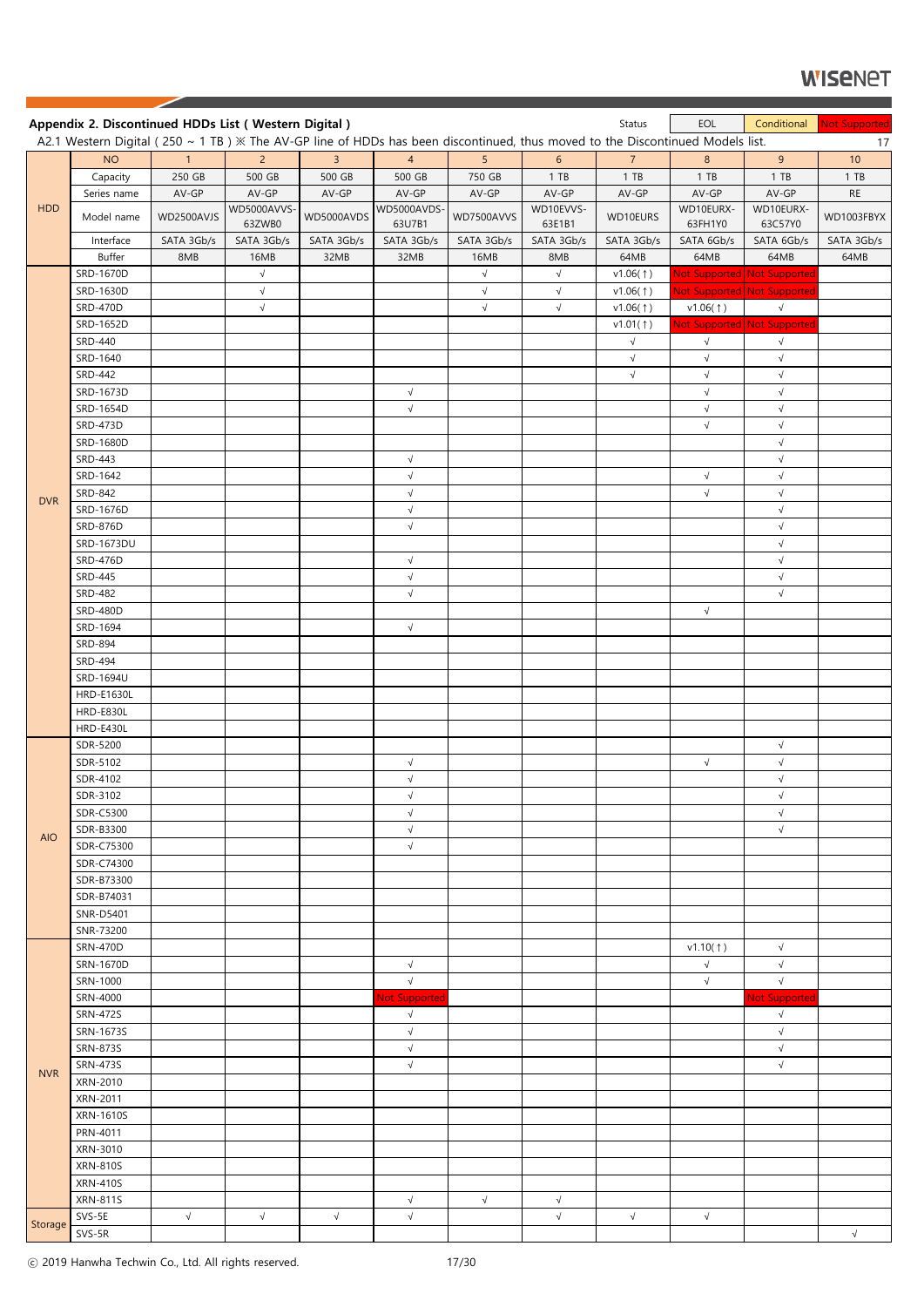|            | Appendix 2. Discontinued HDDs List (Western Digital)                                                                             |                |                       |                |                        |            |                         | Status                  | EOL                  | Conditional                 | Not Supported |
|------------|----------------------------------------------------------------------------------------------------------------------------------|----------------|-----------------------|----------------|------------------------|------------|-------------------------|-------------------------|----------------------|-----------------------------|---------------|
|            | A2.1 Western Digital (250 ~ 1 TB) $\%$ The AV-GP line of HDDs has been discontinued, thus moved to the Discontinued Models list. |                |                       |                |                        |            |                         |                         |                      |                             | 17            |
|            | <b>NO</b>                                                                                                                        | $\overline{1}$ | $2^{\circ}$           | $\overline{3}$ | $\overline{4}$         | 5          | 6                       | $\overline{7}$          | 8                    | 9                           | 10            |
|            | Capacity                                                                                                                         | 250 GB         | 500 GB                | 500 GB         | 500 GB                 | 750 GB     | 1 T B                   | $1$ TB                  | 1 T B                | 1 T B                       | 1 T B         |
|            | Series name                                                                                                                      | AV-GP          | AV-GP                 | AV-GP          | AV-GP                  | AV-GP      | AV-GP                   | AV-GP                   | AV-GP                | AV-GP                       | <b>RE</b>     |
| <b>HDD</b> | Model name                                                                                                                       | WD2500AVJS     | WD5000AVVS-<br>63ZWB0 | WD5000AVDS     | WD5000AVDS-<br>63U7B1  | WD7500AVVS | WD10EVVS-<br>63E1B1     | WD10EURS                | WD10EURX-<br>63FH1Y0 | WD10EURX-<br>63C57Y0        | WD1003FBYX    |
|            | Interface                                                                                                                        | SATA 3Gb/s     | SATA 3Gb/s            | SATA 3Gb/s     | SATA 3Gb/s             | SATA 3Gb/s | SATA 3Gb/s              | SATA 3Gb/s              | SATA 6Gb/s           | SATA 6Gb/s                  | SATA 3Gb/s    |
|            | <b>Buffer</b>                                                                                                                    | 8MB            | 16MB                  | 32MB           | 32MB                   | 16MB       | 8MB                     | 64MB                    | 64MB                 | 64MB                        | 64MB          |
|            | SRD-1670D                                                                                                                        |                | $\sqrt{ }$            |                |                        | $\sqrt{}$  | $\sqrt{}$               | v1.06(†)                |                      | Not Supported Not Supported |               |
|            | SRD-1630D                                                                                                                        |                | $\sqrt{}$             |                |                        | $\sqrt{ }$ | $\sqrt{}$               | v1.06(1)                |                      | Not Supported Not Supported |               |
|            | <b>SRD-470D</b>                                                                                                                  |                | $\sqrt{}$             |                |                        | $\sqrt{ }$ | $\sqrt{ }$              | v1.06(1)                | v1.06(1)             | $\sqrt{ }$                  |               |
|            | SRD-1652D                                                                                                                        |                |                       |                |                        |            |                         | v1.01(†)                | $\sqrt{ }$           | Not Supported Not Supported |               |
|            | <b>SRD-440</b><br>SRD-1640                                                                                                       |                |                       |                |                        |            |                         | $\sqrt{}$<br>$\sqrt{ }$ | $\sqrt{ }$           | $\sqrt{}$<br>$\sqrt{}$      |               |
|            | <b>SRD-442</b>                                                                                                                   |                |                       |                |                        |            |                         | $\sqrt{}$               | $\sqrt{ }$           | $\sqrt{}$                   |               |
|            | SRD-1673D                                                                                                                        |                |                       |                | $\sqrt{}$              |            |                         |                         | $\sqrt{ }$           | $\sqrt{}$                   |               |
|            | SRD-1654D                                                                                                                        |                |                       |                | $\sqrt{}$              |            |                         |                         | $\sqrt{ }$           | $\sqrt{}$                   |               |
|            | SRD-473D                                                                                                                         |                |                       |                |                        |            |                         |                         | $\sqrt{ }$           | $\sqrt{}$                   |               |
|            | SRD-1680D                                                                                                                        |                |                       |                |                        |            |                         |                         |                      | $\sqrt{ }$                  |               |
|            | <b>SRD-443</b>                                                                                                                   |                |                       |                | $\sqrt{}$              |            |                         |                         |                      | $\sqrt{}$                   |               |
|            | SRD-1642                                                                                                                         |                |                       |                | $\sqrt{}$              |            |                         |                         | $\sqrt{ }$           | $\sqrt{}$                   |               |
| <b>DVR</b> | SRD-842                                                                                                                          |                |                       |                | $\sqrt{}$              |            |                         |                         | $\sqrt{ }$           | $\sqrt{}$                   |               |
|            | SRD-1676D                                                                                                                        |                |                       |                | $\sqrt{}$              |            |                         |                         |                      | $\sqrt{}$                   |               |
|            | SRD-876D                                                                                                                         |                |                       |                | $\sqrt{}$              |            |                         |                         |                      | $\sqrt{}$                   |               |
|            | SRD-1673DU                                                                                                                       |                |                       |                |                        |            |                         |                         |                      | $\sqrt{}$                   |               |
|            | SRD-476D                                                                                                                         |                |                       |                | $\sqrt{ }$             |            |                         |                         |                      | $\sqrt{ }$                  |               |
|            | <b>SRD-445</b>                                                                                                                   |                |                       |                | $\sqrt{ }$             |            |                         |                         |                      | $\sqrt{}$                   |               |
|            | <b>SRD-482</b>                                                                                                                   |                |                       |                | $\sqrt{}$              |            |                         |                         |                      | $\sqrt{}$                   |               |
|            | <b>SRD-480D</b>                                                                                                                  |                |                       |                |                        |            |                         |                         | $\sqrt{ }$           |                             |               |
|            | SRD-1694                                                                                                                         |                |                       |                | $\sqrt{}$              |            |                         |                         |                      |                             |               |
|            | SRD-894<br><b>SRD-494</b>                                                                                                        |                |                       |                |                        |            |                         |                         |                      |                             |               |
|            | SRD-1694U                                                                                                                        |                |                       |                |                        |            |                         |                         |                      |                             |               |
|            | <b>HRD-E1630L</b>                                                                                                                |                |                       |                |                        |            |                         |                         |                      |                             |               |
|            | HRD-E830L                                                                                                                        |                |                       |                |                        |            |                         |                         |                      |                             |               |
|            | HRD-E430L                                                                                                                        |                |                       |                |                        |            |                         |                         |                      |                             |               |
|            | SDR-5200                                                                                                                         |                |                       |                |                        |            |                         |                         |                      | $\sqrt{}$                   |               |
|            | SDR-5102                                                                                                                         |                |                       |                | $\sqrt{}$              |            |                         |                         | $\sqrt{ }$           | $\sqrt{}$                   |               |
|            | SDR-4102                                                                                                                         |                |                       |                | $\sqrt{}$              |            |                         |                         |                      | $\sqrt{}$                   |               |
|            | SDR-3102                                                                                                                         |                |                       |                | $\sqrt{}$              |            |                         |                         |                      | $\sqrt{}$                   |               |
|            | SDR-C5300                                                                                                                        |                |                       |                | $\sqrt{}$              |            |                         |                         |                      | $\sqrt{}$                   |               |
| <b>AIO</b> | SDR-B3300                                                                                                                        |                |                       |                | $\sqrt{}$              |            |                         |                         |                      | $\sqrt{}$                   |               |
|            | SDR-C75300                                                                                                                       |                |                       |                | $\sqrt{ }$             |            |                         |                         |                      |                             |               |
|            | SDR-C74300                                                                                                                       |                |                       |                |                        |            |                         |                         |                      |                             |               |
|            | SDR-B73300                                                                                                                       |                |                       |                |                        |            |                         |                         |                      |                             |               |
|            | SDR-B74031                                                                                                                       |                |                       |                |                        |            |                         |                         |                      |                             |               |
|            | SNR-D5401<br>SNR-73200                                                                                                           |                |                       |                |                        |            |                         |                         |                      |                             |               |
|            | <b>SRN-470D</b>                                                                                                                  |                |                       |                |                        |            |                         |                         | v1.10(1)             | $\sqrt{}$                   |               |
|            | SRN-1670D                                                                                                                        |                |                       |                | $\sqrt{}$              |            |                         |                         | $\sqrt{ }$           | $\sqrt{}$                   |               |
|            | SRN-1000                                                                                                                         |                |                       |                | $\sqrt{}$              |            |                         |                         | $\sqrt{ }$           | $\sqrt{}$                   |               |
|            | SRN-4000                                                                                                                         |                |                       |                | Not Supported          |            |                         |                         |                      | <b>Not Supported</b>        |               |
|            | <b>SRN-472S</b>                                                                                                                  |                |                       |                | $\sqrt{ }$             |            |                         |                         |                      | $\sqrt{ }$                  |               |
|            | SRN-1673S                                                                                                                        |                |                       |                | $\sqrt{ }$             |            |                         |                         |                      | $\sqrt{}$                   |               |
|            | <b>SRN-873S</b>                                                                                                                  |                |                       |                | $\sqrt{}$              |            |                         |                         |                      | $\sqrt{}$                   |               |
| <b>NVR</b> | <b>SRN-473S</b>                                                                                                                  |                |                       |                | $\sqrt{ }$             |            |                         |                         |                      | $\sqrt{}$                   |               |
|            | XRN-2010                                                                                                                         |                |                       |                |                        |            |                         |                         |                      |                             |               |
|            | XRN-2011                                                                                                                         |                |                       |                |                        |            |                         |                         |                      |                             |               |
|            | XRN-1610S                                                                                                                        |                |                       |                |                        |            |                         |                         |                      |                             |               |
|            | PRN-4011                                                                                                                         |                |                       |                |                        |            |                         |                         |                      |                             |               |
|            | XRN-3010                                                                                                                         |                |                       |                |                        |            |                         |                         |                      |                             |               |
|            | <b>XRN-810S</b>                                                                                                                  |                |                       |                |                        |            |                         |                         |                      |                             |               |
|            | <b>XRN-410S</b>                                                                                                                  |                |                       |                |                        |            |                         |                         |                      |                             |               |
|            | <b>XRN-811S</b><br>SVS-5E                                                                                                        | $\sqrt{ }$     | $\sqrt{}$             | $\sqrt{}$      | $\sqrt{}$<br>$\sqrt{}$ | $\sqrt{}$  | $\sqrt{}$<br>$\sqrt{ }$ | $\sqrt{}$               | $\sqrt{ }$           |                             |               |
| Storage    | SVS-5R                                                                                                                           |                |                       |                |                        |            |                         |                         |                      |                             | $\sqrt{ }$    |
|            |                                                                                                                                  |                |                       |                |                        |            |                         |                         |                      |                             |               |

ⓒ 2019 Hanwha Techwin Co., Ltd. All rights reserved. 17/30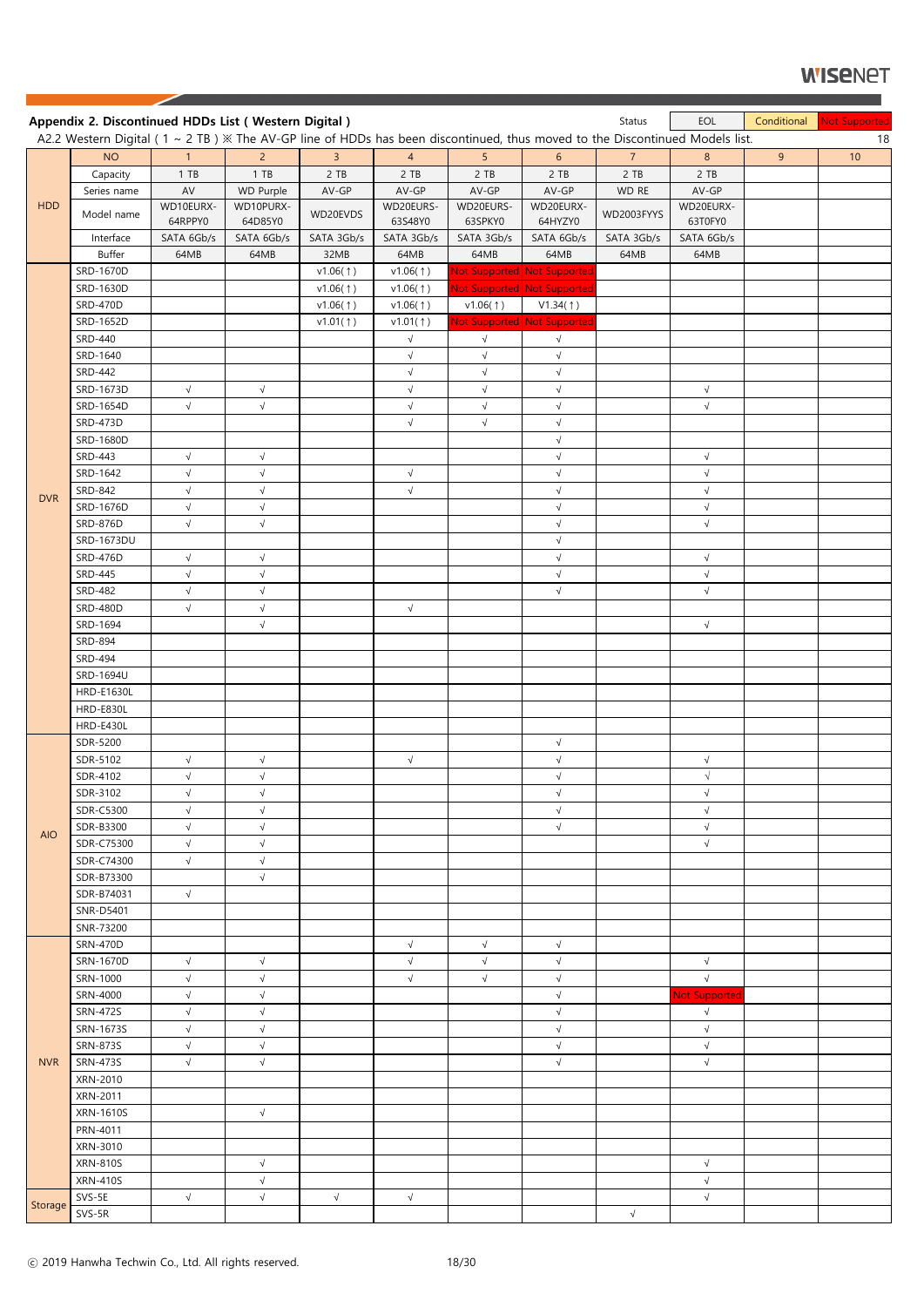|            | Appendix 2. Discontinued HDDs List (Western Digital)                                                                                 |            |                      |                        |                        |                        |                             | Status                 | EOL                  | Conditional    | <b>Not Supported</b> |
|------------|--------------------------------------------------------------------------------------------------------------------------------------|------------|----------------------|------------------------|------------------------|------------------------|-----------------------------|------------------------|----------------------|----------------|----------------------|
|            | A2.2 Western Digital ( $1 \sim 2$ TB) $\%$ The AV-GP line of HDDs has been discontinued, thus moved to the Discontinued Models list. |            |                      |                        |                        |                        |                             |                        |                      |                | 18                   |
|            | <b>NO</b>                                                                                                                            | 1<br>1 TB  | $2^{\circ}$<br>1 T B | $\overline{3}$<br>2 TB | $\overline{4}$<br>2 TB | 5 <sup>5</sup><br>2 TB | 6 <sup>1</sup><br>2 TB      | 7 <sup>7</sup><br>2 TB | 8<br>2 TB            | 9 <sub>o</sub> | 10 <sup>°</sup>      |
|            | Capacity<br>Series name                                                                                                              | AV         | WD Purple            | AV-GP                  | AV-GP                  | AV-GP                  | AV-GP                       | WD RE                  | AV-GP                |                |                      |
| <b>HDD</b> |                                                                                                                                      | WD10EURX-  | WD10PURX-            |                        | WD20EURS-              | WD20EURS-              | WD20EURX-                   |                        | WD20EURX-            |                |                      |
|            | Model name                                                                                                                           | 64RPPY0    | 64D85Y0              | WD20EVDS               | 63S48Y0                | 63SPKY0                | 64HYZY0                     | WD2003FYYS             | 63T0FY0              |                |                      |
|            | Interface                                                                                                                            | SATA 6Gb/s | SATA 6Gb/s           | SATA 3Gb/s             | SATA 3Gb/s             | SATA 3Gb/s             | SATA 6Gb/s                  | SATA 3Gb/s             | SATA 6Gb/s           |                |                      |
|            | <b>Buffer</b>                                                                                                                        | 64MB       | 64MB                 | 32MB                   | 64MB                   | 64MB                   | 64MB                        | 64MB                   | 64MB                 |                |                      |
|            | SRD-1670D                                                                                                                            |            |                      | v1.06(†)               | v1.06(1)               |                        | Not Supported Not Supported |                        |                      |                |                      |
|            | SRD-1630D                                                                                                                            |            |                      | v1.06(1)               | v1.06(1)               |                        | Not Supported Not Supported |                        |                      |                |                      |
|            | <b>SRD-470D</b>                                                                                                                      |            |                      | v1.06(†)               | v1.06(1)               | v1.06(†)               | V1.34(†)                    |                        |                      |                |                      |
|            | SRD-1652D                                                                                                                            |            |                      | v1.01(†)               | v1.01(1)               |                        | Not Supported Not Supported |                        |                      |                |                      |
|            | SRD-440                                                                                                                              |            |                      |                        | $\sqrt{}$              | $\sqrt{}$              | $\sqrt{}$                   |                        |                      |                |                      |
|            | SRD-1640                                                                                                                             |            |                      |                        | $\sqrt{}$              | $\sqrt{ }$             | $\sqrt{ }$                  |                        |                      |                |                      |
|            | SRD-442                                                                                                                              |            |                      |                        | $\sqrt{}$              | $\sqrt{ }$             | $\sqrt{ }$                  |                        |                      |                |                      |
|            | SRD-1673D                                                                                                                            | $\sqrt{ }$ | $\sqrt{}$            |                        | $\sqrt{}$              | $\sqrt{}$              | $\sqrt{ }$                  |                        | $\sqrt{}$            |                |                      |
|            | SRD-1654D                                                                                                                            | $\sqrt{ }$ | $\sqrt{}$            |                        | $\sqrt{}$              | $\sqrt{}$              | $\sqrt{ }$                  |                        | $\sqrt{}$            |                |                      |
|            | <b>SRD-473D</b>                                                                                                                      |            |                      |                        | $\sqrt{}$              | $\sqrt{}$              | $\sqrt{ }$                  |                        |                      |                |                      |
|            | SRD-1680D                                                                                                                            |            |                      |                        |                        |                        | $\sqrt{}$                   |                        |                      |                |                      |
|            | <b>SRD-443</b>                                                                                                                       | $\sqrt{ }$ | $\sqrt{ }$           |                        |                        |                        | $\sqrt{ }$                  |                        | $\sqrt{ }$           |                |                      |
|            | SRD-1642                                                                                                                             | $\sqrt{}$  | $\sqrt{ }$           |                        | $\sqrt{}$              |                        | $\sqrt{ }$                  |                        | $\sqrt{}$            |                |                      |
|            | SRD-842                                                                                                                              | $\sqrt{ }$ | $\sqrt{}$            |                        | $\sqrt{}$              |                        | $\sqrt{}$                   |                        | $\sqrt{}$            |                |                      |
| <b>DVR</b> | SRD-1676D                                                                                                                            | $\sqrt{ }$ | $\sqrt{}$            |                        |                        |                        | $\sqrt{ }$                  |                        | $\sqrt{ }$           |                |                      |
|            | <b>SRD-876D</b>                                                                                                                      | $\sqrt{ }$ | $\sqrt{}$            |                        |                        |                        | $\sqrt{ }$                  |                        | $\sqrt{}$            |                |                      |
|            | SRD-1673DU                                                                                                                           |            |                      |                        |                        |                        | $\sqrt{ }$                  |                        |                      |                |                      |
|            | <b>SRD-476D</b>                                                                                                                      | $\sqrt{ }$ | $\sqrt{ }$           |                        |                        |                        | $\sqrt{ }$                  |                        | $\sqrt{ }$           |                |                      |
|            | <b>SRD-445</b>                                                                                                                       | $\sqrt{}$  | $\sqrt{}$            |                        |                        |                        | $\sqrt{ }$                  |                        | $\sqrt{}$            |                |                      |
|            | <b>SRD-482</b>                                                                                                                       | $\sqrt{ }$ | $\sqrt{}$            |                        |                        |                        | $\sqrt{ }$                  |                        | $\sqrt{}$            |                |                      |
|            | <b>SRD-480D</b>                                                                                                                      | $\sqrt{}$  | $\sqrt{ }$           |                        | $\sqrt{ }$             |                        |                             |                        |                      |                |                      |
|            | SRD-1694                                                                                                                             |            | $\sqrt{}$            |                        |                        |                        |                             |                        | $\sqrt{ }$           |                |                      |
|            | SRD-894                                                                                                                              |            |                      |                        |                        |                        |                             |                        |                      |                |                      |
|            | SRD-494                                                                                                                              |            |                      |                        |                        |                        |                             |                        |                      |                |                      |
|            | SRD-1694U                                                                                                                            |            |                      |                        |                        |                        |                             |                        |                      |                |                      |
|            | <b>HRD-E1630L</b>                                                                                                                    |            |                      |                        |                        |                        |                             |                        |                      |                |                      |
|            | HRD-E830L                                                                                                                            |            |                      |                        |                        |                        |                             |                        |                      |                |                      |
|            | HRD-E430L                                                                                                                            |            |                      |                        |                        |                        |                             |                        |                      |                |                      |
|            | SDR-5200                                                                                                                             |            |                      |                        |                        |                        | $\sqrt{}$                   |                        |                      |                |                      |
|            | SDR-5102                                                                                                                             | $\sqrt{}$  | $\sqrt{ }$           |                        | $\sqrt{ }$             |                        | $\sqrt{ }$                  |                        | $\sqrt{}$            |                |                      |
|            | SDR-4102                                                                                                                             | $\sqrt{}$  | $\sqrt{}$            |                        |                        |                        | $\sqrt{ }$                  |                        | $\sqrt{ }$           |                |                      |
|            | SDR-3102                                                                                                                             | $\sqrt{ }$ | $\sqrt{}$            |                        |                        |                        | $\sqrt{ }$                  |                        | $\sqrt{}$            |                |                      |
|            | <b>SDR-C5300</b>                                                                                                                     | $\sqrt{ }$ | $\sqrt{}$            |                        |                        |                        | $\sqrt{ }$                  |                        | $\sqrt{}$            |                |                      |
|            | SDR-B3300                                                                                                                            | $\sqrt{ }$ | $\sqrt{}$            |                        |                        |                        | $\sqrt{}$                   |                        | $\sqrt{}$            |                |                      |
| <b>AIO</b> | SDR-C75300                                                                                                                           | $\sqrt{}$  | $\sqrt{}$            |                        |                        |                        |                             |                        | $\sqrt{}$            |                |                      |
|            | SDR-C74300                                                                                                                           | $\sqrt{ }$ | $\sqrt{}$            |                        |                        |                        |                             |                        |                      |                |                      |
|            | SDR-B73300                                                                                                                           |            | $\sqrt{ }$           |                        |                        |                        |                             |                        |                      |                |                      |
|            | SDR-B74031                                                                                                                           | $\sqrt{ }$ |                      |                        |                        |                        |                             |                        |                      |                |                      |
|            | SNR-D5401                                                                                                                            |            |                      |                        |                        |                        |                             |                        |                      |                |                      |
|            | SNR-73200                                                                                                                            |            |                      |                        |                        |                        |                             |                        |                      |                |                      |
|            | <b>SRN-470D</b>                                                                                                                      |            |                      |                        | $\sqrt{}$              | $\sqrt{}$              | $\sqrt{}$                   |                        |                      |                |                      |
|            | SRN-1670D                                                                                                                            | $\sqrt{ }$ | $\sqrt{ }$           |                        | $\sqrt{ }$             | $\sqrt{}$              | $\sqrt{ }$                  |                        | $\sqrt{}$            |                |                      |
|            | SRN-1000                                                                                                                             | $\sqrt{ }$ | $\sqrt{}$            |                        | $\sqrt{}$              | $\sqrt{}$              | $\sqrt{}$                   |                        | $\sqrt{}$            |                |                      |
|            | SRN-4000                                                                                                                             | $\sqrt{}$  | $\sqrt{}$            |                        |                        |                        | $\sqrt{ }$                  |                        | <b>Not Supported</b> |                |                      |
|            | SRN-472S                                                                                                                             | $\sqrt{ }$ | $\sqrt{ }$           |                        |                        |                        | $\sqrt{ }$                  |                        | $\sqrt{ }$           |                |                      |
|            | SRN-1673S                                                                                                                            | $\sqrt{2}$ | $\sqrt{}$            |                        |                        |                        | $\sqrt{ }$                  |                        | $\sqrt{}$            |                |                      |
|            | SRN-873S                                                                                                                             | $\sqrt{}$  | $\sqrt{}$            |                        |                        |                        | $\sqrt{}$                   |                        | $\sqrt{}$            |                |                      |
| <b>NVR</b> | <b>SRN-473S</b>                                                                                                                      | $\sqrt{}$  | $\sqrt{}$            |                        |                        |                        | $\sqrt{ }$                  |                        | $\sqrt{}$            |                |                      |
|            | XRN-2010                                                                                                                             |            |                      |                        |                        |                        |                             |                        |                      |                |                      |
|            | XRN-2011                                                                                                                             |            |                      |                        |                        |                        |                             |                        |                      |                |                      |
|            | <b>XRN-1610S</b>                                                                                                                     |            | $\sqrt{ }$           |                        |                        |                        |                             |                        |                      |                |                      |
|            | PRN-4011                                                                                                                             |            |                      |                        |                        |                        |                             |                        |                      |                |                      |
|            | XRN-3010                                                                                                                             |            |                      |                        |                        |                        |                             |                        |                      |                |                      |
|            | <b>XRN-810S</b>                                                                                                                      |            | $\sqrt{}$            |                        |                        |                        |                             |                        | $\sqrt{}$            |                |                      |
|            | <b>XRN-410S</b>                                                                                                                      |            | $\sqrt{}$            |                        |                        |                        |                             |                        | $\sqrt{}$            |                |                      |
|            | SVS-5E                                                                                                                               | $\sqrt{}$  | $\sqrt{}$            | $\sqrt{ }$             | $\sqrt{ }$             |                        |                             |                        | $\sqrt{}$            |                |                      |
| Storage    | SVS-5R                                                                                                                               |            |                      |                        |                        |                        |                             | $\sqrt{}$              |                      |                |                      |
|            |                                                                                                                                      |            |                      |                        |                        |                        |                             |                        |                      |                |                      |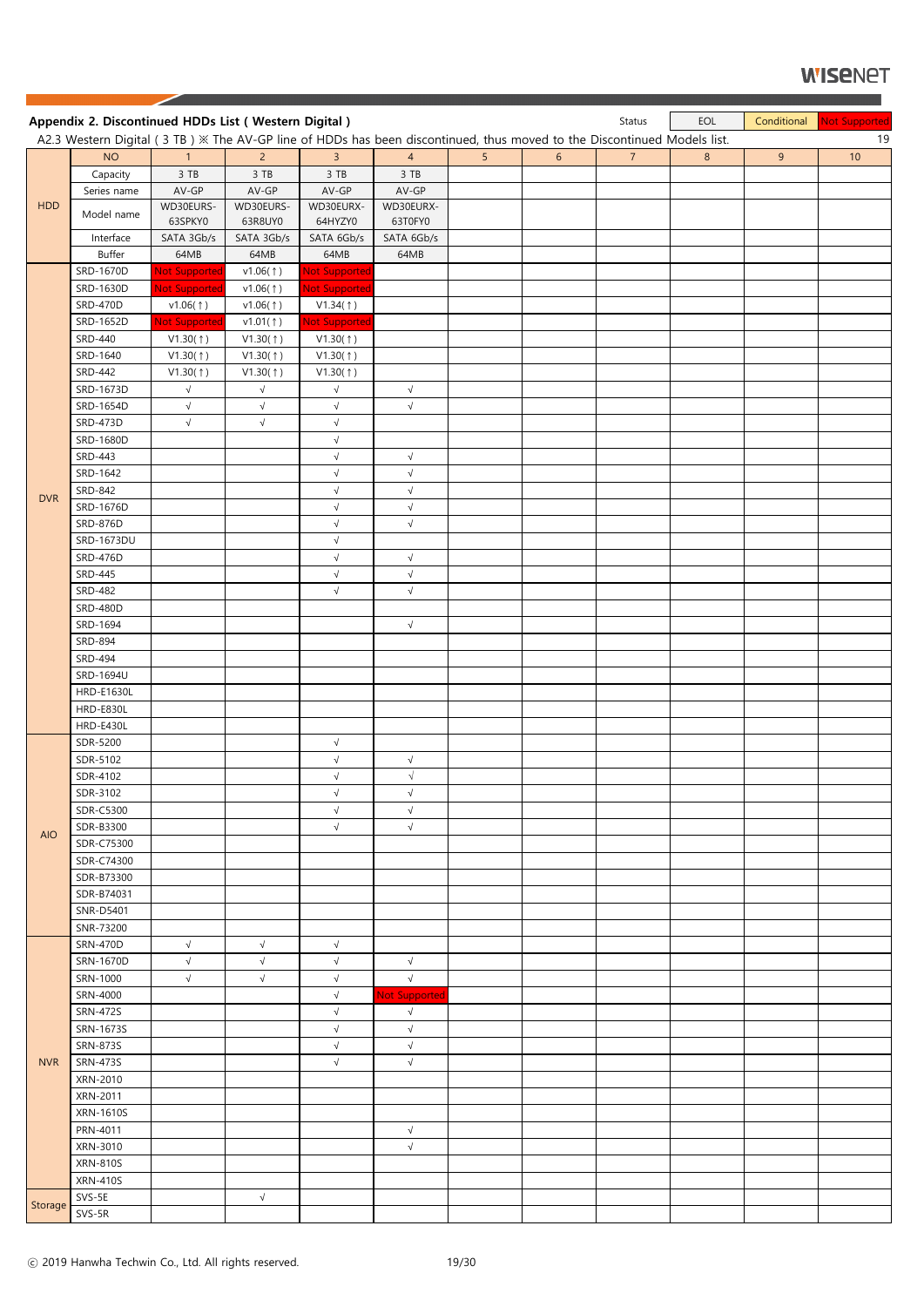|            | Appendix 2. Discontinued HDDs List (Western Digital)                                                                       |                       |                      |                        |                      |                |                 | Status         | EOL            | Conditional    | Not Supported |
|------------|----------------------------------------------------------------------------------------------------------------------------|-----------------------|----------------------|------------------------|----------------------|----------------|-----------------|----------------|----------------|----------------|---------------|
|            | A2.3 Western Digital (3 TB) $\%$ The AV-GP line of HDDs has been discontinued, thus moved to the Discontinued Models list. |                       |                      |                        |                      |                |                 |                |                |                | 19            |
|            | <b>NO</b>                                                                                                                  | 1 <sup>1</sup>        | $2^{\circ}$          | $\overline{3}$         | $\overline{4}$       | 5 <sup>1</sup> | $6\overline{6}$ | 7 <sup>7</sup> | $8\phantom{1}$ | 9 <sup>°</sup> | $10$          |
|            | Capacity                                                                                                                   | 3 TB                  | 3 TB                 | 3 TB                   | 3 TB                 |                |                 |                |                |                |               |
| <b>HDD</b> | Series name                                                                                                                | $AV-GP$               | $AV-GP$              | AV-GP                  | AV-GP                |                |                 |                |                |                |               |
|            | Model name                                                                                                                 | WD30EURS-<br>63SPKY0  | WD30EURS-<br>63R8UY0 | WD30EURX-<br>64HYZY0   | WD30EURX-<br>63T0FY0 |                |                 |                |                |                |               |
|            | Interface                                                                                                                  | SATA 3Gb/s            | SATA 3Gb/s           | SATA 6Gb/s             | SATA 6Gb/s           |                |                 |                |                |                |               |
|            | Buffer                                                                                                                     | 64MB                  | 64MB                 | 64MB                   | 64MB                 |                |                 |                |                |                |               |
|            | SRD-1670D                                                                                                                  | <b>Not Supported</b>  | v1.06(†)             | <b>Not Supported</b>   |                      |                |                 |                |                |                |               |
|            | SRD-1630D                                                                                                                  | <b>Not Supported</b>  | v1.06(†)             | <b>Not Supported</b>   |                      |                |                 |                |                |                |               |
|            | <b>SRD-470D</b>                                                                                                            | v1.06(†)              | v1.06(†)             | V1.34(†)               |                      |                |                 |                |                |                |               |
|            | SRD-1652D                                                                                                                  | Not Supported         | v1.01(†)             | <b>Not Supported</b>   |                      |                |                 |                |                |                |               |
|            | SRD-440                                                                                                                    |                       | V1.30(†)             | V1.30(1)               |                      |                |                 |                |                |                |               |
|            | SRD-1640                                                                                                                   | V1.30(†)<br>V1.30(1)  | V1.30(†)             | V1.30(†)               |                      |                |                 |                |                |                |               |
|            | <b>SRD-442</b>                                                                                                             |                       |                      |                        |                      |                |                 |                |                |                |               |
|            |                                                                                                                            | V1.30(†)<br>$\sqrt{}$ | V1.30(†)             | V1.30(†)<br>$\sqrt{ }$ | $\sqrt{}$            |                |                 |                |                |                |               |
|            | SRD-1673D                                                                                                                  |                       | $\sqrt{ }$           |                        |                      |                |                 |                |                |                |               |
|            | SRD-1654D                                                                                                                  | $\sqrt{ }$            | $\sqrt{}$            | $\sqrt{}$              | $\sqrt{ }$           |                |                 |                |                |                |               |
|            | <b>SRD-473D</b>                                                                                                            | $\sqrt{ }$            | $\sqrt{ }$           | $\sqrt{ }$             |                      |                |                 |                |                |                |               |
|            | SRD-1680D                                                                                                                  |                       |                      | $\sqrt{ }$             |                      |                |                 |                |                |                |               |
|            | <b>SRD-443</b>                                                                                                             |                       |                      | $\sqrt{ }$             | $\sqrt{}$            |                |                 |                |                |                |               |
|            | SRD-1642                                                                                                                   |                       |                      | $\sqrt{ }$             | $\sqrt{}$            |                |                 |                |                |                |               |
| <b>DVR</b> | SRD-842                                                                                                                    |                       |                      | $\sqrt{}$              | $\sqrt{}$            |                |                 |                |                |                |               |
|            | SRD-1676D                                                                                                                  |                       |                      | $\sqrt{ }$             | $\sqrt{ }$           |                |                 |                |                |                |               |
|            | <b>SRD-876D</b>                                                                                                            |                       |                      | $\sqrt{ }$             | $\sqrt{}$            |                |                 |                |                |                |               |
|            | SRD-1673DU                                                                                                                 |                       |                      | $\sqrt{}$              |                      |                |                 |                |                |                |               |
|            | <b>SRD-476D</b>                                                                                                            |                       |                      | $\sqrt{ }$             | $\sqrt{ }$           |                |                 |                |                |                |               |
|            | <b>SRD-445</b>                                                                                                             |                       |                      | $\sqrt{}$              | $\sqrt{}$            |                |                 |                |                |                |               |
|            | <b>SRD-482</b>                                                                                                             |                       |                      | $\sqrt{ }$             | $\sqrt{}$            |                |                 |                |                |                |               |
|            | <b>SRD-480D</b>                                                                                                            |                       |                      |                        |                      |                |                 |                |                |                |               |
|            | SRD-1694                                                                                                                   |                       |                      |                        | $\sqrt{}$            |                |                 |                |                |                |               |
|            | SRD-894                                                                                                                    |                       |                      |                        |                      |                |                 |                |                |                |               |
|            | <b>SRD-494</b>                                                                                                             |                       |                      |                        |                      |                |                 |                |                |                |               |
|            | SRD-1694U                                                                                                                  |                       |                      |                        |                      |                |                 |                |                |                |               |
|            | <b>HRD-E1630L</b>                                                                                                          |                       |                      |                        |                      |                |                 |                |                |                |               |
|            | HRD-E830L                                                                                                                  |                       |                      |                        |                      |                |                 |                |                |                |               |
|            | HRD-E430L                                                                                                                  |                       |                      |                        |                      |                |                 |                |                |                |               |
|            | SDR-5200                                                                                                                   |                       |                      | $\sqrt{ }$             |                      |                |                 |                |                |                |               |
|            | SDR-5102                                                                                                                   |                       |                      | $\sqrt{ }$             | $\sqrt{}$            |                |                 |                |                |                |               |
|            | SDR-4102                                                                                                                   |                       |                      | $\sqrt{ }$             | $\sqrt{ }$           |                |                 |                |                |                |               |
|            | SDR-3102                                                                                                                   |                       |                      | $\sqrt{ }$             | $\sqrt{}$            |                |                 |                |                |                |               |
|            | SDR-C5300                                                                                                                  |                       |                      | $\sqrt{ }$             | $\sqrt{}$            |                |                 |                |                |                |               |
| <b>AIO</b> | SDR-B3300                                                                                                                  |                       |                      | $\sqrt{}$              | $\sqrt{ }$           |                |                 |                |                |                |               |
|            | SDR-C75300                                                                                                                 |                       |                      |                        |                      |                |                 |                |                |                |               |
|            | SDR-C74300                                                                                                                 |                       |                      |                        |                      |                |                 |                |                |                |               |
|            | SDR-B73300                                                                                                                 |                       |                      |                        |                      |                |                 |                |                |                |               |
|            | SDR-B74031                                                                                                                 |                       |                      |                        |                      |                |                 |                |                |                |               |
|            | SNR-D5401                                                                                                                  |                       |                      |                        |                      |                |                 |                |                |                |               |
|            | SNR-73200                                                                                                                  |                       |                      |                        |                      |                |                 |                |                |                |               |
|            | <b>SRN-470D</b>                                                                                                            | $\sqrt{ }$            | $\sqrt{}$            | $\sqrt{ }$             |                      |                |                 |                |                |                |               |
|            | SRN-1670D                                                                                                                  | $\sqrt{ }$            | $\sqrt{ }$           | $\sqrt{ }$             | $\sqrt{ }$           |                |                 |                |                |                |               |
|            | SRN-1000                                                                                                                   | $\sqrt{ }$            | $\sqrt{}$            | $\sqrt{ }$             | $\sqrt{ }$           |                |                 |                |                |                |               |
|            | SRN-4000                                                                                                                   |                       |                      | $\sqrt{ }$             | <b>Not Supported</b> |                |                 |                |                |                |               |
|            | SRN-472S                                                                                                                   |                       |                      | $\sqrt{ }$             | $\sqrt{ }$           |                |                 |                |                |                |               |
|            | SRN-1673S                                                                                                                  |                       |                      | $\sqrt{}$              | $\sqrt{}$            |                |                 |                |                |                |               |
|            | SRN-873S                                                                                                                   |                       |                      | $\sqrt{ }$             | $\sqrt{}$            |                |                 |                |                |                |               |
| <b>NVR</b> | <b>SRN-473S</b>                                                                                                            |                       |                      | $\sqrt{ }$             | $\sqrt{ }$           |                |                 |                |                |                |               |
|            | XRN-2010                                                                                                                   |                       |                      |                        |                      |                |                 |                |                |                |               |
|            | XRN-2011                                                                                                                   |                       |                      |                        |                      |                |                 |                |                |                |               |
|            | <b>XRN-1610S</b>                                                                                                           |                       |                      |                        |                      |                |                 |                |                |                |               |
|            | PRN-4011                                                                                                                   |                       |                      |                        | $\sqrt{ }$           |                |                 |                |                |                |               |
|            | XRN-3010                                                                                                                   |                       |                      |                        | $\sqrt{}$            |                |                 |                |                |                |               |
|            | <b>XRN-810S</b>                                                                                                            |                       |                      |                        |                      |                |                 |                |                |                |               |
|            | <b>XRN-410S</b>                                                                                                            |                       |                      |                        |                      |                |                 |                |                |                |               |
|            | SVS-5E                                                                                                                     |                       | $\sqrt{}$            |                        |                      |                |                 |                |                |                |               |
| Storage    | $SVS-5R$                                                                                                                   |                       |                      |                        |                      |                |                 |                |                |                |               |
|            |                                                                                                                            |                       |                      |                        |                      |                |                 |                |                |                |               |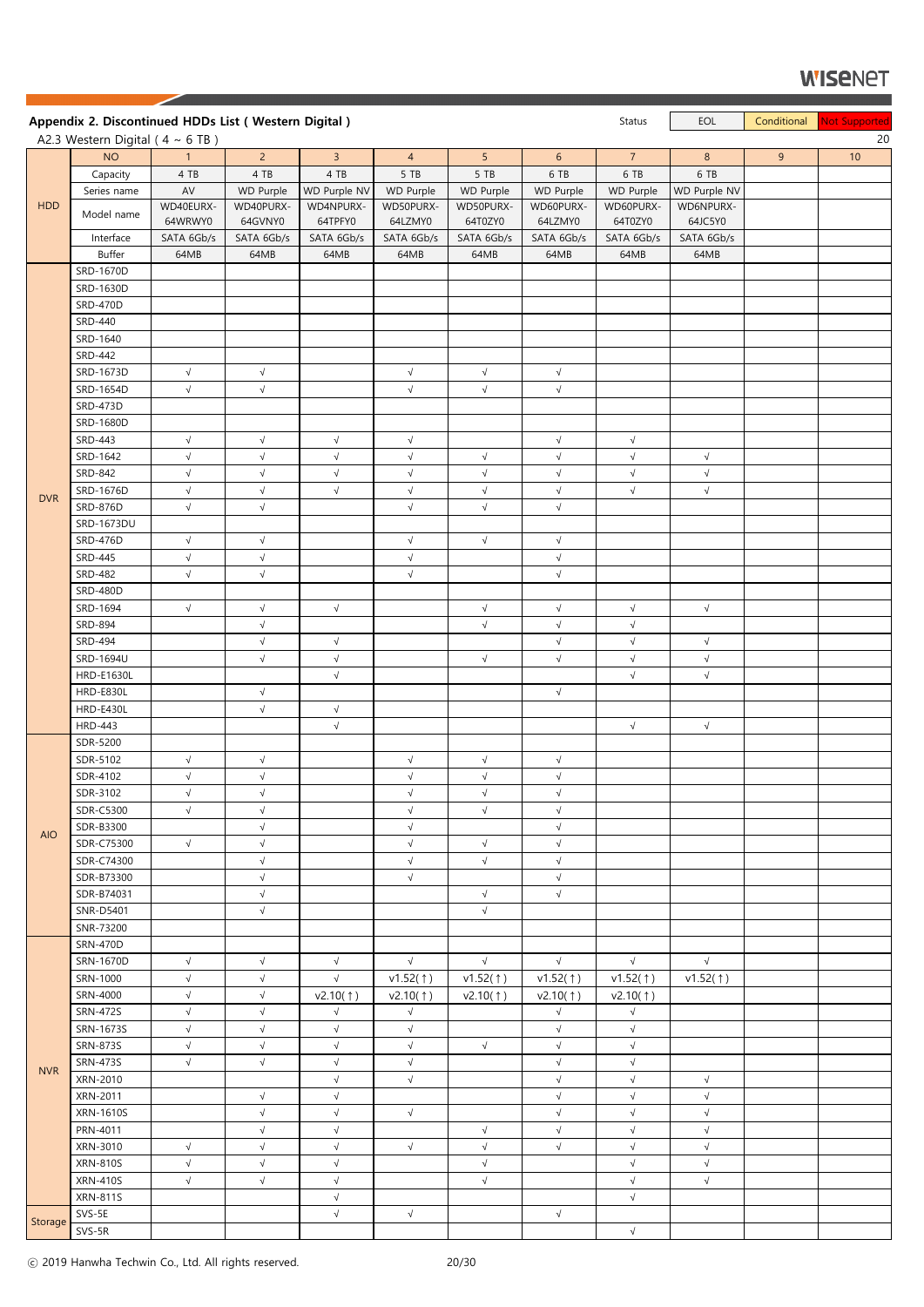|            | Appendix 2. Discontinued HDDs List (Western Digital) |                       |                         |                         |                        |                       |                          | Status                 | EOL                     | Conditional | <b>Not Supported</b> |
|------------|------------------------------------------------------|-----------------------|-------------------------|-------------------------|------------------------|-----------------------|--------------------------|------------------------|-------------------------|-------------|----------------------|
|            | A2.3 Western Digital ( $4 \sim 6$ TB)                |                       |                         |                         |                        |                       |                          |                        |                         |             | 20                   |
|            | <b>NO</b>                                            | $\mathbf{1}$          | 2 <sup>1</sup>          | 3 <sup>7</sup>          | $\overline{4}$         | 5 <sup>5</sup>        | 6 <sup>1</sup>           | $\overline{7}$         | 8                       | 9           | 10                   |
|            | Capacity                                             | 4 TB                  | 4 TB                    | 4 TB                    | 5 TB                   | 5 TB                  | 6 TB                     | 6 TB                   | 6 TB                    |             |                      |
|            | Series name                                          | AV                    | WD Purple               | WD Purple NV            | WD Purple              | <b>WD Purple</b>      | <b>WD Purple</b>         | <b>WD Purple</b>       | WD Purple NV            |             |                      |
| <b>HDD</b> | Model name                                           | WD40EURX-             | WD40PURX-               | WD4NPURX-               | WD50PURX-              | WD50PURX-             | WD60PURX-                | WD60PURX-              | WD6NPURX-               |             |                      |
|            | Interface                                            | 64WRWY0<br>SATA 6Gb/s | 64GVNY0<br>SATA 6Gb/s   | 64TPFY0<br>SATA 6Gb/s   | 64LZMY0<br>SATA 6Gb/s  | 64T0ZY0<br>SATA 6Gb/s | 64LZMY0<br>SATA 6Gb/s    | 64T0ZY0<br>SATA 6Gb/s  | 64JC5Y0<br>SATA 6Gb/s   |             |                      |
|            | Buffer                                               | 64MB                  | 64MB                    | 64MB                    | 64MB                   | 64MB                  | 64MB                     | 64MB                   | 64MB                    |             |                      |
|            | SRD-1670D                                            |                       |                         |                         |                        |                       |                          |                        |                         |             |                      |
|            | SRD-1630D                                            |                       |                         |                         |                        |                       |                          |                        |                         |             |                      |
|            | <b>SRD-470D</b>                                      |                       |                         |                         |                        |                       |                          |                        |                         |             |                      |
|            | SRD-440                                              |                       |                         |                         |                        |                       |                          |                        |                         |             |                      |
|            | SRD-1640                                             |                       |                         |                         |                        |                       |                          |                        |                         |             |                      |
|            | SRD-442                                              |                       |                         |                         |                        |                       |                          |                        |                         |             |                      |
|            | SRD-1673D                                            | $\sqrt{ }$            | $\sqrt{ }$              |                         | $\sqrt{}$              | $\sqrt{ }$            | $\sqrt{ }$               |                        |                         |             |                      |
|            | SRD-1654D                                            | $\sqrt{ }$            | $\sqrt{}$               |                         | $\sqrt{}$              | $\sqrt{ }$            | $\sqrt{ }$               |                        |                         |             |                      |
|            | <b>SRD-473D</b>                                      |                       |                         |                         |                        |                       |                          |                        |                         |             |                      |
|            | SRD-1680D<br>SRD-443                                 | $\sqrt{}$             | $\sqrt{ }$              | $\sqrt{ }$              | $\sqrt{}$              |                       | $\sqrt{}$                | $\sqrt{}$              |                         |             |                      |
|            | SRD-1642                                             | $\sqrt{}$             | $\sqrt{ }$              | $\sqrt{}$               | $\sqrt{ }$             | $\sqrt{ }$            | $\sqrt{ }$               | $\sqrt{ }$             | $\sqrt{ }$              |             |                      |
|            | SRD-842                                              | $\sqrt{}$             | $\sqrt{}$               | $\sqrt{ }$              | $\sqrt{}$              | $\sqrt{ }$            | $\sqrt{}$                | $\sqrt{ }$             | $\sqrt{ }$              |             |                      |
|            | SRD-1676D                                            | $\sqrt{ }$            | $\sqrt{ }$              | $\sqrt{}$               | $\sqrt{}$              | $\sqrt{ }$            | $\sqrt{ }$               | $\sqrt{}$              | $\sqrt{ }$              |             |                      |
| <b>DVR</b> | <b>SRD-876D</b>                                      | $\sqrt{ }$            | $\sqrt{ }$              |                         | $\sqrt{}$              | $\sqrt{ }$            | $\sqrt{ }$               |                        |                         |             |                      |
|            | SRD-1673DU                                           |                       |                         |                         |                        |                       |                          |                        |                         |             |                      |
|            | <b>SRD-476D</b>                                      | $\sqrt{ }$            | $\sqrt{ }$              |                         | $\sqrt{ }$             | $\sqrt{ }$            | $\sqrt{ }$               |                        |                         |             |                      |
|            | SRD-445                                              | $\sqrt{ }$            | $\sqrt{ }$              |                         | $\sqrt{ }$             |                       | $\sqrt{ }$               |                        |                         |             |                      |
|            | SRD-482                                              | $\sqrt{ }$            | $\sqrt{ }$              |                         | $\sqrt{}$              |                       | $\sqrt{ }$               |                        |                         |             |                      |
|            | <b>SRD-480D</b>                                      |                       |                         |                         |                        |                       |                          |                        |                         |             |                      |
|            | SRD-1694                                             | $\sqrt{ }$            | $\sqrt{ }$              | $\sqrt{ }$              |                        | $\sqrt{ }$            | $\sqrt{ }$               | $\sqrt{ }$             | $\sqrt{ }$              |             |                      |
|            | SRD-894                                              |                       | $\sqrt{ }$              |                         |                        | $\sqrt{ }$            | $\sqrt{ }$               | $\sqrt{}$              |                         |             |                      |
|            | <b>SRD-494</b>                                       |                       | $\sqrt{}$               | $\sqrt{}$               |                        |                       | $\sqrt{ }$               | $\sqrt{ }$             | $\sqrt{}$               |             |                      |
|            | SRD-1694U                                            |                       | $\sqrt{}$               | $\sqrt{}$<br>$\sqrt{ }$ |                        | $\sqrt{ }$            | $\sqrt{ }$               | $\sqrt{}$              | $\sqrt{}$<br>$\sqrt{ }$ |             |                      |
|            | <b>HRD-E1630L</b><br>HRD-E830L                       |                       | $\sqrt{ }$              |                         |                        |                       | $\sqrt{ }$               | $\sqrt{}$              |                         |             |                      |
|            | <b>HRD-E430L</b>                                     |                       | $\sqrt{ }$              | $\sqrt{ }$              |                        |                       |                          |                        |                         |             |                      |
|            | <b>HRD-443</b>                                       |                       |                         | $\sqrt{}$               |                        |                       |                          | $\sqrt{ }$             | $\sqrt{ }$              |             |                      |
|            | SDR-5200                                             |                       |                         |                         |                        |                       |                          |                        |                         |             |                      |
|            | SDR-5102                                             | $\sqrt{ }$            | $\sqrt{ }$              |                         | $\sqrt{}$              | $\sqrt{ }$            | $\sqrt{ }$               |                        |                         |             |                      |
|            | SDR-4102                                             | $\sqrt{ }$            | $\sqrt{ }$              |                         | $\sqrt{ }$             | $\sqrt{ }$            | $\sqrt{ }$               |                        |                         |             |                      |
|            | SDR-3102                                             | $\sqrt{ }$            | $\sqrt{ }$              |                         | $\sqrt{}$              | $\sqrt{ }$            | $\sqrt{ }$               |                        |                         |             |                      |
|            | SDR-C5300                                            | $\sqrt{ }$            | $\sqrt{ }$              |                         | $\sqrt{}$              | $\sqrt{ }$            | $\sqrt{ }$               |                        |                         |             |                      |
| <b>AIO</b> | SDR-B3300                                            |                       | $\sqrt{ }$              |                         | $\sqrt{ }$             |                       | $\sqrt{ }$               |                        |                         |             |                      |
|            | SDR-C75300                                           | $\sqrt{ }$            | $\sqrt{ }$              |                         | $\sqrt{ }$             | $\sqrt{ }$            | $\sqrt{ }$               |                        |                         |             |                      |
|            | SDR-C74300<br>SDR-B73300                             |                       | $\sqrt{ }$              |                         | $\sqrt{ }$             | $\sqrt{ }$            | $\sqrt{ }$               |                        |                         |             |                      |
|            | SDR-B74031                                           |                       | $\sqrt{}$<br>$\sqrt{ }$ |                         | $\sqrt{}$              | $\sqrt{ }$            | $\sqrt{ }$<br>$\sqrt{ }$ |                        |                         |             |                      |
|            | SNR-D5401                                            |                       | $\sqrt{ }$              |                         |                        | $\sqrt{ }$            |                          |                        |                         |             |                      |
|            | SNR-73200                                            |                       |                         |                         |                        |                       |                          |                        |                         |             |                      |
|            | <b>SRN-470D</b>                                      |                       |                         |                         |                        |                       |                          |                        |                         |             |                      |
|            | SRN-1670D                                            | $\sqrt{ }$            | $\sqrt{ }$              | $\sqrt{ }$              | $\sqrt{ }$             | $\sqrt{ }$            | $\sqrt{ }$               | $\sqrt{ }$             | $\sqrt{ }$              |             |                      |
|            | SRN-1000                                             | $\sqrt{ }$            | $\sqrt{ }$              | $\sqrt{ }$              | v1.52(1)               | v1.52(1)              | $v1.52($ $\dagger)$      | v1.52(1)               | v1.52(1)                |             |                      |
|            | SRN-4000                                             | $\sqrt{ }$            | $\sqrt{}$               | v2.10(1)                | v2.10(1)               | v2.10(1)              | v2.10(†)                 | $v2.10($ $\dagger)$    |                         |             |                      |
|            | <b>SRN-472S</b>                                      | $\sqrt{ }$            | $\sqrt{ }$              | $\sqrt{ }$              | $\sqrt{ }$             |                       | $\sqrt{ }$               | $\sqrt{ }$             |                         |             |                      |
|            | SRN-1673S                                            | $\sqrt{ }$            | $\sqrt{}$               | $\sqrt{ }$              | $\sqrt{}$              |                       | $\sqrt{}$                | $\sqrt{}$              |                         |             |                      |
|            | SRN-873S                                             | $\sqrt{ }$            | $\sqrt{ }$              | $\sqrt{ }$              | $\sqrt{}$              | $\sqrt{ }$            | $\sqrt{}$                | $\sqrt{}$              |                         |             |                      |
| <b>NVR</b> | <b>SRN-473S</b>                                      | $\sqrt{ }$            | $\sqrt{}$               | $\sqrt{}$<br>$\sqrt{}$  | $\sqrt{}$<br>$\sqrt{}$ |                       | $\sqrt{ }$<br>$\sqrt{}$  | $\sqrt{}$<br>$\sqrt{}$ | $\sqrt{ }$              |             |                      |
|            | XRN-2010<br>XRN-2011                                 |                       | $\sqrt{}$               | $\sqrt{}$               |                        |                       | $\sqrt{}$                | $\sqrt{}$              | $\sqrt{}$               |             |                      |
|            | <b>XRN-1610S</b>                                     |                       | $\sqrt{}$               | $\sqrt{ }$              | $\sqrt{}$              |                       | $\sqrt{ }$               | $\sqrt{}$              | $\sqrt{ }$              |             |                      |
|            | PRN-4011                                             |                       | $\sqrt{}$               | $\sqrt{ }$              |                        | $\sqrt{}$             | $\sqrt{}$                | $\sqrt{}$              | $\sqrt{ }$              |             |                      |
|            | XRN-3010                                             | $\sqrt{ }$            | $\sqrt{}$               | $\sqrt{ }$              | $\sqrt{}$              | $\sqrt{ }$            | $\sqrt{ }$               | $\sqrt{}$              | $\sqrt{ }$              |             |                      |
|            | <b>XRN-810S</b>                                      | $\sqrt{ }$            | $\sqrt{}$               | $\sqrt{ }$              |                        | $\sqrt{ }$            |                          | $\sqrt{}$              | $\sqrt{ }$              |             |                      |
|            | <b>XRN-410S</b>                                      | $\sqrt{ }$            | $\sqrt{}$               | $\sqrt{ }$              |                        | $\sqrt{}$             |                          | $\sqrt{}$              | $\sqrt{ }$              |             |                      |
|            | <b>XRN-811S</b>                                      |                       |                         | $\sqrt{ }$              |                        |                       |                          | $\sqrt{}$              |                         |             |                      |
| Storage    | SVS-5E                                               |                       |                         | $\sqrt{ }$              | $\sqrt{}$              |                       | $\sqrt{ }$               |                        |                         |             |                      |
|            | SVS-5R                                               |                       |                         |                         |                        |                       |                          | $\sqrt{ }$             |                         |             |                      |

 $\overline{\phantom{0}}$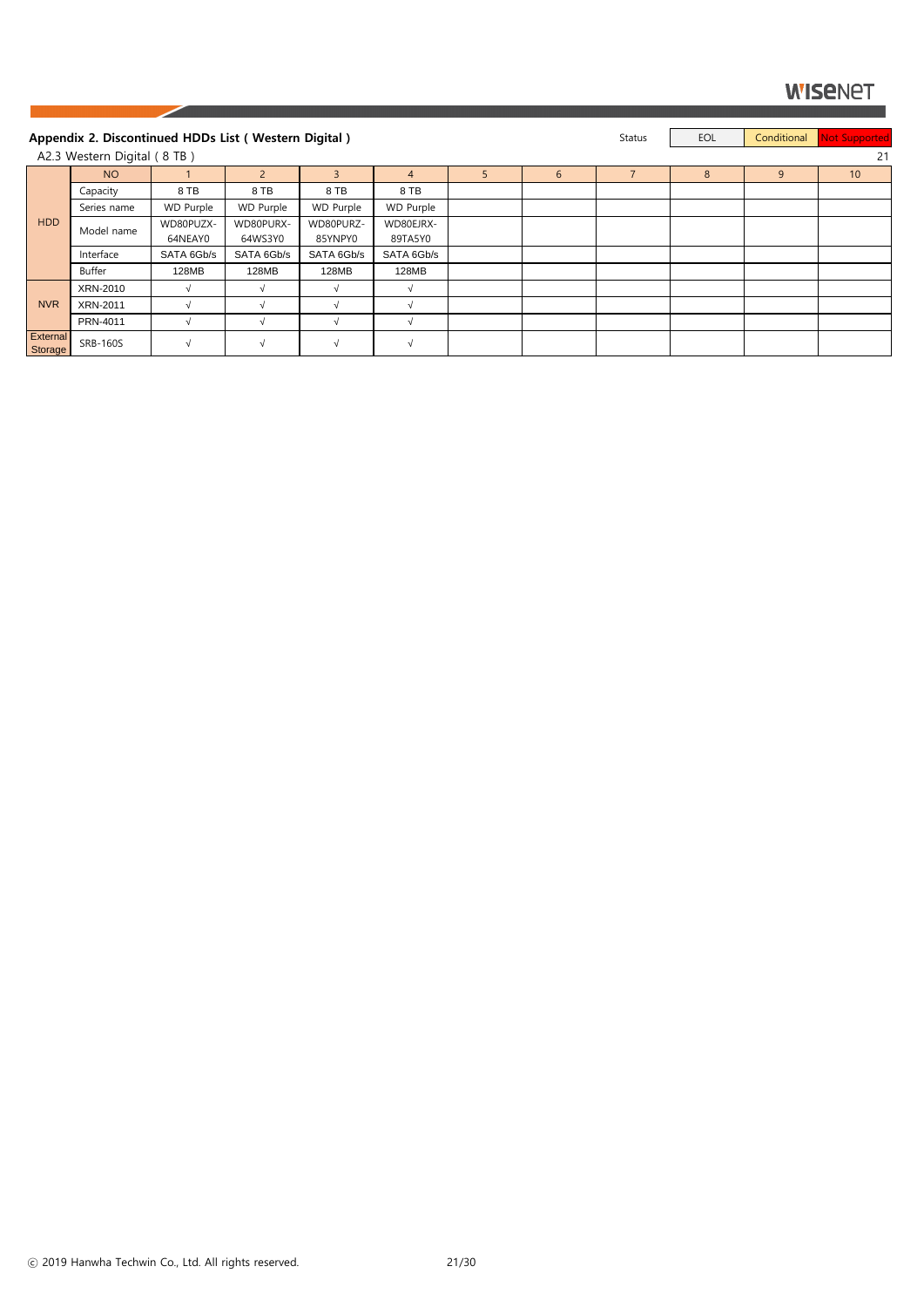|                            | Appendix 2. Discontinued HDDs List (Western Digital) |                  |                  |              |                  |   |                | <b>Status</b> | EOL | Conditional | Not Supported |
|----------------------------|------------------------------------------------------|------------------|------------------|--------------|------------------|---|----------------|---------------|-----|-------------|---------------|
|                            | A2.3 Western Digital (8 TB)                          |                  |                  |              |                  |   |                |               |     |             | 21            |
|                            | <b>NO</b>                                            |                  | $\mathcal{P}$    | $\mathbf{R}$ | 4                | 5 | $6\phantom{1}$ |               | 8   | 9           | 10            |
|                            | Capacity                                             | 8 TB             | 8 TB             | 8 TB         | 8 TB             |   |                |               |     |             |               |
|                            | Series name                                          | <b>WD Purple</b> | <b>WD Purple</b> | WD Purple    | <b>WD Purple</b> |   |                |               |     |             |               |
| HDD                        | Model name                                           | WD80PUZX-        | WD80PURX-        | WD80PURZ-    | WD80EJRX-        |   |                |               |     |             |               |
|                            |                                                      | 64NEAY0          | 64WS3Y0          | 85YNPY0      | 89TA5Y0          |   |                |               |     |             |               |
|                            | Interface                                            | SATA 6Gb/s       | SATA 6Gb/s       | SATA 6Gb/s   | SATA 6Gb/s       |   |                |               |     |             |               |
|                            | Buffer                                               | 128MB            | 128MB            | 128MB        | 128MB            |   |                |               |     |             |               |
|                            | XRN-2010                                             |                  |                  |              | √                |   |                |               |     |             |               |
| <b>NVR</b>                 | <b>XRN-2011</b>                                      |                  |                  |              | $\sqrt{ }$       |   |                |               |     |             |               |
|                            | PRN-4011                                             |                  |                  |              |                  |   |                |               |     |             |               |
| <b>External</b><br>Storage | <b>SRB-160S</b>                                      | $\sqrt{ }$       | $\sqrt{ }$       | $\sqrt{ }$   | $\sqrt{ }$       |   |                |               |     |             |               |

ⓒ 2019 Hanwha Techwin Co., Ltd. All rights reserved. 21/30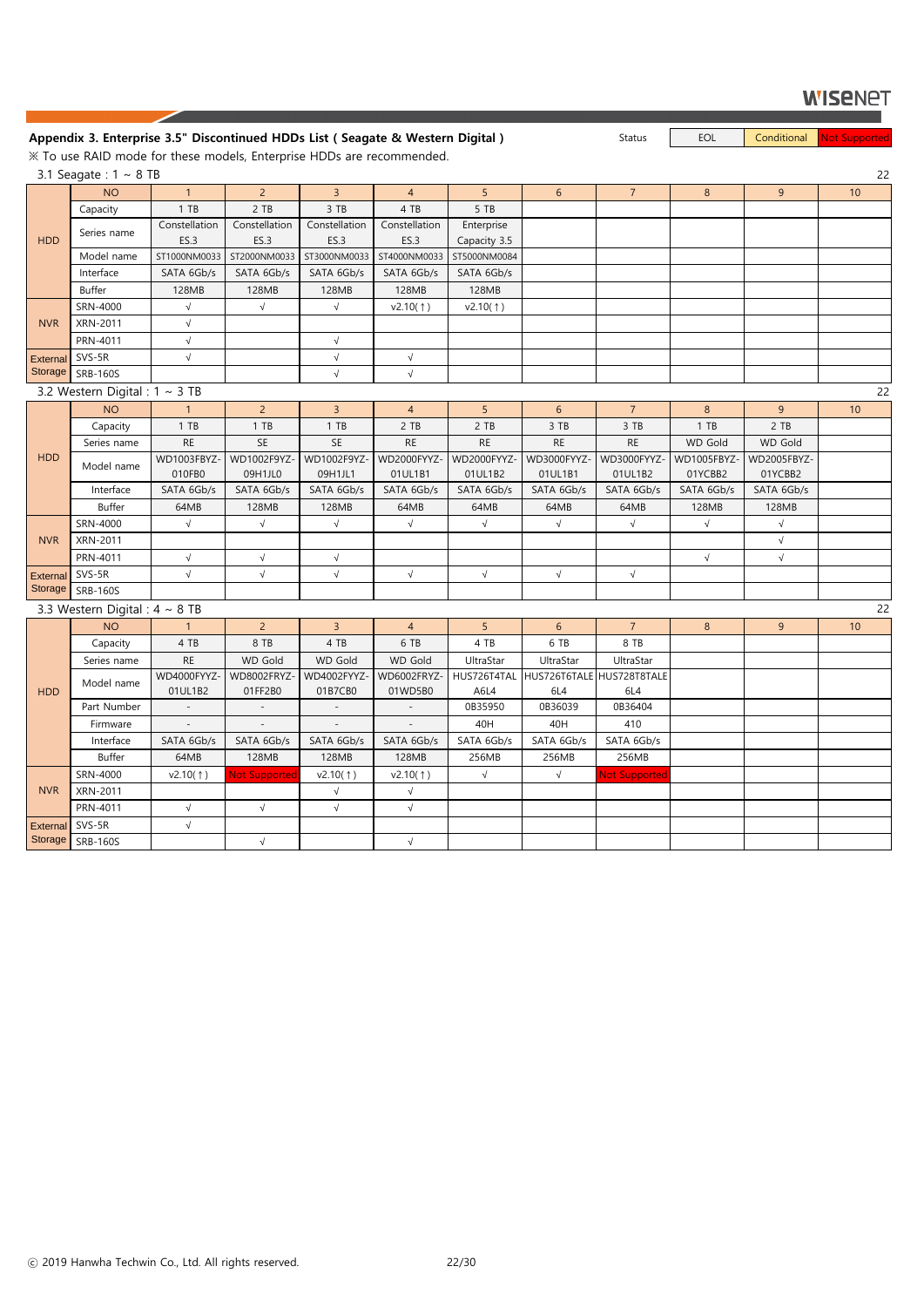#### **Appendix 3. Enterprise 3.5" Discontinued HDDs List ( Seagate & Western Digital )** Status EOL Conditional Not Supported

※ To use RAID mode for these models, Enterprise HDDs are recommended.

SRB-160S  $\vert \qquad \vert \qquad \vee \qquad \vert \qquad \vee \qquad \vert \qquad \vee$ 

|                 | 3.1 Seagate: $1 \sim 8$ TB          |               |                      |                |                          |                |                           |                      |             |             | 22 |
|-----------------|-------------------------------------|---------------|----------------------|----------------|--------------------------|----------------|---------------------------|----------------------|-------------|-------------|----|
|                 | <b>NO</b>                           | $\mathbf{1}$  | $2^{\circ}$          | 3 <sup>1</sup> | $\overline{4}$           | 5              | $6\phantom{.}6$           | $\overline{7}$       | 8           | 9           | 10 |
|                 | Capacity                            | $1$ TB        | 2 TB                 | 3 TB           | 4 TB                     | 5 TB           |                           |                      |             |             |    |
|                 | Series name                         | Constellation | Constellation        | Constellation  | Constellation            | Enterprise     |                           |                      |             |             |    |
| <b>HDD</b>      |                                     | ES.3          | ES.3                 | ES.3           | ES.3                     | Capacity 3.5   |                           |                      |             |             |    |
|                 | Model name                          | ST1000NM0033  | ST2000NM0033         | ST3000NM0033   | ST4000NM0033             | ST5000NM0084   |                           |                      |             |             |    |
|                 | Interface                           | SATA 6Gb/s    | SATA 6Gb/s           | SATA 6Gb/s     | SATA 6Gb/s               | SATA 6Gb/s     |                           |                      |             |             |    |
|                 | Buffer                              | 128MB         | 128MB                | 128MB          | 128MB                    | 128MB          |                           |                      |             |             |    |
|                 | SRN-4000                            | $\sqrt{ }$    | $\sqrt{ }$           | $\sqrt{ }$     | v2.10(1)                 | v2.10(†)       |                           |                      |             |             |    |
| <b>NVR</b>      | XRN-2011                            | $\sqrt{ }$    |                      |                |                          |                |                           |                      |             |             |    |
|                 | PRN-4011                            | $\sqrt{ }$    |                      | $\sqrt{ }$     |                          |                |                           |                      |             |             |    |
| External SVS-5R |                                     | $\sqrt{ }$    |                      | $\sqrt{ }$     | $\sqrt{ }$               |                |                           |                      |             |             |    |
|                 | Storage SRB-160S                    |               |                      | $\sqrt{ }$     | $\sqrt{}$                |                |                           |                      |             |             |    |
|                 | 3.2 Western Digital : $1 \sim 3$ TB |               |                      |                |                          |                |                           |                      |             |             | 22 |
|                 | <b>NO</b>                           | $\mathbf{1}$  | 2 <sup>1</sup>       | 3 <sup>1</sup> | $\overline{4}$           | 5 <sup>1</sup> | 6                         | 7 <sup>7</sup>       | 8           | 9           | 10 |
|                 | Capacity                            | 1 TB          | $1$ TB               | 1 TB           | 2 TB                     | 2 TB           | 3 TB                      | 3 TB                 | 1 TB        | 2 TB        |    |
|                 | Series name                         | <b>RE</b>     | SE                   | SE             | <b>RE</b>                | <b>RE</b>      | <b>RE</b>                 | <b>RE</b>            | WD Gold     | WD Gold     |    |
| <b>HDD</b>      |                                     | WD1003FBYZ-   | WD1002F9YZ-          | WD1002F9YZ-    | WD2000FYYZ-              | WD2000FYYZ     | WD3000FYYZ-               | WD3000FYYZ-          | WD1005FBYZ- | WD2005FBYZ- |    |
|                 | Model name                          | 010FB0        | 09H1JL0              | 09H1JL1        | 01UL1B1                  | 01UL1B2        | 01UL1B1                   | 01UL1B2              | 01YCBB2     | 01YCBB2     |    |
|                 | Interface                           | SATA 6Gb/s    | SATA 6Gb/s           | SATA 6Gb/s     | SATA 6Gb/s               | SATA 6Gb/s     | SATA 6Gb/s                | SATA 6Gb/s           | SATA 6Gb/s  | SATA 6Gb/s  |    |
|                 | <b>Buffer</b>                       | 64MB          | 128MB                | 128MB          | 64MB                     | 64MB           | 64MB                      | 64MB                 | 128MB       | 128MB       |    |
|                 | SRN-4000                            | $\sqrt{ }$    | $\sqrt{}$            | $\sqrt{}$      | $\sqrt{ }$               | $\sqrt{}$      | $\sqrt{}$                 | $\sqrt{ }$           | $\sqrt{ }$  | $\sqrt{ }$  |    |
| <b>NVR</b>      | XRN-2011                            |               |                      |                |                          |                |                           |                      |             | $\sqrt{ }$  |    |
|                 | PRN-4011                            | $\sqrt{ }$    | $\sqrt{}$            | $\sqrt{ }$     |                          |                |                           |                      | $\sqrt{ }$  | $\sqrt{}$   |    |
| External        | SVS-5R                              | $\sqrt{ }$    | $\sqrt{}$            | $\sqrt{}$      | $\sqrt{ }$               | $\sqrt{}$      | $\sqrt{ }$                | $\sqrt{}$            |             |             |    |
| Storage         | <b>SRB-160S</b>                     |               |                      |                |                          |                |                           |                      |             |             |    |
|                 | 3.3 Western Digital : $4 \sim 8$ TB |               |                      |                |                          |                |                           |                      |             |             | 22 |
|                 | <b>NO</b>                           | 1             | $2^{\circ}$          | 3 <sup>1</sup> | $\overline{4}$           | 5              | 6                         | $\overline{7}$       | 8           | 9           | 10 |
|                 | Capacity                            | 4 TB          | 8 TB                 | 4 TB           | 6 TB                     | 4 TB           | 6 TB                      | 8 TB                 |             |             |    |
|                 | Series name                         | <b>RE</b>     | <b>WD Gold</b>       | WD Gold        | WD Gold                  | UltraStar      | UltraStar                 | UltraStar            |             |             |    |
|                 |                                     | WD4000FYYZ-   | WD8002FRYZ-          | WD4002FYYZ-    | WD6002FRYZ-              | HUS726T4TAL    | HUS726T6TALE HUS728T8TALE |                      |             |             |    |
| <b>HDD</b>      | Model name                          | 01UL1B2       | 01FF2B0              | 01B7CB0        | 01WD5B0                  | A6L4           | 6L4                       | 6L4                  |             |             |    |
|                 | Part Number                         | $\sim$        | $\sim$               | $\sim$ $-$     | $\sim$                   | 0B35950        | 0B36039                   | 0B36404              |             |             |    |
|                 | Firmware                            | $\equiv$      | $\omega_{\rm c}$     | $\sim$         | $\overline{\phantom{a}}$ | 40H            | 40H                       | 410                  |             |             |    |
|                 | Interface                           | SATA 6Gb/s    | SATA 6Gb/s           | SATA 6Gb/s     | SATA 6Gb/s               | SATA 6Gb/s     | SATA 6Gb/s                | SATA 6Gb/s           |             |             |    |
|                 | Buffer                              | 64MB          | 128MB                | 128MB          | 128MB                    | 256MB          | 256MB                     | 256MB                |             |             |    |
|                 | SRN-4000                            | v2.10(1)      | <b>Not Supported</b> | v2.10(†)       | v2.10(1)                 | $\sqrt{}$      | $\sqrt{}$                 | <b>Not Supported</b> |             |             |    |
| <b>NVR</b>      | XRN-2011                            |               |                      | $\sqrt{ }$     | $\sqrt{ }$               |                |                           |                      |             |             |    |
|                 | PRN-4011                            | $\sqrt{ }$    | $\sqrt{ }$           | $\sqrt{ }$     | $\sqrt{ }$               |                |                           |                      |             |             |    |
| External SVS-5R |                                     | $\sqrt{ }$    |                      |                |                          |                |                           |                      |             |             |    |

Storage

ⓒ 2019 Hanwha Techwin Co., Ltd. All rights reserved. 22/30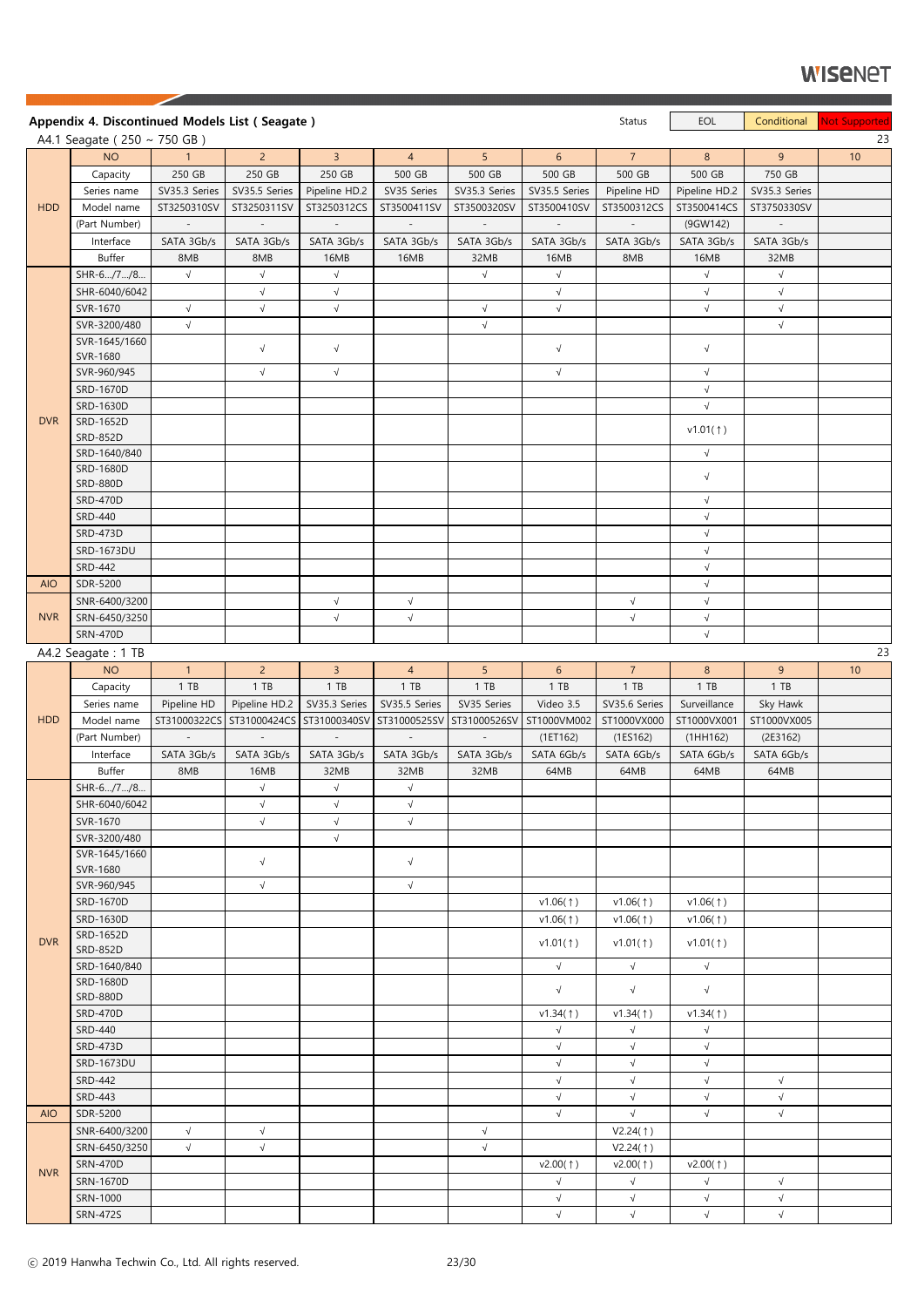|            | Appendix 4. Discontinued Models List (Seagate) |                             |                       |                           |                         |                          |                          | Status                 | EOL                   | Conditional        | Not Supported |
|------------|------------------------------------------------|-----------------------------|-----------------------|---------------------------|-------------------------|--------------------------|--------------------------|------------------------|-----------------------|--------------------|---------------|
|            | A4.1 Seagate ( $250 \sim 750$ GB)              |                             |                       |                           |                         |                          |                          |                        |                       |                    | 23            |
|            | <b>NO</b>                                      | 1                           | $2^{\circ}$           | $\mathbf{3}$              | $\overline{4}$          | 5 <sup>1</sup>           | 6 <sup>1</sup>           | 7 <sup>7</sup>         | 8                     | 9                  | 10            |
|            | Capacity                                       | 250 GB                      | 250 GB                | 250 GB                    | 500 GB                  | 500 GB                   | 500 GB                   | 500 GB                 | 500 GB                | 750 GB             |               |
|            | Series name                                    | SV35.3 Series               | SV35.5 Series         | Pipeline HD.2             | SV35 Series             | SV35.3 Series            | SV35.5 Series            | Pipeline HD            | Pipeline HD.2         | SV35.3 Series      |               |
| <b>HDD</b> | Model name                                     | ST3250310SV                 | ST3250311SV           | ST3250312CS               | ST3500411SV             | ST3500320SV              | ST3500410SV              | ST3500312CS            | ST3500414CS           | ST3750330SV        |               |
|            | (Part Number)                                  | $\overline{\phantom{a}}$    | $\sim$                | $\sim$                    | $\sim$                  | $\sim$                   | $\overline{\phantom{a}}$ | $\sim$                 | (9GW142)              | $\sim$             |               |
|            | Interface                                      | SATA 3Gb/s                  | SATA 3Gb/s            | SATA 3Gb/s                | SATA 3Gb/s              | SATA 3Gb/s               | SATA 3Gb/s               | SATA 3Gb/s             | SATA 3Gb/s            | SATA 3Gb/s         |               |
|            | Buffer                                         | 8MB                         | 8MB                   | 16MB                      | 16MB                    | 32MB                     | 16MB                     | 8MB                    | 16MB                  | 32MB               |               |
|            | SHR-6/7/8                                      | $\sqrt{ }$                  | $\sqrt{}$             | $\sqrt{ }$                |                         | $\sqrt{ }$               | $\sqrt{ }$               |                        | $\sqrt{ }$            | $\sqrt{ }$         |               |
|            | SHR-6040/6042                                  |                             | $\sqrt{}$             | $\sqrt{}$                 |                         |                          | $\sqrt{}$                |                        | $\sqrt{ }$            | $\sqrt{}$          |               |
|            | SVR-1670                                       | $\sqrt{ }$                  | $\sqrt{ }$            | $\sqrt{}$                 |                         | $\sqrt{}$                | $\sqrt{}$                |                        | $\sqrt{}$             | $\sqrt{}$          |               |
|            | SVR-3200/480                                   | $\sqrt{ }$                  |                       |                           |                         | $\sqrt{}$                |                          |                        |                       | $\sqrt{}$          |               |
|            | SVR-1645/1660                                  |                             | $\sqrt{}$             | $\sqrt{ }$                |                         |                          | $\sqrt{}$                |                        | $\sqrt{ }$            |                    |               |
|            | SVR-1680<br>SVR-960/945                        |                             | $\sqrt{}$             | $\sqrt{}$                 |                         |                          | $\sqrt{ }$               |                        | $\sqrt{ }$            |                    |               |
|            | SRD-1670D                                      |                             |                       |                           |                         |                          |                          |                        | $\sqrt{ }$            |                    |               |
|            | SRD-1630D                                      |                             |                       |                           |                         |                          |                          |                        | $\sqrt{ }$            |                    |               |
| <b>DVR</b> | SRD-1652D                                      |                             |                       |                           |                         |                          |                          |                        |                       |                    |               |
|            | <b>SRD-852D</b>                                |                             |                       |                           |                         |                          |                          |                        | v1.01(1)              |                    |               |
|            | SRD-1640/840                                   |                             |                       |                           |                         |                          |                          |                        | $\sqrt{ }$            |                    |               |
|            | SRD-1680D                                      |                             |                       |                           |                         |                          |                          |                        |                       |                    |               |
|            | <b>SRD-880D</b>                                |                             |                       |                           |                         |                          |                          |                        | $\sqrt{ }$            |                    |               |
|            | <b>SRD-470D</b>                                |                             |                       |                           |                         |                          |                          |                        | $\sqrt{ }$            |                    |               |
|            | <b>SRD-440</b>                                 |                             |                       |                           |                         |                          |                          |                        | $\sqrt{ }$            |                    |               |
|            | SRD-473D                                       |                             |                       |                           |                         |                          |                          |                        | $\sqrt{ }$            |                    |               |
|            | SRD-1673DU                                     |                             |                       |                           |                         |                          |                          |                        | $\sqrt{}$             |                    |               |
|            | <b>SRD-442</b>                                 |                             |                       |                           |                         |                          |                          |                        | $\sqrt{ }$            |                    |               |
| <b>AIO</b> | SDR-5200                                       |                             |                       |                           |                         |                          |                          |                        | $\sqrt{}$             |                    |               |
|            | SNR-6400/3200                                  |                             |                       | $\sqrt{ }$                | $\sqrt{}$               |                          |                          | $\sqrt{}$              | $\sqrt{ }$            |                    |               |
| <b>NVR</b> | SRN-6450/3250                                  |                             |                       | $\sqrt{ }$                | $\sqrt{}$               |                          |                          | $\sqrt{ }$             | $\sqrt{ }$            |                    |               |
|            | <b>SRN-470D</b>                                |                             |                       |                           |                         |                          |                          |                        | $\sqrt{ }$            |                    |               |
|            | A4.2 Seagate: 1 TB                             |                             |                       |                           |                         |                          |                          |                        |                       |                    | 23            |
|            | <b>NO</b>                                      | 1                           | $\overline{2}$        | 3 <sup>7</sup>            | $\overline{4}$          | 5 <sup>1</sup>           | 6 <sup>1</sup>           | 7 <sup>7</sup>         | 8 <sup>°</sup>        | 9                  | 10            |
|            | Capacity<br>Series name                        | 1 T B                       | 1 TB<br>Pipeline HD.2 | 1 T B<br>SV35.3 Series    | $1$ TB<br>SV35.5 Series | 1 T B<br>SV35 Series     | $1$ TB<br>Video 3.5      | 1 T B<br>SV35.6 Series | 1 T B<br>Surveillance | $1$ TB<br>Sky Hawk |               |
| <b>HDD</b> | Model name                                     | Pipeline HD<br>ST31000322CS | ST31000424CS          | ST31000340SV ST31000525SV |                         | ST31000526SV             | ST1000VM002              | ST1000VX000            | ST1000VX001           | ST1000VX005        |               |
|            | (Part Number)                                  | $\overline{\phantom{a}}$    | $\sim$                | $\sim$                    | $\mathbb{L}$            | $\overline{\phantom{a}}$ | (1E T162)                | (1E S162)              | (1HH162)              | (2E3162)           |               |
|            | Interface                                      | SATA 3Gb/s                  | SATA 3Gb/s            | SATA 3Gb/s                | SATA 3Gb/s              | SATA 3Gb/s               | SATA 6Gb/s               | SATA 6Gb/s             | SATA 6Gb/s            | SATA 6Gb/s         |               |
|            | <b>Buffer</b>                                  | 8MB                         | 16MB                  | 32MB                      | 32MB                    | 32MB                     | 64MB                     | 64MB                   | 64MB                  | 64MB               |               |
|            | SHR-6/7/8                                      |                             | $\sqrt{ }$            | $\sqrt{ }$                | $\sqrt{}$               |                          |                          |                        |                       |                    |               |
|            | SHR-6040/6042                                  |                             | $\sqrt{}$             | $\sqrt{ }$                | $\sqrt{}$               |                          |                          |                        |                       |                    |               |
|            | SVR-1670                                       |                             | $\sqrt{ }$            | $\sqrt{}$                 | $\sqrt{}$               |                          |                          |                        |                       |                    |               |
|            | SVR-3200/480                                   |                             |                       | $\sqrt{}$                 |                         |                          |                          |                        |                       |                    |               |
|            | SVR-1645/1660                                  |                             |                       |                           |                         |                          |                          |                        |                       |                    |               |
|            | SVR-1680                                       |                             | $\sqrt{}$             |                           | $\sqrt{}$               |                          |                          |                        |                       |                    |               |
|            | SVR-960/945                                    |                             | $\sqrt{}$             |                           | $\sqrt{ }$              |                          |                          |                        |                       |                    |               |
|            | SRD-1670D                                      |                             |                       |                           |                         |                          | v1.06(1)                 | v1.06(1)               | v1.06(1)              |                    |               |
|            | SRD-1630D                                      |                             |                       |                           |                         |                          | v1.06(†)                 | v1.06(1)               | v1.06(†)              |                    |               |
| <b>DVR</b> | SRD-1652D                                      |                             |                       |                           |                         |                          | v1.01(†)                 | v1.01(†)               | v1.01(†)              |                    |               |
|            | <b>SRD-852D</b><br>SRD-1640/840                |                             |                       |                           |                         |                          |                          | $\sqrt{ }$             | $\sqrt{ }$            |                    |               |
|            | SRD-1680D                                      |                             |                       |                           |                         |                          | $\sqrt{ }$               |                        |                       |                    |               |
|            | <b>SRD-880D</b>                                |                             |                       |                           |                         |                          | $\sqrt{}$                | $\sqrt{}$              | $\sqrt{ }$            |                    |               |
|            | <b>SRD-470D</b>                                |                             |                       |                           |                         |                          | v1.34(†)                 | v1.34(1)               | v1.34(†)              |                    |               |
|            | <b>SRD-440</b>                                 |                             |                       |                           |                         |                          | $\sqrt{}$                | $\sqrt{}$              | $\sqrt{ }$            |                    |               |
|            | <b>SRD-473D</b>                                |                             |                       |                           |                         |                          | $\sqrt{}$                | $\sqrt{}$              | $\sqrt{}$             |                    |               |
|            | SRD-1673DU                                     |                             |                       |                           |                         |                          | $\sqrt{ }$               | $\sqrt{}$              | $\sqrt{}$             |                    |               |
|            | <b>SRD-442</b>                                 |                             |                       |                           |                         |                          | $\sqrt{}$                | $\sqrt{}$              | $\sqrt{ }$            | $\sqrt{}$          |               |
|            | <b>SRD-443</b>                                 |                             |                       |                           |                         |                          | $\sqrt{ }$               | $\sqrt{}$              | $\sqrt{ }$            | $\sqrt{}$          |               |
| <b>AIO</b> | SDR-5200                                       |                             |                       |                           |                         |                          | $\sqrt{}$                | $\sqrt{ }$             | $\sqrt{ }$            | $\sqrt{}$          |               |
|            | SNR-6400/3200                                  | $\sqrt{ }$                  | $\sqrt{ }$            |                           |                         | $\sqrt{}$                |                          | V2.24(1)               |                       |                    |               |
|            | SRN-6450/3250                                  | $\sqrt{ }$                  | $\sqrt{}$             |                           |                         | $\sqrt{}$                |                          | V2.24(1)               |                       |                    |               |
| <b>NVR</b> | <b>SRN-470D</b>                                |                             |                       |                           |                         |                          | $v2.00($ $\dagger)$      | v2.00(†)               | $v2.00($ $\dagger)$   |                    |               |
|            | SRN-1670D                                      |                             |                       |                           |                         |                          | $\sqrt{}$                | $\sqrt{}$              | $\sqrt{ }$            | $\sqrt{}$          |               |
|            | SRN-1000                                       |                             |                       |                           |                         |                          | $\sqrt{ }$               | $\sqrt{}$              | $\sqrt{}$             | $\sqrt{}$          |               |
|            | <b>SRN-472S</b>                                |                             |                       |                           |                         |                          | $\sqrt{ }$               | $\sqrt{}$              | $\sqrt{ }$            | $\sqrt{}$          |               |

╱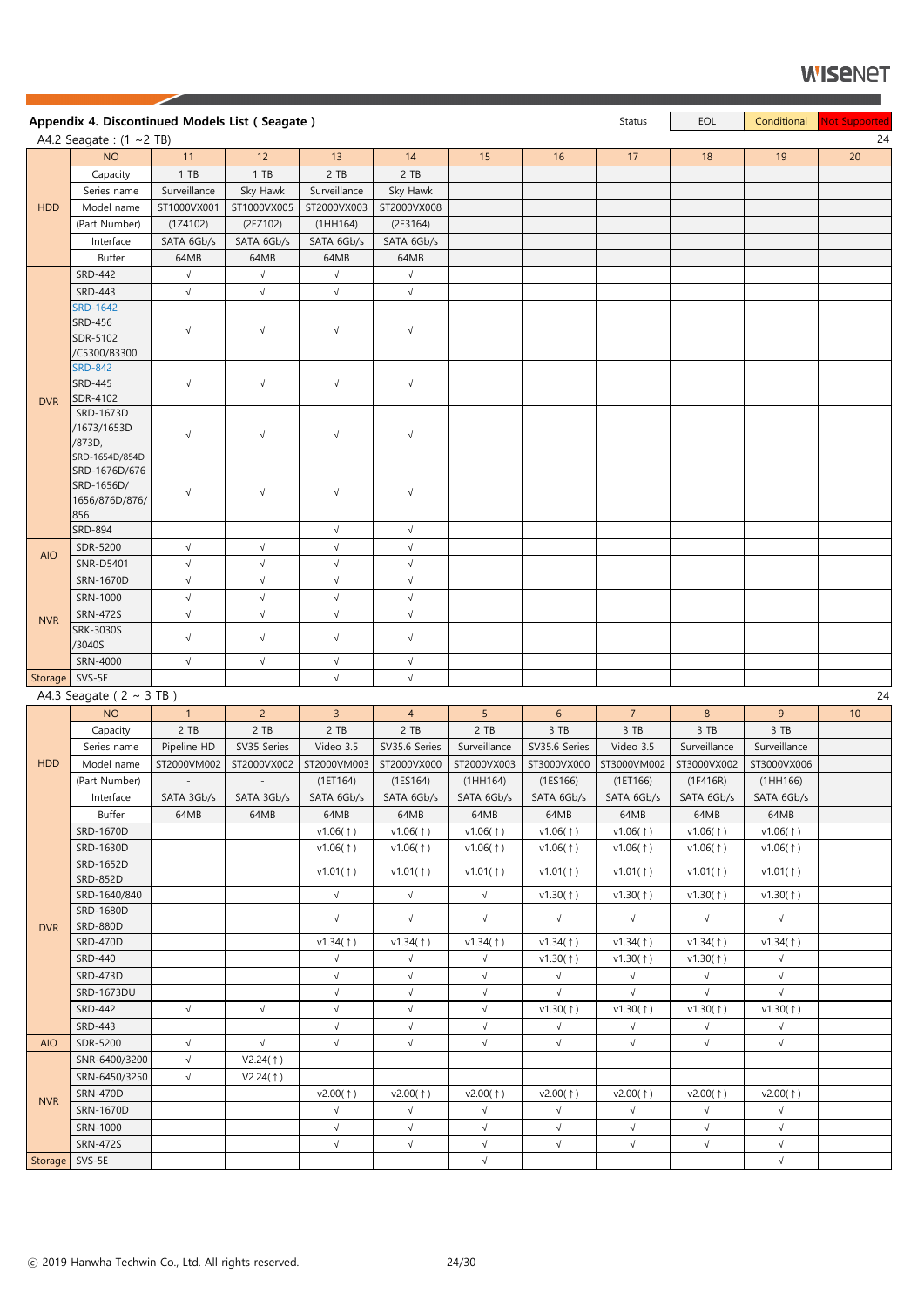|                | Appendix 4. Discontinued Models List (Seagate)                |              |                |                          |                       |                                  |                          | Status                 | EOL                      | Conditional            | Not Supported |
|----------------|---------------------------------------------------------------|--------------|----------------|--------------------------|-----------------------|----------------------------------|--------------------------|------------------------|--------------------------|------------------------|---------------|
|                | A4.2 Seagate: $(1 \sim 2$ TB)                                 |              |                |                          |                       |                                  |                          |                        |                          |                        | 24            |
|                | <b>NO</b>                                                     | 11           | 12             | 13                       | 14                    | 15                               | 16                       | 17                     | 18                       | 19                     | 20            |
|                | Capacity                                                      | 1 TB         | 1 T B          | 2 TB                     | 2 TB                  |                                  |                          |                        |                          |                        |               |
|                | Series name                                                   | Surveillance | Sky Hawk       | Surveillance             | Sky Hawk              |                                  |                          |                        |                          |                        |               |
| <b>HDD</b>     | Model name                                                    | ST1000VX001  | ST1000VX005    | ST2000VX003              | ST2000VX008           |                                  |                          |                        |                          |                        |               |
|                | (Part Number)                                                 | (1Z4102)     | (2EZ102)       | (1HH164)                 | (2E3164)              |                                  |                          |                        |                          |                        |               |
|                | Interface                                                     | SATA 6Gb/s   | SATA 6Gb/s     | SATA 6Gb/s               | SATA 6Gb/s            |                                  |                          |                        |                          |                        |               |
|                | <b>Buffer</b>                                                 | 64MB         | 64MB           | 64MB                     | 64MB                  |                                  |                          |                        |                          |                        |               |
|                | <b>SRD-442</b>                                                | $\sqrt{ }$   | $\sqrt{}$      | $\sqrt{ }$               | $\sqrt{}$             |                                  |                          |                        |                          |                        |               |
|                | <b>SRD-443</b>                                                | $\sqrt{}$    | $\sqrt{}$      | $\sqrt{ }$               | $\sqrt{}$             |                                  |                          |                        |                          |                        |               |
|                | <b>SRD-1642</b><br><b>SRD-456</b><br>SDR-5102<br>/C5300/B3300 | $\sqrt{}$    | $\sqrt{ }$     | $\sqrt{ }$               | $\sqrt{ }$            |                                  |                          |                        |                          |                        |               |
| <b>DVR</b>     | <b>SRD-842</b><br><b>SRD-445</b><br>SDR-4102                  | $\sqrt{}$    | $\sqrt{}$      | $\sqrt{ }$               | $\sqrt{}$             |                                  |                          |                        |                          |                        |               |
|                | SRD-1673D<br>/1673/1653D<br>/873D,<br>SRD-1654D/854D          | $\sqrt{ }$   | $\sqrt{}$      | $\sqrt{ }$               | $\sqrt{}$             |                                  |                          |                        |                          |                        |               |
|                | SRD-1676D/676<br>SRD-1656D/<br>1656/876D/876/<br>856          | $\sqrt{}$    | $\sqrt{ }$     | $\sqrt{ }$               | $\sqrt{}$             |                                  |                          |                        |                          |                        |               |
|                | <b>SRD-894</b>                                                |              |                | $\sqrt{ }$               | $\sqrt{}$             |                                  |                          |                        |                          |                        |               |
| <b>AIO</b>     | SDR-5200                                                      | $\sqrt{ }$   | $\sqrt{ }$     | $\sqrt{ }$               | $\sqrt{}$             |                                  |                          |                        |                          |                        |               |
|                | <b>SNR-D5401</b>                                              | $\sqrt{}$    | $\sqrt{ }$     | $\sqrt{ }$               | $\sqrt{}$             |                                  |                          |                        |                          |                        |               |
|                | SRN-1670D                                                     | $\sqrt{ }$   | $\sqrt{}$      | $\sqrt{ }$               | $\sqrt{}$             |                                  |                          |                        |                          |                        |               |
|                | SRN-1000                                                      | $\sqrt{ }$   | $\sqrt{ }$     | $\sqrt{}$                | $\sqrt{}$             |                                  |                          |                        |                          |                        |               |
| <b>NVR</b>     | <b>SRN-472S</b>                                               | $\sqrt{ }$   | $\sqrt{ }$     | $\sqrt{ }$               | $\sqrt{}$             |                                  |                          |                        |                          |                        |               |
|                | SRK-3030S<br>/3040S                                           | $\sqrt{}$    | $\sqrt{}$      | $\sqrt{ }$               | $\sqrt{}$             |                                  |                          |                        |                          |                        |               |
|                | SRN-4000                                                      | $\sqrt{ }$   | $\sqrt{}$      | $\sqrt{ }$               | $\sqrt{}$             |                                  |                          |                        |                          |                        |               |
| Storage SVS-5E |                                                               |              |                | $\sqrt{}$                | $\sqrt{}$             |                                  |                          |                        |                          |                        |               |
|                | A4.3 Seagate ( $2 \sim 3$ TB)                                 |              |                |                          |                       |                                  |                          |                        |                          |                        | 24            |
|                | <b>NO</b>                                                     | $\mathbf{1}$ | 2 <sup>1</sup> | $\overline{3}$           | $\overline{4}$        | 5 <sup>1</sup>                   | 6 <sup>1</sup>           | 7 <sup>1</sup>         | 8                        | 9                      | 10            |
|                | Capacity                                                      | 2 TB         | 2 TB           | 2 TB                     | 2 TB                  | 2 TB                             | 3 TB                     | 3 TB                   | 3 TB                     | 3 TB                   |               |
|                | Series name                                                   | Pipeline HD  | SV35 Series    | Video 3.5                | SV35.6 Series         | Surveillance                     | SV35.6 Series            | Video 3.5              | Surveillance             | Surveillance           |               |
| <b>HDD</b>     | Model name                                                    | ST2000VM002  | ST2000VX002    | ST2000VM003              | ST2000VX000           | ST2000VX003                      | ST3000VX000              | ST3000VM002            | ST3000VX002              | ST3000VX006            |               |
|                | (Part Number)                                                 | $\sim$       | $\sim$         | (1E T164)                | (1ES164)              | (1HH164)                         | (1ES166)                 | (1E T166)              | (1F416R)                 | (1HH166)               |               |
|                | Interface                                                     | SATA 3Gb/s   | SATA 3Gb/s     | SATA 6Gb/s               | SATA 6Gb/s            | SATA 6Gb/s                       | SATA 6Gb/s               | SATA 6Gb/s             | SATA 6Gb/s               | SATA 6Gb/s             |               |
|                | Buffer                                                        | 64MB         | 64MB           | 64MB                     | 64MB                  | 64MB                             | 64MB                     | 64MB                   | 64MB                     | 64MB                   |               |
|                | SRD-1670D                                                     |              |                | v1.06(1)                 | v1.06(1)              | v1.06(1)                         | v1.06(1)                 | v1.06(†)               | v1.06(†)                 | v1.06(1)               |               |
|                | SRD-1630D                                                     |              |                | v1.06(1)                 | v1.06(†)              | v1.06(1)                         | v1.06(†)                 | v1.06(†)               | v1.06(†)                 | v1.06(1)               |               |
|                | SRD-1652D<br>SRD-852D                                         |              |                | v1.01(†)                 | v1.01(†)              | v1.01(†)                         | v1.01(†)                 | v1.01(†)               | v1.01(†)                 | v1.01(1)               |               |
|                | SRD-1640/840                                                  |              |                | $\sqrt{ }$               | $\sqrt{}$             | $\sqrt{}$                        | v1.30(1)                 | v1.30(1)               | v1.30(1)                 | v1.30(1)               |               |
|                | SRD-1680D<br><b>SRD-880D</b>                                  |              |                | $\sqrt{ }$               | $\sqrt{}$             | $\sqrt{}$                        | $\sqrt{ }$               | $\sqrt{ }$             | $\sqrt{ }$               | $\sqrt{}$              |               |
| <b>DVR</b>     | <b>SRD-470D</b>                                               |              |                | v1.34(1)                 | v1.34(1)              | v1.34(1)                         | v1.34(1)                 | v1.34(1)               | v1.34(1)                 | v1.34(1)               |               |
|                | SRD-440                                                       |              |                | $\sqrt{ }$               | $\sqrt{}$             | $\sqrt{}$                        | v1.30(1)                 | v1.30(1)               | v1.30(1)                 | $\sqrt{ }$             |               |
|                | <b>SRD-473D</b>                                               |              |                | $\sqrt{}$                | $\sqrt{}$             | $\sqrt{}$                        | $\sqrt{ }$               | $\sqrt{ }$             | $\sqrt{ }$               | $\sqrt{}$              |               |
|                | SRD-1673DU                                                    |              |                | $\sqrt{ }$               | $\sqrt{}$             | $\sqrt{}$                        | $\sqrt{ }$               | $\sqrt{ }$             | $\sqrt{ }$               | $\sqrt{ }$             |               |
|                | <b>SRD-442</b>                                                | $\sqrt{ }$   | $\sqrt{}$      | $\sqrt{}$                | $\sqrt{ }$            | $\sqrt{}$                        | v1.30(1)                 | v1.30(1)               | v1.30(1)                 | v1.30(†)               |               |
|                | SRD-443                                                       |              |                | $\sqrt{ }$               | $\sqrt{}$             | $\sqrt{}$                        | $\sqrt{ }$               | $\sqrt{ }$             | $\sqrt{ }$               | $\sqrt{ }$             |               |
| <b>AIO</b>     | SDR-5200                                                      | $\sqrt{}$    | $\sqrt{}$      | $\sqrt{ }$               | $\sqrt{}$             | $\sqrt{}$                        | $\sqrt{ }$               | $\sqrt{}$              | $\sqrt{ }$               | $\sqrt{}$              |               |
|                | SNR-6400/3200                                                 | $\sqrt{ }$   | V2.24(†)       |                          |                       |                                  |                          |                        |                          |                        |               |
|                | SRN-6450/3250                                                 | $\sqrt{ }$   |                |                          |                       |                                  |                          |                        |                          |                        |               |
|                | <b>SRN-470D</b>                                               |              | V2.24(1)       |                          |                       |                                  |                          |                        |                          |                        |               |
| <b>NVR</b>     | SRN-1670D                                                     |              |                | $v2.00($ $\dagger)$      | v2.00(†)<br>$\sqrt{}$ | $v2.00($ $\dagger)$<br>$\sqrt{}$ | v2.00(†)                 | v2.00(†)               | v2.00(1)                 | v2.00(†)               |               |
|                |                                                               |              |                | $\sqrt{ }$<br>$\sqrt{ }$ | $\sqrt{}$             | $\sqrt{}$                        | $\sqrt{ }$<br>$\sqrt{ }$ | $\sqrt{}$<br>$\sqrt{}$ | $\sqrt{ }$<br>$\sqrt{ }$ | $\sqrt{}$<br>$\sqrt{}$ |               |
|                | SRN-1000                                                      |              |                |                          |                       |                                  | $\sqrt{ }$               |                        |                          |                        |               |
|                | <b>SRN-472S</b>                                               |              |                | $\sqrt{ }$               | $\sqrt{}$             | $\sqrt{}$                        |                          | $\sqrt{}$              | $\sqrt{ }$               | $\sqrt{}$              |               |
| Storage SVS-5E |                                                               |              |                |                          |                       | $\sqrt{}$                        |                          |                        |                          | $\sqrt{ }$             |               |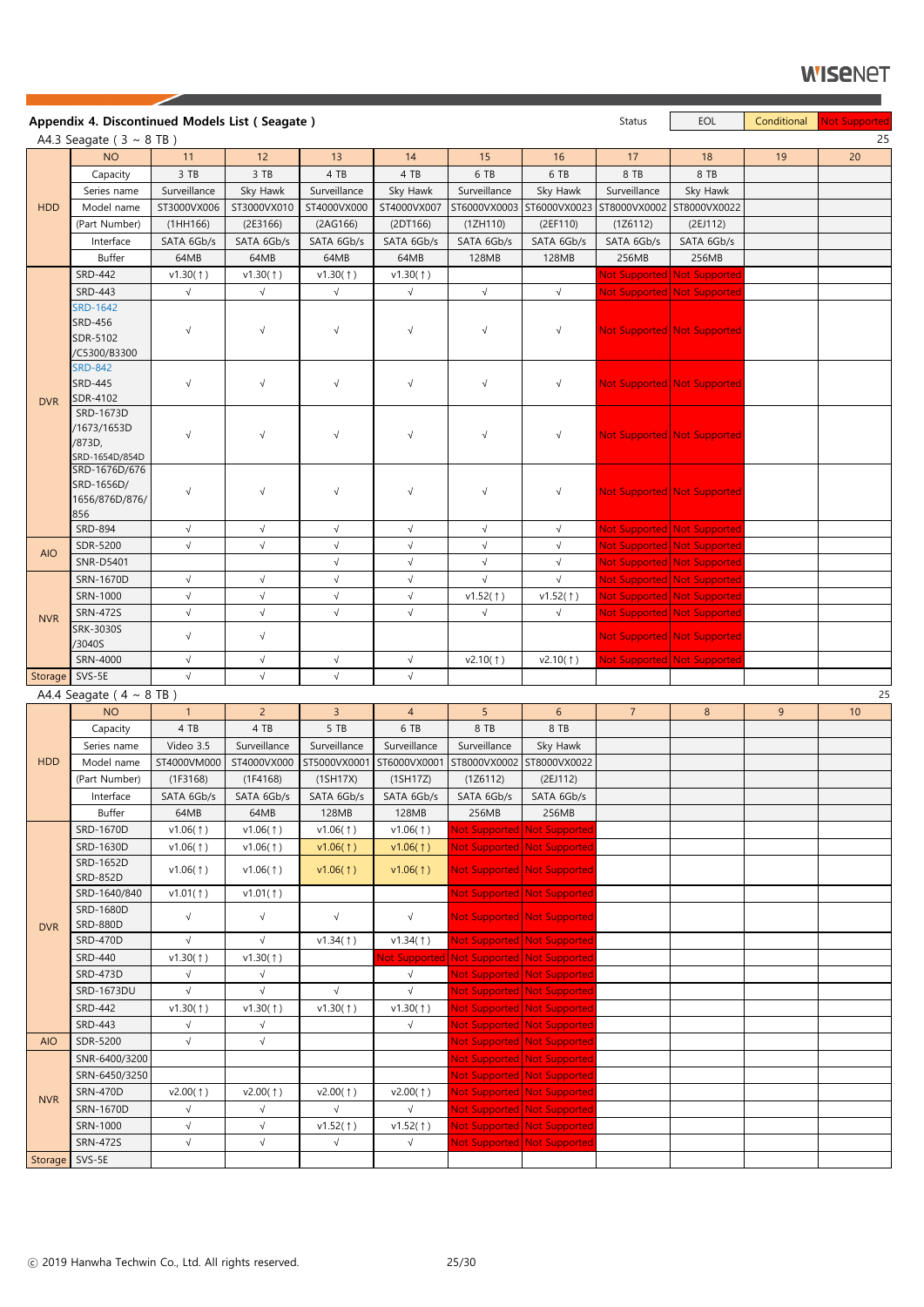|                | Appendix 4. Discontinued Models List (Seagate)                |              |                |                     |                     |                                           |                             | Status         | EOL                         | Conditional    | <b>Not Supported</b> |
|----------------|---------------------------------------------------------------|--------------|----------------|---------------------|---------------------|-------------------------------------------|-----------------------------|----------------|-----------------------------|----------------|----------------------|
|                | A4.3 Seagate ( $3 \sim 8$ TB)                                 |              |                |                     |                     |                                           |                             |                |                             |                | 25                   |
|                | <b>NO</b>                                                     | 11           | 12             | 13                  | 14                  | 15                                        | 16                          | 17             | 18                          | 19             | 20                   |
|                | Capacity                                                      | 3 TB         | 3 TB           | 4 TB                | 4 TB                | 6 TB                                      | 6 TB                        | 8 TB           | 8 TB                        |                |                      |
|                | Series name                                                   | Surveillance | Sky Hawk       | Surveillance        | Sky Hawk            | Surveillance                              | Sky Hawk                    | Surveillance   | Sky Hawk                    |                |                      |
| <b>HDD</b>     | Model name                                                    | ST3000VX006  | ST3000VX010    | ST4000VX000         | ST4000VX007         | ST6000VX0003                              | ST6000VX0023                | ST8000VX0002   | ST8000VX0022                |                |                      |
|                | (Part Number)                                                 | (1HH166)     | (2E3166)       | (2AG166)            | (2DT166)            | (1ZH110)                                  | (2EF110)                    | (1Z6112)       | (2EJ112)                    |                |                      |
|                | Interface                                                     | SATA 6Gb/s   | SATA 6Gb/s     | SATA 6Gb/s          | SATA 6Gb/s          | SATA 6Gb/s                                | SATA 6Gb/s                  | SATA 6Gb/s     | SATA 6Gb/s                  |                |                      |
|                | <b>Buffer</b>                                                 | 64MB         | 64MB           | 64MB                | 64MB                | 128MB                                     | 128MB                       | 256MB          | 256MB                       |                |                      |
|                | <b>SRD-442</b>                                                | v1.30(1)     | v1.30(1)       | v1.30(1)            | v1.30(1)            |                                           |                             |                | Not Supported Not Supported |                |                      |
|                | <b>SRD-443</b>                                                | $\sqrt{ }$   | $\sqrt{}$      | $\sqrt{}$           | $\sqrt{}$           | $\sqrt{ }$                                | $\sqrt{ }$                  |                | Not Supported Not Supported |                |                      |
|                | <b>SRD-1642</b><br><b>SRD-456</b><br>SDR-5102<br>/C5300/B3300 | $\sqrt{ }$   | $\sqrt{ }$     | $\sqrt{ }$          | $\sqrt{}$           | $\sqrt{}$                                 | $\sqrt{}$                   |                | Not Supported Not Supported |                |                      |
| <b>DVR</b>     | <b>SRD-842</b><br><b>SRD-445</b><br>SDR-4102                  | $\sqrt{}$    | $\sqrt{ }$     | $\sqrt{ }$          | $\sqrt{}$           | $\sqrt{}$                                 | $\sqrt{}$                   |                | Not Supported Not Supported |                |                      |
|                | SRD-1673D<br>/1673/1653D<br>/873D,<br>SRD-1654D/854D          | $\sqrt{}$    | $\sqrt{ }$     | $\sqrt{ }$          | $\sqrt{}$           | $\sqrt{}$                                 | $\sqrt{}$                   |                | Not Supported Not Supported |                |                      |
|                | SRD-1676D/676<br>SRD-1656D/<br>1656/876D/876/<br>856          | $\sqrt{}$    | $\sqrt{ }$     | $\sqrt{ }$          | $\sqrt{}$           | $\sqrt{}$                                 | $\sqrt{}$                   |                | Not Supported Not Supported |                |                      |
|                | <b>SRD-894</b>                                                | $\sqrt{ }$   | $\sqrt{}$      | $\sqrt{ }$          | $\sqrt{}$           | $\sqrt{}$                                 | $\sqrt{}$                   |                | Not Supported Not Supported |                |                      |
| <b>AIO</b>     | SDR-5200                                                      | $\sqrt{ }$   | $\sqrt{}$      | $\sqrt{}$           | $\sqrt{}$           | $\sqrt{}$                                 | $\sqrt{ }$                  |                | Not Supported Not Supported |                |                      |
|                | <b>SNR-D5401</b>                                              |              |                | $\sqrt{ }$          | $\sqrt{ }$          | $\sqrt{ }$                                | $\sqrt{ }$                  |                | Not Supported Not Supported |                |                      |
|                | <b>SRN-1670D</b>                                              | $\sqrt{ }$   | $\sqrt{ }$     | $\sqrt{ }$          | $\sqrt{}$           | $\sqrt{}$                                 | $\sqrt{ }$                  |                | Not Supported Not Supported |                |                      |
|                | SRN-1000                                                      | $\sqrt{}$    | $\sqrt{}$      | $\sqrt{ }$          | $\sqrt{}$           | v1.52(1)                                  | v1.52(1)                    |                | Not Supported Not Supported |                |                      |
| <b>NVR</b>     | <b>SRN-472S</b>                                               | $\sqrt{ }$   | $\sqrt{}$      | $\sqrt{}$           | $\sqrt{}$           | $\sqrt{}$                                 | $\sqrt{ }$                  |                | Not Supported Not Supported |                |                      |
|                | <b>SRK-3030S</b>                                              | $\sqrt{}$    | $\sqrt{}$      |                     |                     |                                           |                             |                | Not Supported Not Supported |                |                      |
|                | /3040S<br>SRN-4000                                            | $\sqrt{ }$   | $\sqrt{}$      | $\sqrt{ }$          | $\sqrt{}$           | v2.10(1)                                  | v2.10(†)                    |                | Not Supported Not Supported |                |                      |
| Storage        | SVS-5E                                                        | $\sqrt{ }$   | $\sqrt{}$      | $\sqrt{ }$          | $\sqrt{}$           |                                           |                             |                |                             |                |                      |
|                | A4.4 Seagate ( $4 \sim 8$ TB)                                 |              |                |                     |                     |                                           |                             |                |                             |                | 25                   |
|                | <b>NO</b>                                                     | $\mathbf{1}$ | 2 <sup>1</sup> | $\overline{3}$      | $\overline{4}$      | 5                                         | 6 <sup>1</sup>              | 7 <sup>7</sup> | 8                           | $\overline{9}$ | 10                   |
|                | Capacity                                                      | 4 TB         | 4 TB           | 5 TB                | 6 TB                | 8 TB                                      | 8 TB                        |                |                             |                |                      |
|                | Series name                                                   | Video 3.5    | Surveillance   | Surveillance        | Surveillance        | Surveillance                              | Sky Hawk                    |                |                             |                |                      |
| <b>HDD</b>     | Model name                                                    | ST4000VM000  | ST4000VX000    | ST5000VX0001        | ST6000VX0001        | ST8000VX0002                              | ST8000VX0022                |                |                             |                |                      |
|                | (Part Number)                                                 | (1F3168)     | (1F4168)       | (1SH17X)            | (1SH17Z)            | (1Z6112)                                  | (2EJ112)                    |                |                             |                |                      |
|                | Interface                                                     | SATA 6Gb/s   | SATA 6Gb/s     | SATA 6Gb/s          | SATA 6Gb/s          | SATA 6Gb/s                                | SATA 6Gb/s                  |                |                             |                |                      |
|                | Buffer                                                        | 64MB         | 64MB           | 128MB               | 128MB               | 256MB                                     | 256MB                       |                |                             |                |                      |
|                | SRD-1670D                                                     | v1.06(1)     | v1.06(1)       | v1.06(1)            | v1.06(1)            |                                           | Not Supported Not Supported |                |                             |                |                      |
|                | SRD-1630D                                                     | v1.06(1)     | v1.06(†)       | v1.06(1)            | v1.06(1)            |                                           | Not Supported Not Supported |                |                             |                |                      |
|                | SRD-1652D<br><b>SRD-852D</b>                                  | v1.06(1)     | v1.06(1)       | v1.06(1)            | v1.06(1)            |                                           | Not Supported Not Supported |                |                             |                |                      |
|                | SRD-1640/840                                                  | v1.01(†)     | v1.01(†)       |                     |                     |                                           | Not Supported Not Supported |                |                             |                |                      |
| <b>DVR</b>     | SRD-1680D<br><b>SRD-880D</b>                                  | $\sqrt{ }$   | $\sqrt{}$      | $\sqrt{ }$          | $\sqrt{}$           |                                           | Not Supported Not Supported |                |                             |                |                      |
|                | <b>SRD-470D</b>                                               | $\sqrt{ }$   | $\sqrt{}$      | v1.34(1)            | v1.34(1)            |                                           | Not Supported Not Supported |                |                             |                |                      |
|                | <b>SRD-440</b>                                                | v1.30(1)     | v1.30(1)       |                     |                     | Not Supported Not Supported Not Supported |                             |                |                             |                |                      |
|                | <b>SRD-473D</b>                                               | $\sqrt{ }$   | $\sqrt{ }$     |                     | $\sqrt{ }$          |                                           | Not Supported Not Supported |                |                             |                |                      |
|                | SRD-1673DU                                                    | $\sqrt{ }$   | $\sqrt{}$      | $\sqrt{ }$          | $\sqrt{}$           |                                           | Not Supported Not Supported |                |                             |                |                      |
|                | <b>SRD-442</b>                                                | v1.30(1)     | v1.30(1)       | v1.30(1)            | v1.30(1)            |                                           | Not Supported Not Supported |                |                             |                |                      |
|                | SRD-443                                                       | $\sqrt{}$    | $\sqrt{ }$     |                     | $\sqrt{}$           |                                           | Not Supported Not Supported |                |                             |                |                      |
| <b>AIO</b>     | SDR-5200                                                      | $\sqrt{ }$   | $\sqrt{ }$     |                     |                     |                                           | Not Supported Not Supported |                |                             |                |                      |
|                | SNR-6400/3200                                                 |              |                |                     |                     |                                           | Not Supported Not Supported |                |                             |                |                      |
|                | SRN-6450/3250                                                 |              |                |                     |                     |                                           | Not Supported Not Supported |                |                             |                |                      |
|                | <b>SRN-470D</b>                                               | v2.00(†)     | v2.00(†)       | $v2.00($ $\dagger)$ | $v2.00($ $\dagger)$ |                                           | Not Supported Not Supported |                |                             |                |                      |
| <b>NVR</b>     | SRN-1670D                                                     | $\sqrt{ }$   | $\sqrt{}$      | $\sqrt{}$           | $\sqrt{ }$          |                                           | Not Supported Not Supported |                |                             |                |                      |
|                | SRN-1000                                                      | $\sqrt{ }$   | $\sqrt{}$      | v1.52(1)            | v1.52(1)            |                                           | Not Supported Not Supported |                |                             |                |                      |
|                | <b>SRN-472S</b>                                               | $\sqrt{ }$   | $\sqrt{}$      | $\sqrt{}$           | $\sqrt{ }$          |                                           | Not Supported Not Supported |                |                             |                |                      |
| Storage SVS-5E |                                                               |              |                |                     |                     |                                           |                             |                |                             |                |                      |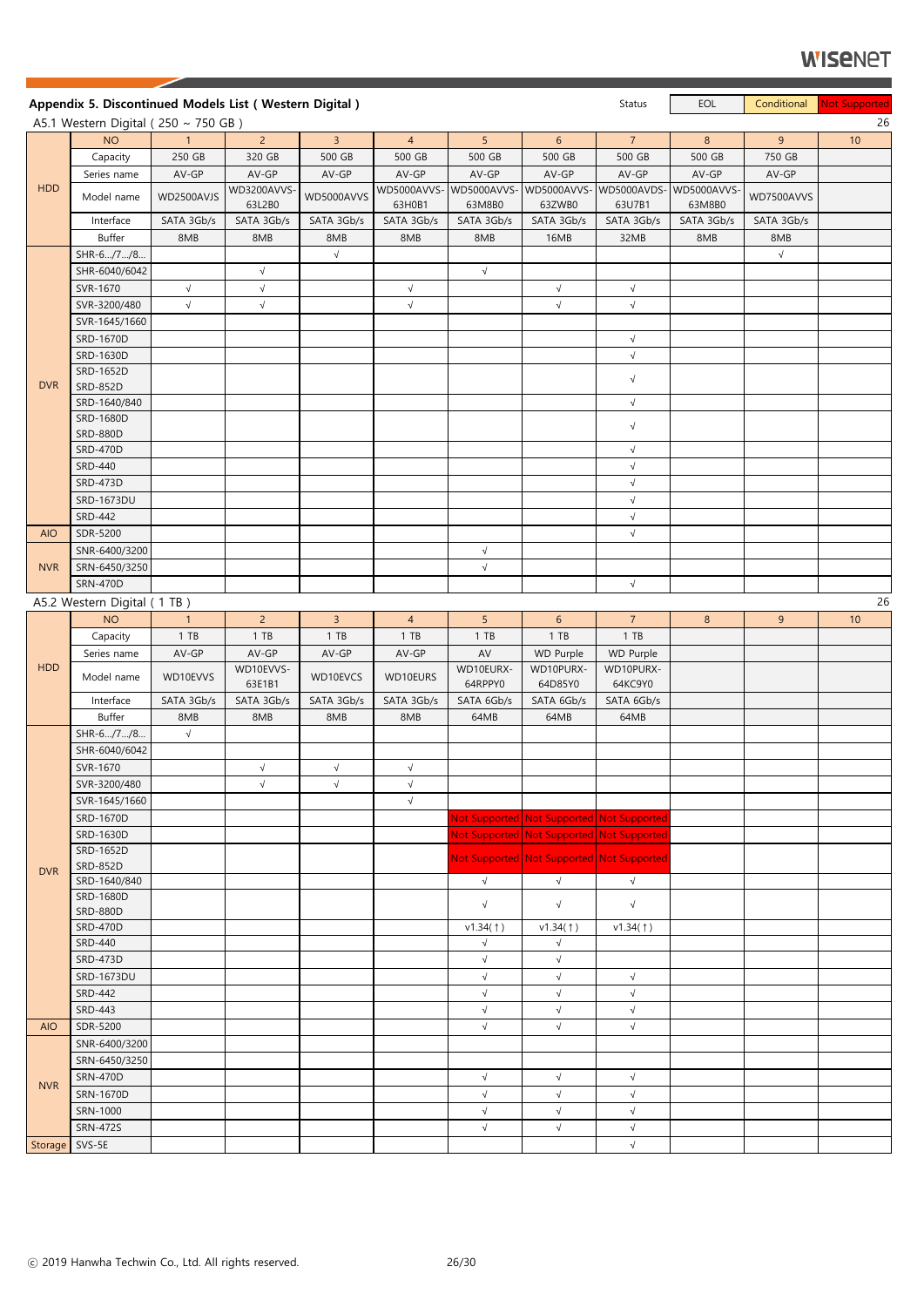|                | Appendix 5. Discontinued Models List (Western Digital) |                |                       |                |                       |                      |                                           | Status               | EOL                   | Conditional | Not Supported |
|----------------|--------------------------------------------------------|----------------|-----------------------|----------------|-----------------------|----------------------|-------------------------------------------|----------------------|-----------------------|-------------|---------------|
|                | A5.1 Western Digital ( $250 \sim 750$ GB)              |                |                       |                |                       |                      |                                           |                      |                       |             | 26            |
|                | <b>NO</b>                                              | 1              | $2^{\circ}$           | 3 <sup>7</sup> | $\overline{4}$        | 5 <sup>1</sup>       | 6 <sup>1</sup>                            | $\overline{7}$       | 8 <sup>°</sup>        | 9           | 10            |
|                | Capacity                                               | 250 GB         | 320 GB                | 500 GB         | 500 GB                | 500 GB               | 500 GB                                    | 500 GB               | 500 GB                | 750 GB      |               |
|                | Series name                                            | AV-GP          | AV-GP                 | AV-GP          | AV-GP                 | AV-GP                | AV-GP                                     | AV-GP                | AV-GP                 | AV-GP       |               |
| <b>HDD</b>     | Model name                                             | WD2500AVJS     | WD3200AVVS-<br>63L2B0 | WD5000AVVS     | WD5000AVVS-<br>63H0B1 | WD5000AVVS<br>63M8B0 | WD5000AVVS-WD5000AVDS-<br>63ZWB0          | 63U7B1               | WD5000AVVS-<br>63M8B0 | WD7500AVVS  |               |
|                | Interface                                              | SATA 3Gb/s     | SATA 3Gb/s            | SATA 3Gb/s     | SATA 3Gb/s            | SATA 3Gb/s           | SATA 3Gb/s                                | SATA 3Gb/s           | SATA 3Gb/s            | SATA 3Gb/s  |               |
|                | Buffer                                                 | 8MB            | 8MB                   | 8MB            | 8MB                   | 8MB                  | 16MB                                      | 32MB                 | 8MB                   | 8MB         |               |
|                | SHR-6/7/8                                              |                |                       | $\sqrt{ }$     |                       |                      |                                           |                      |                       | $\sqrt{}$   |               |
|                | SHR-6040/6042                                          |                | $\sqrt{}$             |                |                       | $\sqrt{}$            |                                           |                      |                       |             |               |
|                | SVR-1670                                               | $\sqrt{ }$     | $\sqrt{}$             |                | $\sqrt{}$             |                      | $\sqrt{ }$                                | $\sqrt{ }$           |                       |             |               |
|                | SVR-3200/480                                           | $\sqrt{ }$     | $\sqrt{}$             |                | $\sqrt{}$             |                      | $\sqrt{ }$                                | $\sqrt{}$            |                       |             |               |
|                | SVR-1645/1660                                          |                |                       |                |                       |                      |                                           |                      |                       |             |               |
|                | SRD-1670D                                              |                |                       |                |                       |                      |                                           | $\sqrt{}$            |                       |             |               |
|                | SRD-1630D                                              |                |                       |                |                       |                      |                                           | $\sqrt{}$            |                       |             |               |
|                | SRD-1652D                                              |                |                       |                |                       |                      |                                           |                      |                       |             |               |
| <b>DVR</b>     | <b>SRD-852D</b>                                        |                |                       |                |                       |                      |                                           | $\sqrt{}$            |                       |             |               |
|                | SRD-1640/840                                           |                |                       |                |                       |                      |                                           | $\sqrt{}$            |                       |             |               |
|                | SRD-1680D                                              |                |                       |                |                       |                      |                                           |                      |                       |             |               |
|                | <b>SRD-880D</b>                                        |                |                       |                |                       |                      |                                           | $\sqrt{}$            |                       |             |               |
|                | <b>SRD-470D</b>                                        |                |                       |                |                       |                      |                                           | $\sqrt{}$            |                       |             |               |
|                | <b>SRD-440</b>                                         |                |                       |                |                       |                      |                                           | $\sqrt{}$            |                       |             |               |
|                | <b>SRD-473D</b>                                        |                |                       |                |                       |                      |                                           | $\sqrt{}$            |                       |             |               |
|                | SRD-1673DU                                             |                |                       |                |                       |                      |                                           | $\sqrt{}$            |                       |             |               |
|                | <b>SRD-442</b>                                         |                |                       |                |                       |                      |                                           | $\sqrt{}$            |                       |             |               |
| <b>AIO</b>     | SDR-5200                                               |                |                       |                |                       |                      |                                           | $\sqrt{}$            |                       |             |               |
|                | SNR-6400/3200                                          |                |                       |                |                       | $\sqrt{}$            |                                           |                      |                       |             |               |
| <b>NVR</b>     | SRN-6450/3250                                          |                |                       |                |                       | $\sqrt{}$            |                                           |                      |                       |             |               |
|                | <b>SRN-470D</b>                                        |                |                       |                |                       |                      |                                           | $\sqrt{ }$           |                       |             |               |
|                | A5.2 Western Digital (1 TB)                            |                |                       |                |                       |                      |                                           |                      |                       |             | 26            |
|                | <b>NO</b>                                              | $\overline{1}$ | $2^{\circ}$           | 3 <sup>1</sup> | $\overline{4}$        | 5 <sup>1</sup>       | 6 <sup>1</sup>                            | 7 <sup>1</sup>       | 8 <sup>°</sup>        | 9           | 10            |
|                | Capacity                                               | 1 T B          | $1$ TB                | 1 T B          | $1$ TB                | 1 T B                | 1 TB                                      | 1 T B                |                       |             |               |
|                | Series name                                            | AV-GP          | AV-GP                 | AV-GP          | AV-GP                 | AV                   | WD Purple                                 | <b>WD Purple</b>     |                       |             |               |
| <b>HDD</b>     | Model name                                             | WD10EVVS       | WD10EVVS-<br>63E1B1   | WD10EVCS       | WD10EURS              | WD10EURX-<br>64RPPY0 | WD10PURX-<br>64D85Y0                      | WD10PURX-<br>64KC9Y0 |                       |             |               |
|                | Interface                                              | SATA 3Gb/s     | SATA 3Gb/s            | SATA 3Gb/s     | SATA 3Gb/s            | SATA 6Gb/s           | SATA 6Gb/s                                | SATA 6Gb/s           |                       |             |               |
|                | <b>Buffer</b>                                          | 8MB            | 8MB                   | 8MB            | 8MB                   | 64MB                 | 64MB                                      | 64MB                 |                       |             |               |
|                | SHR-6/7/8                                              | $\sqrt{ }$     |                       |                |                       |                      |                                           |                      |                       |             |               |
|                | SHR-6040/6042                                          |                |                       |                |                       |                      |                                           |                      |                       |             |               |
|                | SVR-1670                                               |                | $\sqrt{}$             | $\sqrt{ }$     | $\sqrt{ }$            |                      |                                           |                      |                       |             |               |
|                | SVR-3200/480                                           |                | $\sqrt{}$             | $\sqrt{ }$     | $\sqrt{}$             |                      |                                           |                      |                       |             |               |
|                | SVR-1645/1660                                          |                |                       |                | $\sqrt{}$             |                      |                                           |                      |                       |             |               |
|                | SRD-1670D                                              |                |                       |                |                       |                      | Not Supported Not Supported Not Supported |                      |                       |             |               |
|                | SRD-1630D                                              |                |                       |                |                       |                      | Not Supported Not Supported Not Supported |                      |                       |             |               |
|                | SRD-1652D<br><b>SRD-852D</b>                           |                |                       |                |                       |                      | Not Supported Not Supported Not Supported |                      |                       |             |               |
| <b>DVR</b>     | SRD-1640/840                                           |                |                       |                |                       | $\sqrt{}$            | $\sqrt{ }$                                | $\sqrt{}$            |                       |             |               |
|                | SRD-1680D                                              |                |                       |                |                       |                      |                                           |                      |                       |             |               |
|                | <b>SRD-880D</b>                                        |                |                       |                |                       | $\sqrt{}$            | $\sqrt{}$                                 | $\sqrt{ }$           |                       |             |               |
|                | <b>SRD-470D</b>                                        |                |                       |                |                       | v1.34(1)             | v1.34(1)                                  | v1.34(†)             |                       |             |               |
|                | <b>SRD-440</b>                                         |                |                       |                |                       | $\sqrt{}$            | $\sqrt{}$                                 |                      |                       |             |               |
|                | <b>SRD-473D</b>                                        |                |                       |                |                       | $\sqrt{}$            | $\sqrt{ }$                                |                      |                       |             |               |
|                | SRD-1673DU                                             |                |                       |                |                       | $\sqrt{}$            | $\sqrt{ }$                                | $\sqrt{}$            |                       |             |               |
|                | SRD-442                                                |                |                       |                |                       | $\sqrt{}$            | $\sqrt{ }$                                | $\sqrt{}$            |                       |             |               |
|                | <b>SRD-443</b>                                         |                |                       |                |                       | $\sqrt{}$            | $\sqrt{ }$                                | $\sqrt{}$            |                       |             |               |
| <b>AIO</b>     | SDR-5200                                               |                |                       |                |                       | $\sqrt{}$            | $\sqrt{ }$                                | $\sqrt{}$            |                       |             |               |
|                | SNR-6400/3200                                          |                |                       |                |                       |                      |                                           |                      |                       |             |               |
|                | SRN-6450/3250                                          |                |                       |                |                       |                      |                                           |                      |                       |             |               |
| <b>NVR</b>     | <b>SRN-470D</b>                                        |                |                       |                |                       | $\sqrt{}$            | $\sqrt{ }$                                | $\sqrt{}$            |                       |             |               |
|                | <b>SRN-1670D</b>                                       |                |                       |                |                       | $\sqrt{}$            | $\sqrt{ }$                                | $\sqrt{}$            |                       |             |               |
|                | SRN-1000                                               |                |                       |                |                       | $\sqrt{}$            | $\sqrt{}$                                 | $\sqrt{}$            |                       |             |               |
|                | <b>SRN-472S</b>                                        |                |                       |                |                       | $\sqrt{}$            | $\sqrt{ }$                                | $\sqrt{}$            |                       |             |               |
| Storage SVS-5E |                                                        |                |                       |                |                       |                      |                                           | $\sqrt{}$            |                       |             |               |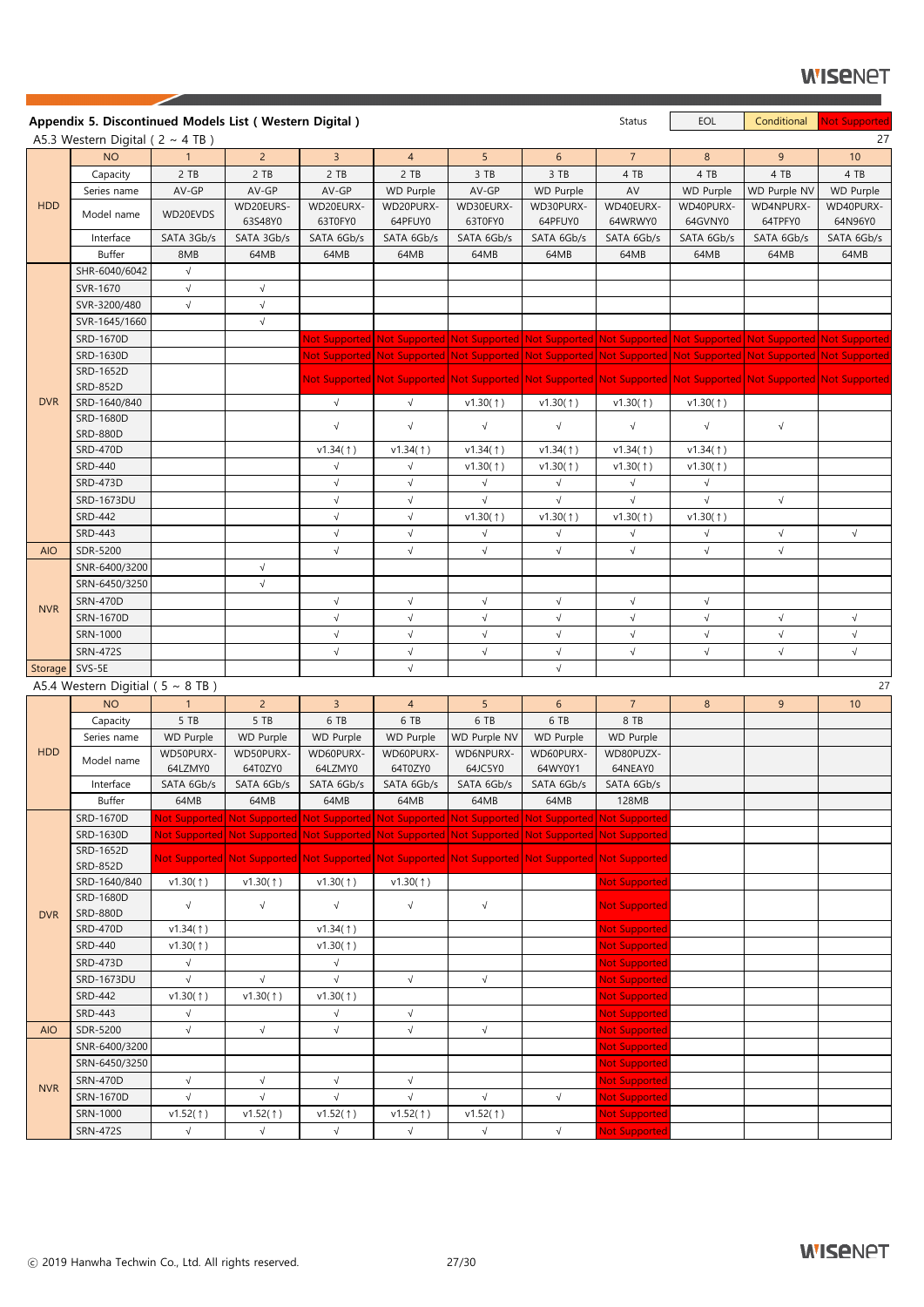**WISENPT** 

|            | Appendix 5. Discontinued Models List (Western Digital) |                  |                      |                      |                      |                                                                                                                 |                      | <b>Status</b>        | EOL                  | Conditional          | <b>Not Supported</b> |
|------------|--------------------------------------------------------|------------------|----------------------|----------------------|----------------------|-----------------------------------------------------------------------------------------------------------------|----------------------|----------------------|----------------------|----------------------|----------------------|
|            | A5.3 Western Digital ( $2 \sim 4$ TB)                  |                  |                      |                      |                      |                                                                                                                 |                      |                      |                      |                      | 27                   |
|            | <b>NO</b>                                              | 1                | $\overline{2}$       | $\overline{3}$       | $\overline{4}$       | 5                                                                                                               | 6 <sup>1</sup>       | 7 <sup>7</sup>       | 8                    | 9                    | 10                   |
|            | Capacity                                               | 2 TB             | 2 TB                 | 2 TB                 | $2$ TB               | 3 TB                                                                                                            | 3 TB                 | 4 TB                 | 4 TB                 | 4 TB                 | 4 TB                 |
|            | Series name                                            | AV-GP            | AV-GP                | AV-GP                | <b>WD Purple</b>     | AV-GP                                                                                                           | <b>WD Purple</b>     | AV                   | <b>WD Purple</b>     | WD Purple NV         | WD Purple            |
| <b>HDD</b> | Model name                                             | WD20EVDS         | WD20EURS-<br>63S48Y0 | WD20EURX-<br>63T0FY0 | WD20PURX-<br>64PFUY0 | WD30EURX-<br>63T0FY0                                                                                            | WD30PURX-<br>64PFUY0 | WD40EURX-<br>64WRWY0 | WD40PURX-<br>64GVNY0 | WD4NPURX-<br>64TPFY0 | WD40PURX-<br>64N96Y0 |
|            | Interface                                              | SATA 3Gb/s       | SATA 3Gb/s           | SATA 6Gb/s           | SATA 6Gb/s           | SATA 6Gb/s                                                                                                      | SATA 6Gb/s           | SATA 6Gb/s           | SATA 6Gb/s           | SATA 6Gb/s           | SATA 6Gb/s           |
|            | <b>Buffer</b>                                          | 8MB              | 64MB                 | 64MB                 | 64MB                 | 64MB                                                                                                            | 64MB                 | 64MB                 | 64MB                 | 64MB                 | 64MB                 |
|            | SHR-6040/6042                                          | $\sqrt{}$        |                      |                      |                      |                                                                                                                 |                      |                      |                      |                      |                      |
|            | SVR-1670                                               | $\sqrt{ }$       | $\sqrt{}$            |                      |                      |                                                                                                                 |                      |                      |                      |                      |                      |
|            | SVR-3200/480                                           | $\sqrt{}$        | $\sqrt{}$            |                      |                      |                                                                                                                 |                      |                      |                      |                      |                      |
|            | SVR-1645/1660                                          |                  | $\sqrt{}$            |                      |                      |                                                                                                                 |                      |                      |                      |                      |                      |
|            |                                                        |                  |                      |                      |                      |                                                                                                                 |                      |                      |                      |                      |                      |
|            | SRD-1670D                                              |                  |                      |                      |                      | Not Supported Not Supported Not Supported Not Supported Not Supported Not Supported Not Supported Not Supported |                      |                      |                      |                      |                      |
|            | SRD-1630D                                              |                  |                      |                      |                      | Not Supported Not Supported Not Supported Not Supported Not Supported Not Supported Not Supported Not Supported |                      |                      |                      |                      |                      |
|            | SRD-1652D<br><b>SRD-852D</b>                           |                  |                      |                      |                      | Not Supported Not Supported Not Supported Not Supported Not Supported Not Supported Not Supported Not Supported |                      |                      |                      |                      |                      |
| <b>DVR</b> | SRD-1640/840                                           |                  |                      | $\sqrt{ }$           | $\sqrt{}$            |                                                                                                                 |                      |                      |                      |                      |                      |
|            | SRD-1680D                                              |                  |                      |                      |                      | v1.30(1)                                                                                                        | v1.30(1)             | v1.30(1)             | v1.30(1)             |                      |                      |
|            | <b>SRD-880D</b>                                        |                  |                      | $\sqrt{ }$           | $\sqrt{}$            | $\sqrt{ }$                                                                                                      | $\sqrt{}$            | $\sqrt{ }$           | $\sqrt{ }$           | $\sqrt{ }$           |                      |
|            | <b>SRD-470D</b>                                        |                  |                      | v1.34(1)             | v1.34(1)             | v1.34(1)                                                                                                        | v1.34(1)             | v1.34(1)             | v1.34(1)             |                      |                      |
|            | <b>SRD-440</b>                                         |                  |                      | $\sqrt{}$            | $\sqrt{}$            |                                                                                                                 | v1.30(1)             |                      | v1.30(1)             |                      |                      |
|            |                                                        |                  |                      |                      |                      | v1.30(1)                                                                                                        |                      | v1.30(1)             |                      |                      |                      |
|            | <b>SRD-473D</b>                                        |                  |                      | $\sqrt{}$            | $\sqrt{}$            | $\sqrt{}$                                                                                                       | $\sqrt{ }$           | $\sqrt{ }$           | $\sqrt{}$            |                      |                      |
|            | <b>SRD-1673DU</b>                                      |                  |                      | $\sqrt{}$            | $\sqrt{}$            | $\sqrt{}$                                                                                                       | $\sqrt{}$            | $\sqrt{}$            | $\sqrt{ }$           | $\sqrt{}$            |                      |
|            | <b>SRD-442</b>                                         |                  |                      | $\sqrt{}$            | $\sqrt{}$            | v1.30(1)                                                                                                        | v1.30(†)             | v1.30(1)             | v1.30(1)             |                      |                      |
|            | <b>SRD-443</b>                                         |                  |                      | $\sqrt{}$            | $\sqrt{ }$           | $\sqrt{ }$                                                                                                      | $\sqrt{ }$           | $\sqrt{}$            | $\sqrt{}$            | $\sqrt{}$            | $\sqrt{}$            |
| <b>AIO</b> | SDR-5200                                               |                  |                      | $\sqrt{}$            | $\sqrt{}$            | $\sqrt{}$                                                                                                       | $\sqrt{ }$           | $\sqrt{ }$           | $\sqrt{}$            | $\sqrt{}$            |                      |
|            | SNR-6400/3200                                          |                  | $\sqrt{}$            |                      |                      |                                                                                                                 |                      |                      |                      |                      |                      |
|            | SRN-6450/3250                                          |                  | $\sqrt{}$            |                      |                      |                                                                                                                 |                      |                      |                      |                      |                      |
| <b>NVR</b> | <b>SRN-470D</b>                                        |                  |                      | $\sqrt{}$            | $\sqrt{}$            | $\sqrt{ }$                                                                                                      | $\sqrt{ }$           | $\sqrt{ }$           | $\sqrt{ }$           |                      |                      |
|            | SRN-1670D                                              |                  |                      | $\sqrt{}$            | $\sqrt{}$            | $\sqrt{ }$                                                                                                      | $\sqrt{ }$           | $\sqrt{}$            | $\sqrt{}$            | $\sqrt{}$            | $\sqrt{}$            |
|            | SRN-1000                                               |                  |                      | $\sqrt{}$            | $\sqrt{}$            | $\sqrt{ }$                                                                                                      | $\sqrt{}$            | $\sqrt{ }$           | $\sqrt{}$            | $\sqrt{}$            | $\sqrt{}$            |
|            | <b>SRN-472S</b>                                        |                  |                      | $\sqrt{}$            | $\sqrt{}$            | $\sqrt{}$                                                                                                       | $\sqrt{ }$           | $\sqrt{}$            | $\sqrt{}$            | $\sqrt{}$            | $\sqrt{}$            |
| Storage    | SVS-5E                                                 |                  |                      |                      | $\sqrt{}$            |                                                                                                                 | $\sqrt{ }$           |                      |                      |                      |                      |
|            | A5.4 Western Digitial ( $5 \sim 8$ TB)                 |                  |                      |                      |                      |                                                                                                                 |                      |                      |                      |                      | 27                   |
|            | <b>NO</b>                                              | $\mathbf{1}$     | $\overline{2}$       | $\overline{3}$       | $\overline{4}$       | 5                                                                                                               | 6                    | $\overline{7}$       | 8                    | 9 <sup>°</sup>       | 10                   |
|            | Capacity                                               | 5 TB             | 5 TB                 | 6 TB                 | 6 TB                 | 6 TB                                                                                                            | 6 TB                 | 8 TB                 |                      |                      |                      |
|            | Series name                                            | <b>WD Purple</b> | <b>WD Purple</b>     | <b>WD Purple</b>     | <b>WD Purple</b>     | WD Purple NV                                                                                                    | WD Purple            | <b>WD Purple</b>     |                      |                      |                      |
| <b>HDD</b> | Model name                                             | WD50PURX-        | WD50PURX-            | WD60PURX-            | WD60PURX-            | WD6NPURX-                                                                                                       | WD60PURX-            | WD80PUZX-            |                      |                      |                      |
|            |                                                        | 64LZMY0          | 64T0ZY0              | 64LZMY0              | 64T0ZY0              | 64JC5Y0                                                                                                         | 64WY0Y1              | 64NEAY0              |                      |                      |                      |
|            | Interface                                              | SATA 6Gb/s       | SATA 6Gb/s           | SATA 6Gb/s           | SATA 6Gb/s           | SATA 6Gb/s                                                                                                      | SATA 6Gb/s           | SATA 6Gb/s           |                      |                      |                      |
|            | <b>Buffer</b>                                          | 64MB             | 64MB                 | 64MB                 | 64MB                 | 64MB                                                                                                            | 64MB                 | 128MB                |                      |                      |                      |
|            | SRD-1670D                                              |                  |                      |                      |                      | Not Supported Not Supported Not Supported Not Supported Not Supported Not Supported Not Supported               |                      |                      |                      |                      |                      |
|            | SRD-1630D                                              |                  |                      |                      |                      | Not Supported Not Supported Not Supported Not Supported Not Supported Not Supported Not Supported               |                      |                      |                      |                      |                      |
|            | SRD-1652D                                              |                  |                      |                      |                      | Not Supported Not Supported Not Supported Not Supported Not Supported Not Supported Not Supported               |                      |                      |                      |                      |                      |
|            | <b>SRD-852D</b>                                        |                  |                      |                      |                      |                                                                                                                 |                      |                      |                      |                      |                      |
|            | SRD-1640/840                                           | v1.30(1)         | v1.30(1)             | v1.30(1)             | v1.30(1)             |                                                                                                                 |                      | <b>Not Supported</b> |                      |                      |                      |
|            | SRD-1680D                                              | $\sqrt{}$        | $\sqrt{}$            | $\sqrt{ }$           | $\sqrt{ }$           | $\sqrt{ }$                                                                                                      |                      | <b>Not Supported</b> |                      |                      |                      |
| <b>DVR</b> | <b>SRD-880D</b>                                        |                  |                      |                      |                      |                                                                                                                 |                      |                      |                      |                      |                      |
|            | <b>SRD-470D</b>                                        | v1.34(†)         |                      | v1.34(1)             |                      |                                                                                                                 |                      | <b>Not Supported</b> |                      |                      |                      |
|            | SRD-440                                                | v1.30(1)         |                      | v1.30(1)             |                      |                                                                                                                 |                      | <b>Not Supported</b> |                      |                      |                      |
|            | <b>SRD-473D</b>                                        | $\sqrt{}$        |                      | $\sqrt{}$            |                      |                                                                                                                 |                      | <b>Not Supported</b> |                      |                      |                      |
|            | SRD-1673DU                                             | $\sqrt{ }$       | $\sqrt{}$            | $\sqrt{ }$           | $\sqrt{}$            | $\sqrt{}$                                                                                                       |                      | <b>Not Supported</b> |                      |                      |                      |
|            | <b>SRD-442</b>                                         | v1.30(1)         | v1.30(1)             | v1.30(†)             |                      |                                                                                                                 |                      | <b>Not Supported</b> |                      |                      |                      |
|            | SRD-443                                                | $\sqrt{ }$       |                      | $\sqrt{ }$           | $\sqrt{ }$           |                                                                                                                 |                      | Not Supported        |                      |                      |                      |
| <b>AIO</b> | SDR-5200                                               | $\sqrt{}$        | $\sqrt{ }$           | $\sqrt{ }$           | $\sqrt{}$            | $\sqrt{}$                                                                                                       |                      | <b>Not Supported</b> |                      |                      |                      |
|            | SNR-6400/3200                                          |                  |                      |                      |                      |                                                                                                                 |                      | <b>Not Supported</b> |                      |                      |                      |
|            | SRN-6450/3250                                          |                  |                      |                      |                      |                                                                                                                 |                      | <b>Not Supported</b> |                      |                      |                      |
| <b>NVR</b> | <b>SRN-470D</b>                                        | $\sqrt{ }$       | $\sqrt{ }$           | $\sqrt{ }$           | $\sqrt{}$            |                                                                                                                 |                      | <b>Not Supported</b> |                      |                      |                      |
|            | SRN-1670D                                              | $\sqrt{}$        | $\sqrt{}$            | $\sqrt{}$            | $\sqrt{}$            | $\sqrt{}$                                                                                                       | $\sqrt{ }$           | <b>Not Supported</b> |                      |                      |                      |
|            | SRN-1000                                               | v1.52(1)         | v1.52(1)             | v1.52(1)             | v1.52(1)             | v1.52(1)                                                                                                        |                      | <b>Not Supported</b> |                      |                      |                      |
|            | <b>SRN-472S</b>                                        | $\sqrt{}$        | $\sqrt{}$            | $\sqrt{}$            | $\sqrt{}$            | $\sqrt{ }$                                                                                                      | $\sqrt{ }$           | <b>Not Supported</b> |                      |                      |                      |

╱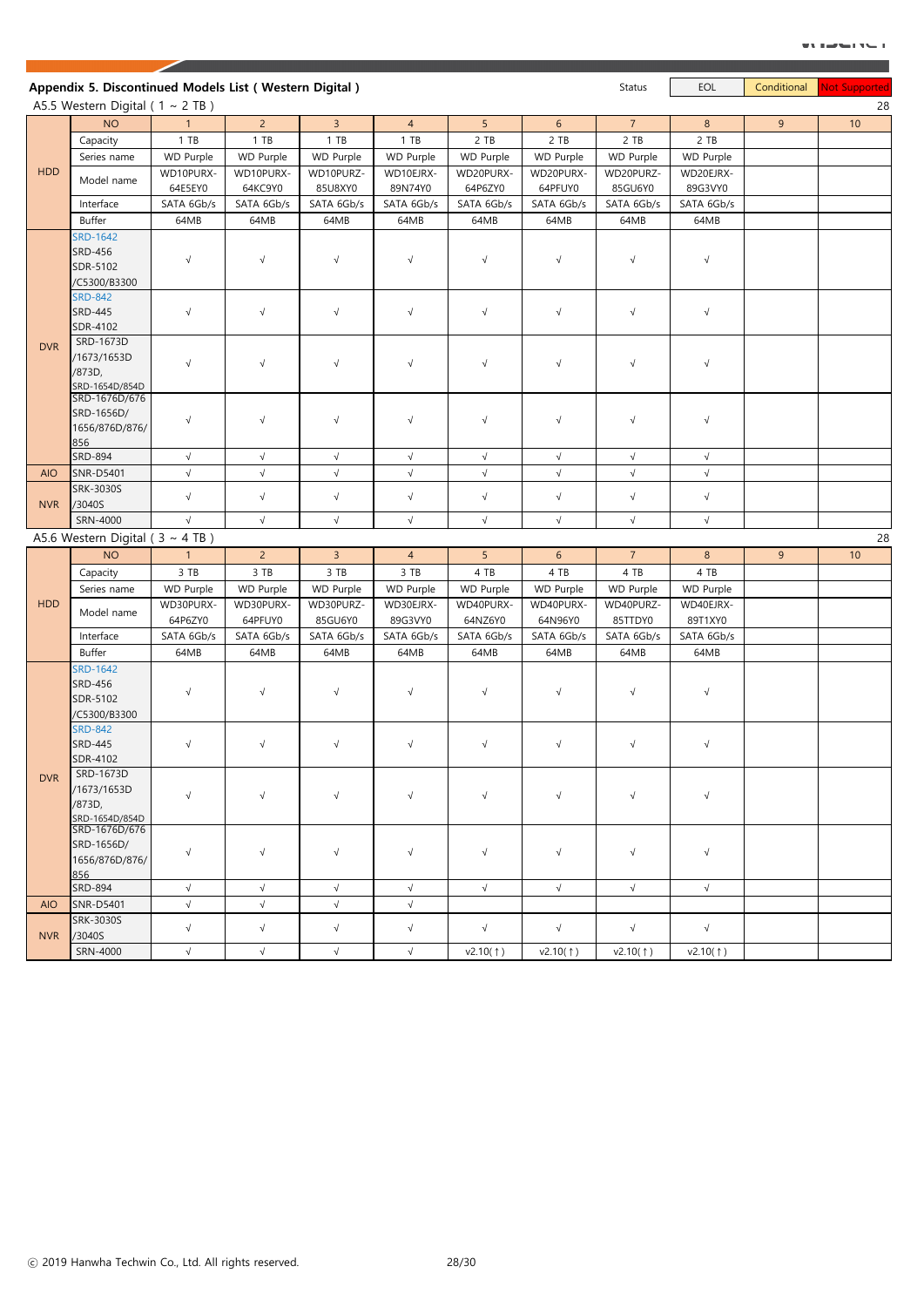|            | A5.5 Western Digital ( $1 \sim 2$ TB)                         |              |                | Appendix 5. Discontinued Models List (Western Digital) |                |                |                  | Status           | EOL              | Conditional    | <b>Not Supported</b> |
|------------|---------------------------------------------------------------|--------------|----------------|--------------------------------------------------------|----------------|----------------|------------------|------------------|------------------|----------------|----------------------|
|            | <b>NO</b>                                                     | $\mathbf{1}$ | $\overline{2}$ | $\overline{3}$                                         | $\overline{4}$ | 5 <sup>1</sup> | 6                | $\overline{7}$   | 8                | 9              | 10                   |
|            | Capacity                                                      | 1 T B        | 1 T B          | $1$ TB                                                 | 1 T B          | 2 TB           | 2 TB             | 2 TB             | 2 TB             |                |                      |
|            | Series name                                                   | WD Purple    | WD Purple      | WD Purple                                              | WD Purple      | WD Purple      | <b>WD Purple</b> | <b>WD Purple</b> | <b>WD Purple</b> |                |                      |
| <b>HDD</b> |                                                               | WD10PURX-    | WD10PURX-      | WD10PURZ-                                              | WD10EJRX-      | WD20PURX-      | WD20PURX-        | WD20PURZ-        | WD20EJRX-        |                |                      |
|            | Model name                                                    | 64E5EY0      | 64KC9Y0        | 85U8XY0                                                | 89N74Y0        | 64P6ZY0        | 64PFUY0          | 85GU6Y0          | 89G3VY0          |                |                      |
|            | Interface                                                     |              |                | SATA 6Gb/s                                             |                |                | SATA 6Gb/s       | SATA 6Gb/s       | SATA 6Gb/s       |                |                      |
|            |                                                               | SATA 6Gb/s   | SATA 6Gb/s     |                                                        | SATA 6Gb/s     | SATA 6Gb/s     |                  |                  |                  |                |                      |
|            | <b>Buffer</b>                                                 | 64MB         | 64MB           | 64MB                                                   | 64MB           | 64MB           | 64MB             | 64MB             | 64MB             |                |                      |
|            | <b>SRD-1642</b><br><b>SRD-456</b><br>SDR-5102<br>/C5300/B3300 | $\sqrt{}$    | $\sqrt{ }$     | $\sqrt{ }$                                             | $\sqrt{}$      | $\sqrt{ }$     | $\sqrt{ }$       | $\sqrt{}$        | $\sqrt{ }$       |                |                      |
|            | <b>SRD-842</b><br><b>SRD-445</b><br>SDR-4102                  | $\sqrt{ }$   | $\sqrt{ }$     | $\sqrt{}$                                              | $\sqrt{ }$     | $\sqrt{ }$     | $\sqrt{}$        | $\sqrt{}$        | $\sqrt{ }$       |                |                      |
| <b>DVR</b> | SRD-1673D<br>/1673/1653D<br>/873D,<br>SRD-1654D/854D          | $\sqrt{ }$   | $\sqrt{ }$     | $\sqrt{ }$                                             | $\sqrt{ }$     | $\sqrt{ }$     | $\sqrt{ }$       | $\sqrt{ }$       | $\sqrt{ }$       |                |                      |
|            | SRD-1676D/676<br>SRD-1656D/<br>1656/876D/876/<br>856          | $\sqrt{ }$   | $\sqrt{ }$     | $\sqrt{}$                                              | $\sqrt{}$      | $\sqrt{ }$     | $\sqrt{}$        | $\sqrt{}$        | $\sqrt{}$        |                |                      |
|            | <b>SRD-894</b>                                                | $\sqrt{}$    | $\sqrt{}$      | $\sqrt{ }$                                             | $\sqrt{}$      | $\sqrt{ }$     | $\sqrt{ }$       | $\sqrt{}$        | $\sqrt{}$        |                |                      |
| <b>AIO</b> | <b>SNR-D5401</b>                                              | $\sqrt{ }$   | $\sqrt{}$      | $\sqrt{}$                                              | $\sqrt{}$      | $\sqrt{ }$     | $\sqrt{}$        | $\sqrt{}$        | $\sqrt{}$        |                |                      |
|            | <b>SRK-3030S</b>                                              | $\sqrt{}$    | $\sqrt{}$      | $\sqrt{}$                                              | $\sqrt{ }$     | $\sqrt{ }$     | $\sqrt{}$        | $\sqrt{}$        | $\sqrt{}$        |                |                      |
| <b>NVR</b> | /3040S                                                        |              |                |                                                        |                |                |                  |                  |                  |                |                      |
|            | SRN-4000                                                      | $\sqrt{}$    | $\sqrt{}$      | $\sqrt{}$                                              | $\sqrt{ }$     | $\sqrt{}$      | $\sqrt{}$        | $\sqrt{}$        | $\sqrt{}$        |                |                      |
|            | A5.6 Western Digital ( $3 \sim 4$ TB)                         |              |                |                                                        |                |                |                  |                  |                  |                |                      |
|            | <b>NO</b>                                                     | $\mathbf{1}$ | 2 <sup>1</sup> | $\overline{3}$                                         | $\overline{4}$ | 5 <sup>5</sup> | 6                | $\overline{7}$   | 8                | $\overline{9}$ | 10                   |
|            |                                                               | 3 TB         | 3 TB           | 3 TB                                                   | 3 TB           | 4 TB           | 4 TB             | 4 TB             | 4 TB             |                |                      |
|            | Capacity                                                      |              |                |                                                        |                |                |                  |                  |                  |                |                      |
|            | Series name                                                   | WD Purple    | WD Purple      | WD Purple                                              | WD Purple      | WD Purple      | WD Purple        | <b>WD Purple</b> | WD Purple        |                |                      |
|            | Model name                                                    | WD30PURX-    | WD30PURX-      | WD30PURZ-                                              | WD30EJRX-      | WD40PURX-      | WD40PURX-        | WD40PURZ-        | WD40EJRX-        |                |                      |
|            |                                                               | 64P6ZY0      | 64PFUY0        | 85GU6Y0                                                | 89G3VY0        | 64NZ6Y0        | 64N96Y0          | 85TTDY0          | 89T1XY0          |                |                      |
|            | Interface                                                     | SATA 6Gb/s   | SATA 6Gb/s     | SATA 6Gb/s                                             | SATA 6Gb/s     | SATA 6Gb/s     | SATA 6Gb/s       | SATA 6Gb/s       | SATA 6Gb/s       |                |                      |
| <b>HDD</b> | Buffer                                                        | 64MB         | 64MB           | 64MB                                                   | 64MB           | 64MB           | 64MB             | 64MB             | 64MB             |                |                      |
|            | <b>SRD-1642</b><br><b>SRD-456</b><br>SDR-5102<br>/C5300/B3300 | $\sqrt{ }$   | $\sqrt{ }$     | $\sqrt{ }$                                             | $\sqrt{}$      | $\sqrt{ }$     | $\sqrt{ }$       | $\sqrt{}$        | $\sqrt{}$        |                |                      |
|            | <b>SRD-842</b><br><b>SRD-445</b><br>SDR-4102                  | $\sqrt{ }$   | $\sqrt{}$      | $\sqrt{ }$                                             | $\sqrt{}$      | $\sqrt{ }$     | $\sqrt{ }$       | $\sqrt{}$        | $\sqrt{}$        |                |                      |
| <b>DVR</b> | SRD-1673D<br>/1673/1653D<br>/873D,<br>SRD-1654D/854D          | $\sqrt{}$    | $\sqrt{ }$     | $\sqrt{}$                                              | $\sqrt{}$      | $\sqrt{ }$     | $\sqrt{}$        | $\sqrt{}$        | $\sqrt{}$        |                |                      |
|            | SRD-1676D/676<br>SRD-1656D/<br>1656/876D/876/<br>856          | $\sqrt{ }$   | $\sqrt{ }$     | $\sqrt{}$                                              | $\sqrt{}$      | $\sqrt{ }$     | $\sqrt{}$        | $\sqrt{ }$       | $\sqrt{}$        |                |                      |
|            | <b>SRD-894</b>                                                | $\sqrt{ }$   | $\sqrt{ }$     | $\sqrt{}$                                              | $\sqrt{}$      | $\sqrt{ }$     | $\sqrt{ }$       | $\sqrt{}$        | $\sqrt{ }$       |                |                      |
| <b>AIO</b> | SNR-D5401                                                     | $\sqrt{}$    | $\sqrt{}$      | $\sqrt{}$                                              | $\sqrt{}$      |                |                  |                  |                  |                |                      |
| <b>NVR</b> | <b>SRK-3030S</b><br>/3040S                                    | $\sqrt{ }$   | $\sqrt{}$      | $\sqrt{ }$                                             | $\sqrt{}$      | $\sqrt{ }$     | $\sqrt{}$        | $\sqrt{}$        | $\sqrt{}$        |                |                      |

╱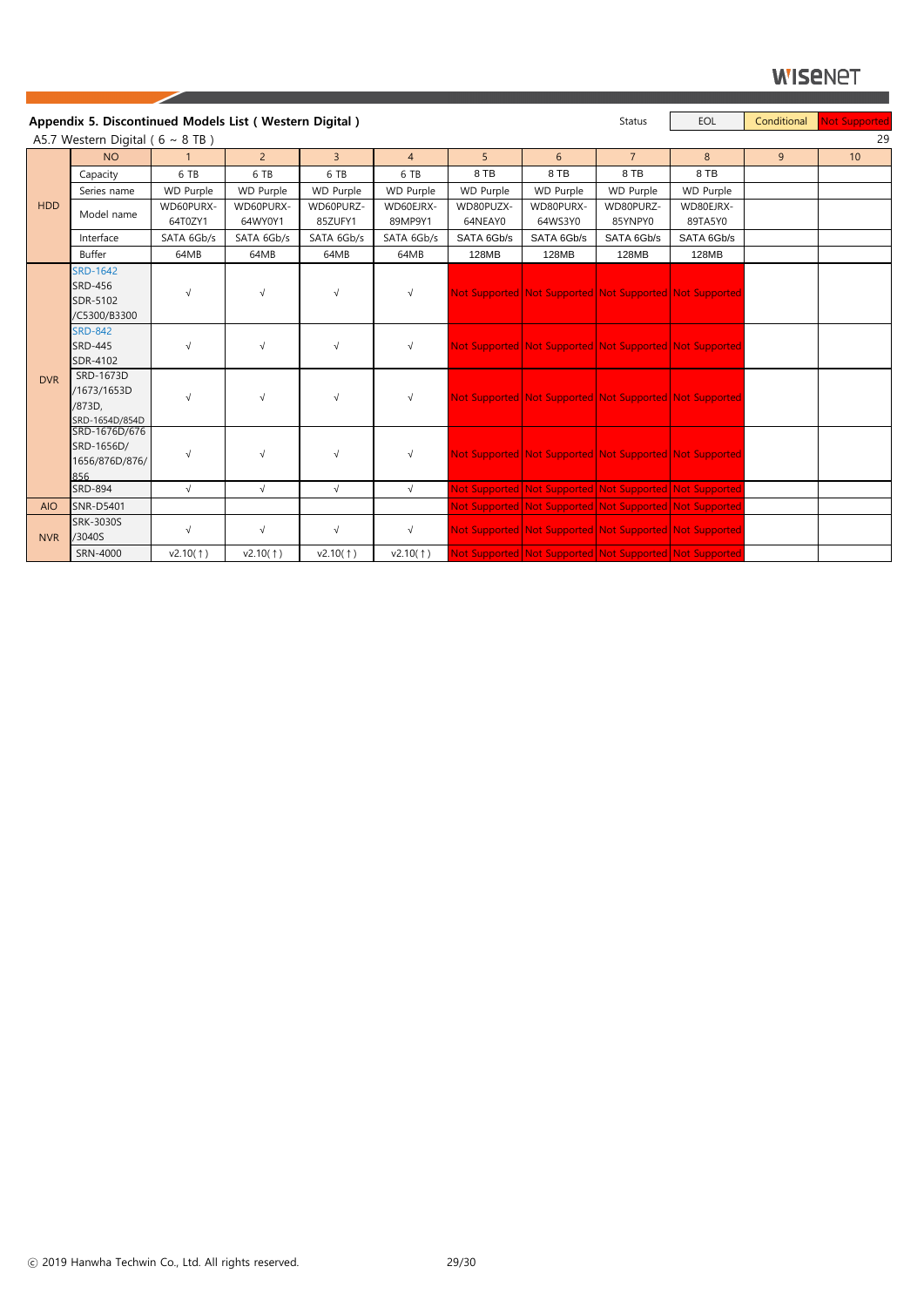|            | Appendix 5. Discontinued Models List (Western Digital)        |                  |                  |                  |                |            |                                                         | <b>Status</b>    | EOL              | Conditional | Not Supported |
|------------|---------------------------------------------------------------|------------------|------------------|------------------|----------------|------------|---------------------------------------------------------|------------------|------------------|-------------|---------------|
|            | A5.7 Western Digital ( $6 \sim 8$ TB)                         |                  |                  |                  |                |            |                                                         |                  |                  |             | 29            |
|            | <b>NO</b>                                                     | $\mathbf{1}$     | 2 <sup>1</sup>   | $\overline{3}$   | $\overline{4}$ | 5          | 6                                                       | 7 <sup>1</sup>   | 8                | 9           | 10            |
|            | Capacity                                                      | 6 TB             | 6 TB             | 6 TB             | 6 TB           | 8 TB       | 8 TB                                                    | 8 TB             | 8 TB             |             |               |
|            | Series name                                                   | <b>WD Purple</b> | <b>WD Purple</b> | <b>WD Purple</b> | WD Purple      | WD Purple  | <b>WD Purple</b>                                        | <b>WD Purple</b> | <b>WD Purple</b> |             |               |
| <b>HDD</b> | Model name                                                    | WD60PURX-        | WD60PURX-        | WD60PURZ-        | WD60EJRX-      | WD80PUZX-  | WD80PURX-                                               | WD80PURZ-        | WD80EJRX-        |             |               |
|            |                                                               | 64T0ZY1          | 64WY0Y1          | 85ZUFY1          | 89MP9Y1        | 64NEAY0    | 64WS3Y0                                                 | 85YNPY0          | 89TA5Y0          |             |               |
|            | Interface                                                     | SATA 6Gb/s       | SATA 6Gb/s       | SATA 6Gb/s       | SATA 6Gb/s     | SATA 6Gb/s | SATA 6Gb/s                                              | SATA 6Gb/s       | SATA 6Gb/s       |             |               |
|            | <b>Buffer</b>                                                 | 64MB             | 64MB             | 64MB             | 64MB           | 128MB      | 128MB                                                   | 128MB            | 128MB            |             |               |
|            | <b>SRD-1642</b><br><b>SRD-456</b><br>SDR-5102<br>/C5300/B3300 | $\sqrt{}$        | $\sqrt{}$        | $\sqrt{ }$       | $\sqrt{}$      |            | Not Supported Not Supported Not Supported Not Supported |                  |                  |             |               |
|            | <b>SRD-842</b><br><b>SRD-445</b><br>SDR-4102                  | $\sqrt{}$        | $\sqrt{}$        | $\sqrt{ }$       | $\sqrt{}$      |            | Not Supported Not Supported Not Supported Not Supported |                  |                  |             |               |
| <b>DVR</b> | SRD-1673D<br>/1673/1653D<br>/873D,<br>SRD-1654D/854D          |                  | $\sqrt{}$        | $\sqrt{ }$       | $\sqrt{}$      |            | Not Supported Not Supported Not Supported Not Supported |                  |                  |             |               |
|            | SRD-1676D/676<br>SRD-1656D/<br>1656/876D/876/<br>856          | $\sqrt{ }$       | $\sqrt{ }$       | $\sqrt{ }$       | $\sqrt{}$      |            | Not Supported Not Supported Not Supported Not Supported |                  |                  |             |               |
|            | <b>SRD-894</b>                                                | $\sqrt{ }$       | $\sqrt{ }$       | $\sqrt{ }$       | $\sqrt{2}$     |            | Not Supported Not Supported Not Supported Not Supported |                  |                  |             |               |
| <b>AIO</b> | <b>SNR-D5401</b>                                              |                  |                  |                  |                |            | Not Supported Not Supported Not Supported Not Supported |                  |                  |             |               |
| <b>NVR</b> | SRK-3030S<br>/3040S                                           | $\sqrt{}$        | $\sqrt{}$        | $\sqrt{ }$       | $\sqrt{}$      |            | Not Supported Not Supported Not Supported Not Supported |                  |                  |             |               |
|            | SRN-4000                                                      | v2.10(†)         | v2.10(†)         | v2.10(†)         | v2.10(1)       |            | Not Supported Not Supported Not Supported Not Supported |                  |                  |             |               |

ⓒ 2019 Hanwha Techwin Co., Ltd. All rights reserved. 29/30